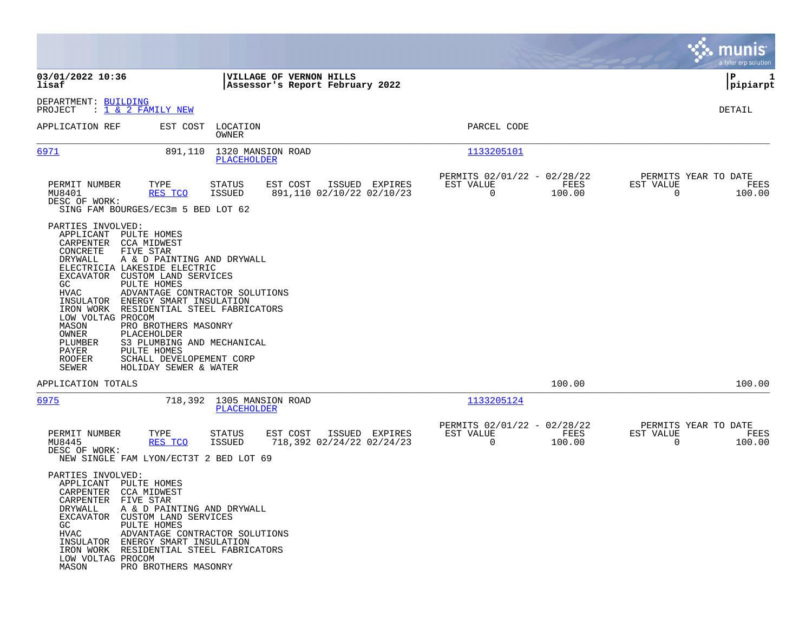|                                                                                                                                                                                                                                                                                                                                                                                                                                                                                                                                                                                              |                                                                                    |                                                                           | a tyler erp solution                                               |
|----------------------------------------------------------------------------------------------------------------------------------------------------------------------------------------------------------------------------------------------------------------------------------------------------------------------------------------------------------------------------------------------------------------------------------------------------------------------------------------------------------------------------------------------------------------------------------------------|------------------------------------------------------------------------------------|---------------------------------------------------------------------------|--------------------------------------------------------------------|
| 03/01/2022 10:36<br>lisaf                                                                                                                                                                                                                                                                                                                                                                                                                                                                                                                                                                    | <b>VILLAGE OF VERNON HILLS</b><br>Assessor's Report February 2022                  |                                                                           | ΙP<br>1<br> pipiarpt                                               |
| DEPARTMENT: BUILDING<br>: <u>1 &amp; 2 FAMILY NEW</u><br>PROJECT                                                                                                                                                                                                                                                                                                                                                                                                                                                                                                                             |                                                                                    |                                                                           | DETAIL                                                             |
| APPLICATION REF<br>EST COST                                                                                                                                                                                                                                                                                                                                                                                                                                                                                                                                                                  | LOCATION<br>OWNER                                                                  | PARCEL CODE                                                               |                                                                    |
| 6971<br>891,110                                                                                                                                                                                                                                                                                                                                                                                                                                                                                                                                                                              | 1320 MANSION ROAD<br>PLACEHOLDER                                                   | 1133205101                                                                |                                                                    |
| PERMIT NUMBER<br>TYPE<br>MU8401<br>RES TCO<br>DESC OF WORK:<br>SING FAM BOURGES/EC3m 5 BED LOT 62                                                                                                                                                                                                                                                                                                                                                                                                                                                                                            | <b>STATUS</b><br>EST COST<br>ISSUED EXPIRES<br>891,110 02/10/22 02/10/23<br>ISSUED | PERMITS 02/01/22 - 02/28/22<br>EST VALUE<br>FEES<br>0<br>100.00           | PERMITS YEAR TO DATE<br>EST VALUE<br>FEES<br>$\mathbf 0$<br>100.00 |
| PARTIES INVOLVED:<br>APPLICANT<br>PULTE HOMES<br>CARPENTER<br>CCA MIDWEST<br>CONCRETE<br>FIVE STAR<br>DRYWALL<br>A & D PAINTING AND DRYWALL<br>ELECTRICIA LAKESIDE ELECTRIC<br>EXCAVATOR<br>CUSTOM LAND SERVICES<br>GC<br>PULTE HOMES<br>HVAC<br>ADVANTAGE CONTRACTOR SOLUTIONS<br>ENERGY SMART INSULATION<br>INSULATOR<br>IRON WORK<br>RESIDENTIAL STEEL FABRICATORS<br>LOW VOLTAG PROCOM<br>MASON<br>PRO BROTHERS MASONRY<br>OWNER<br>PLACEHOLDER<br>S3 PLUMBING AND MECHANICAL<br>PLUMBER<br>PAYER<br>PULTE HOMES<br>SCHALL DEVELOPEMENT CORP<br>ROOFER<br>SEWER<br>HOLIDAY SEWER & WATER |                                                                                    |                                                                           |                                                                    |
| APPLICATION TOTALS                                                                                                                                                                                                                                                                                                                                                                                                                                                                                                                                                                           |                                                                                    | 100.00                                                                    | 100.00                                                             |
| 6975                                                                                                                                                                                                                                                                                                                                                                                                                                                                                                                                                                                         | 718,392 1305 MANSION ROAD<br>PLACEHOLDER                                           | 1133205124                                                                |                                                                    |
| PERMIT NUMBER<br>TYPE<br>MU8445<br>RES TCO<br>DESC OF WORK:<br>NEW SINGLE FAM LYON/ECT3T 2 BED LOT 69                                                                                                                                                                                                                                                                                                                                                                                                                                                                                        | <b>STATUS</b><br>EST COST<br>ISSUED EXPIRES<br>718,392 02/24/22 02/24/23<br>ISSUED | PERMITS 02/01/22 - 02/28/22<br>EST VALUE<br>FEES<br>$\mathbf 0$<br>100.00 | PERMITS YEAR TO DATE<br>EST VALUE<br>FEES<br>$\Omega$<br>100.00    |
| PARTIES INVOLVED:<br>APPLICANT PULTE HOMES<br>CARPENTER CCA MIDWEST<br>CARPENTER FIVE STAR<br>DRYWALL<br>A & D PAINTING AND DRYWALL<br>EXCAVATOR CUSTOM LAND SERVICES<br>GC<br>PULTE HOMES<br>HVAC<br>ADVANTAGE CONTRACTOR SOLUTIONS<br>INSULATOR ENERGY SMART INSULATION<br>IRON WORK RESIDENTIAL STEEL FABRICATORS<br>LOW VOLTAG PROCOM<br>MASON<br>PRO BROTHERS MASONRY                                                                                                                                                                                                                   |                                                                                    |                                                                           |                                                                    |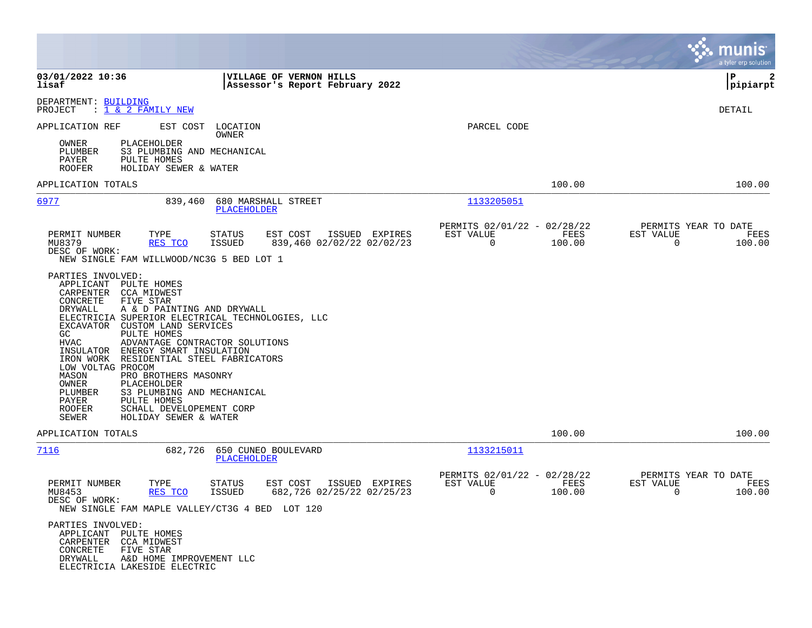|                                                                                                                                                                                                                                                                                                                                                                                                                                                                                                                                                                                                                               |                                                                                    |                                                                              | munis<br>a tyler erp solution                                      |
|-------------------------------------------------------------------------------------------------------------------------------------------------------------------------------------------------------------------------------------------------------------------------------------------------------------------------------------------------------------------------------------------------------------------------------------------------------------------------------------------------------------------------------------------------------------------------------------------------------------------------------|------------------------------------------------------------------------------------|------------------------------------------------------------------------------|--------------------------------------------------------------------|
| 03/01/2022 10:36<br>lisaf                                                                                                                                                                                                                                                                                                                                                                                                                                                                                                                                                                                                     | VILLAGE OF VERNON HILLS<br>Assessor's Report February 2022                         |                                                                              | l P<br>2<br> pipiarpt                                              |
| DEPARTMENT: BUILDING<br>: 1 & 2 FAMILY NEW<br>PROJECT                                                                                                                                                                                                                                                                                                                                                                                                                                                                                                                                                                         |                                                                                    |                                                                              | <b>DETAIL</b>                                                      |
| APPLICATION REF<br>EST COST                                                                                                                                                                                                                                                                                                                                                                                                                                                                                                                                                                                                   | LOCATION<br>OWNER                                                                  | PARCEL CODE                                                                  |                                                                    |
| PLACEHOLDER<br>OWNER<br>PLUMBER<br>S3 PLUMBING AND MECHANICAL<br>PAYER<br><b>PULTE HOMES</b><br><b>ROOFER</b><br>HOLIDAY SEWER & WATER                                                                                                                                                                                                                                                                                                                                                                                                                                                                                        |                                                                                    |                                                                              |                                                                    |
| APPLICATION TOTALS                                                                                                                                                                                                                                                                                                                                                                                                                                                                                                                                                                                                            |                                                                                    | 100.00                                                                       | 100.00                                                             |
| 6977<br>839,460                                                                                                                                                                                                                                                                                                                                                                                                                                                                                                                                                                                                               | 680 MARSHALL STREET<br><b>PLACEHOLDER</b>                                          | 1133205051                                                                   |                                                                    |
| PERMIT NUMBER<br>TYPE<br>MU8379<br>RES TCO<br>DESC OF WORK:<br>NEW SINGLE FAM WILLWOOD/NC3G 5 BED LOT 1                                                                                                                                                                                                                                                                                                                                                                                                                                                                                                                       | EST COST<br>ISSUED EXPIRES<br>STATUS<br><b>ISSUED</b><br>839,460 02/02/22 02/02/23 | PERMITS 02/01/22 - 02/28/22<br>FEES<br>EST VALUE<br>$\overline{0}$<br>100.00 | PERMITS YEAR TO DATE<br>EST VALUE<br>FEES<br>$\Omega$<br>100.00    |
| PARTIES INVOLVED:<br>APPLICANT PULTE HOMES<br>CARPENTER<br>CCA MIDWEST<br>CONCRETE<br>FIVE STAR<br>DRYWALL<br>A & D PAINTING AND DRYWALL<br>ELECTRICIA SUPERIOR ELECTRICAL TECHNOLOGIES, LLC<br>EXCAVATOR CUSTOM LAND SERVICES<br>GC.<br>PULTE HOMES<br><b>HVAC</b><br>ADVANTAGE CONTRACTOR SOLUTIONS<br>INSULATOR<br>ENERGY SMART INSULATION<br>IRON WORK RESIDENTIAL STEEL FABRICATORS<br>LOW VOLTAG PROCOM<br>MASON<br>PRO BROTHERS MASONRY<br>OWNER<br>PLACEHOLDER<br>S3 PLUMBING AND MECHANICAL<br>PLUMBER<br>PULTE HOMES<br>PAYER<br><b>ROOFER</b><br>SCHALL DEVELOPEMENT CORP<br><b>SEWER</b><br>HOLIDAY SEWER & WATER |                                                                                    |                                                                              |                                                                    |
| APPLICATION TOTALS                                                                                                                                                                                                                                                                                                                                                                                                                                                                                                                                                                                                            |                                                                                    | 100.00                                                                       | 100.00                                                             |
| 7116                                                                                                                                                                                                                                                                                                                                                                                                                                                                                                                                                                                                                          | 682,726 650 CUNEO BOULEVARD<br>PLACEHOLDER                                         | 1133215011                                                                   |                                                                    |
| PERMIT NUMBER<br>TYPE<br>MU8453<br>RES TCO<br>DESC OF WORK:<br>NEW SINGLE FAM MAPLE VALLEY/CT3G 4 BED LOT 120                                                                                                                                                                                                                                                                                                                                                                                                                                                                                                                 | EST COST<br>ISSUED EXPIRES<br>STATUS<br>682,726 02/25/22 02/25/23<br><b>ISSUED</b> | PERMITS 02/01/22 - 02/28/22<br>EST VALUE<br>FEES<br>0<br>100.00              | PERMITS YEAR TO DATE<br>EST VALUE<br>FEES<br>$\mathbf 0$<br>100.00 |
| PARTIES INVOLVED:<br>APPLICANT PULTE HOMES<br>CARPENTER<br>CCA MIDWEST<br>CONCRETE<br>FIVE STAR<br>DRYWALL<br>A&D HOME IMPROVEMENT LLC<br>ELECTRICIA LAKESIDE ELECTRIC                                                                                                                                                                                                                                                                                                                                                                                                                                                        |                                                                                    |                                                                              |                                                                    |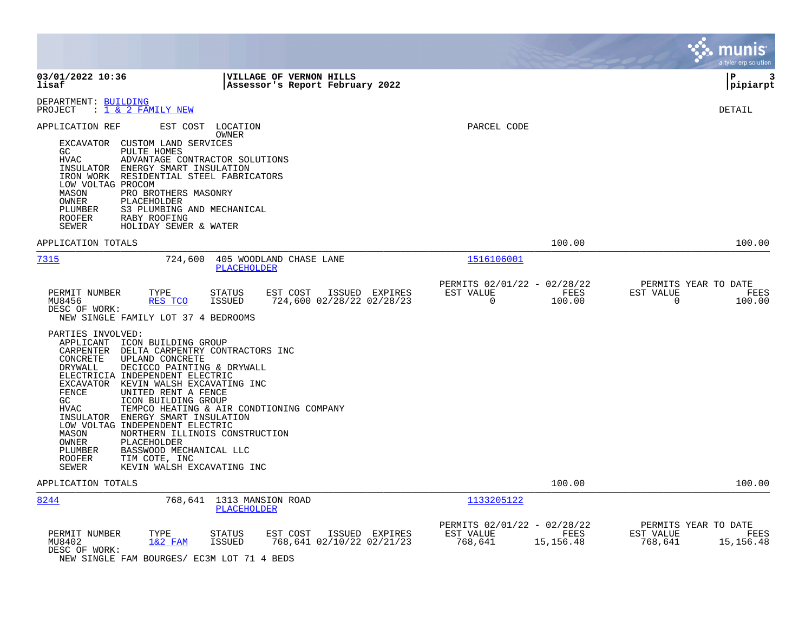|                                                                                                                                                                                                                                                                                                                                                                                                                                                                                                                                                                                                         |                                                                            | munis<br>a tyler erp solution                                       |
|---------------------------------------------------------------------------------------------------------------------------------------------------------------------------------------------------------------------------------------------------------------------------------------------------------------------------------------------------------------------------------------------------------------------------------------------------------------------------------------------------------------------------------------------------------------------------------------------------------|----------------------------------------------------------------------------|---------------------------------------------------------------------|
| 03/01/2022 10:36<br><b>VILLAGE OF VERNON HILLS</b><br>lisaf<br>Assessor's Report February 2022                                                                                                                                                                                                                                                                                                                                                                                                                                                                                                          |                                                                            | ΙP<br>3<br> pipiarpt                                                |
| DEPARTMENT: BUILDING<br>: <u>1 &amp; 2 FAMILY NEW</u><br>PROJECT                                                                                                                                                                                                                                                                                                                                                                                                                                                                                                                                        |                                                                            | DETAIL                                                              |
| APPLICATION REF<br>EST COST LOCATION<br><b>OWNER</b><br>EXCAVATOR CUSTOM LAND SERVICES<br>GC<br>PULTE HOMES<br><b>HVAC</b><br>ADVANTAGE CONTRACTOR SOLUTIONS<br>INSULATOR<br>ENERGY SMART INSULATION<br>IRON WORK RESIDENTIAL STEEL FABRICATORS<br>LOW VOLTAG PROCOM<br>MASON<br>PRO BROTHERS MASONRY<br>OWNER<br>PLACEHOLDER<br>PLUMBER<br>S3 PLUMBING AND MECHANICAL<br>ROOFER<br>RABY ROOFING<br>HOLIDAY SEWER & WATER<br>SEWER                                                                                                                                                                      | PARCEL CODE                                                                |                                                                     |
| APPLICATION TOTALS                                                                                                                                                                                                                                                                                                                                                                                                                                                                                                                                                                                      | 100.00                                                                     | 100.00                                                              |
| 7315<br>724,600<br>405 WOODLAND CHASE LANE<br>PLACEHOLDER                                                                                                                                                                                                                                                                                                                                                                                                                                                                                                                                               | 1516106001                                                                 |                                                                     |
| PERMIT NUMBER<br>TYPE<br>STATUS<br>EST COST ISSUED EXPIRES<br>MU8456<br>RES TCO<br><b>ISSUED</b><br>724,600 02/28/22 02/28/23<br>DESC OF WORK:<br>NEW SINGLE FAMILY LOT 37 4 BEDROOMS<br>PARTIES INVOLVED:                                                                                                                                                                                                                                                                                                                                                                                              | PERMITS 02/01/22 - 02/28/22<br>EST VALUE<br>FEES<br>$\mathbf 0$<br>100.00  | PERMITS YEAR TO DATE<br>EST VALUE<br>FEES<br>$\mathbf 0$<br>100.00  |
| APPLICANT<br>ICON BUILDING GROUP<br>DELTA CARPENTRY CONTRACTORS INC<br>CARPENTER<br>CONCRETE<br>UPLAND CONCRETE<br>DRYWALL<br>DECICCO PAINTING & DRYWALL<br>ELECTRICIA INDEPENDENT ELECTRIC<br>EXCAVATOR KEVIN WALSH EXCAVATING INC<br>UNITED RENT A FENCE<br>FENCE<br>GC<br>ICON BUILDING GROUP<br>HVAC<br>TEMPCO HEATING & AIR CONDTIONING COMPANY<br>INSULATOR ENERGY SMART INSULATION<br>LOW VOLTAG INDEPENDENT ELECTRIC<br>NORTHERN ILLINOIS CONSTRUCTION<br>MASON<br>PLACEHOLDER<br>OWNER<br>BASSWOOD MECHANICAL LLC<br>PLUMBER<br>TIM COTE, INC<br>ROOFER<br>KEVIN WALSH EXCAVATING INC<br>SEWER |                                                                            |                                                                     |
| APPLICATION TOTALS                                                                                                                                                                                                                                                                                                                                                                                                                                                                                                                                                                                      | 100.00                                                                     | 100.00                                                              |
| 8244<br>768,641 1313 MANSION ROAD<br>PLACEHOLDER                                                                                                                                                                                                                                                                                                                                                                                                                                                                                                                                                        | 1133205122                                                                 |                                                                     |
| PERMIT NUMBER<br>TYPE<br>ISSUED EXPIRES<br>STATUS<br>EST COST<br>$1&2$ FAM<br><b>ISSUED</b><br>768,641 02/10/22 02/21/23<br>MU8402<br>DESC OF WORK:                                                                                                                                                                                                                                                                                                                                                                                                                                                     | PERMITS 02/01/22 - 02/28/22<br>FEES<br>EST VALUE<br>768,641<br>15, 156. 48 | PERMITS YEAR TO DATE<br>EST VALUE<br>FEES<br>768,641<br>15, 156. 48 |

NEW SINGLE FAM BOURGES/ EC3M LOT 71 4 BEDS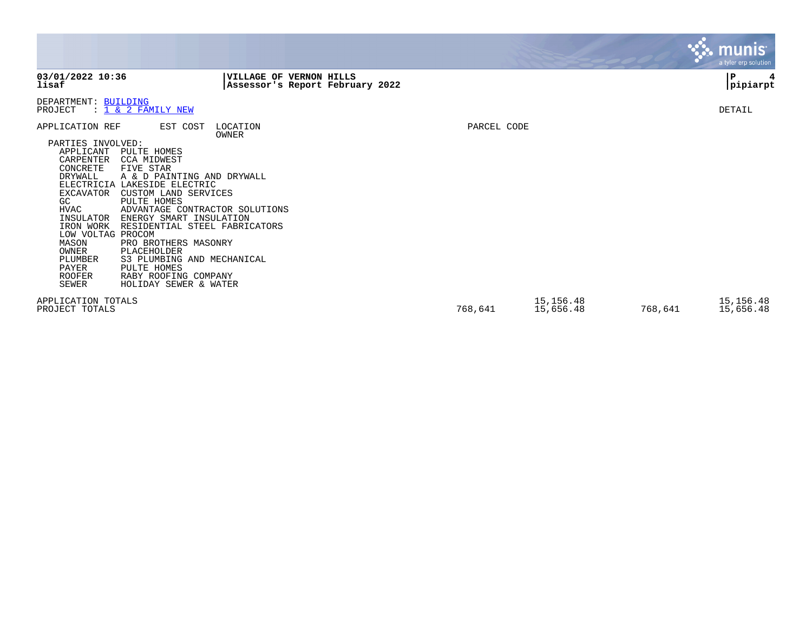|                                                                                                                                                                                                                                                                                                                                                                                                                                                                                                                                                                                                                                              |                                                            |             |                        | <b>munis</b><br>a tyler erp solution |  |
|----------------------------------------------------------------------------------------------------------------------------------------------------------------------------------------------------------------------------------------------------------------------------------------------------------------------------------------------------------------------------------------------------------------------------------------------------------------------------------------------------------------------------------------------------------------------------------------------------------------------------------------------|------------------------------------------------------------|-------------|------------------------|--------------------------------------|--|
| 03/01/2022 10:36<br>lisaf                                                                                                                                                                                                                                                                                                                                                                                                                                                                                                                                                                                                                    | VILLAGE OF VERNON HILLS<br>Assessor's Report February 2022 |             |                        | P<br> pipiarpt                       |  |
| DEPARTMENT: BUILDING<br>PROJECT<br>: 1 & 2 FAMILY NEW                                                                                                                                                                                                                                                                                                                                                                                                                                                                                                                                                                                        |                                                            |             |                        | DETAIL                               |  |
| APPLICATION REF<br>EST COST<br>PARTIES INVOLVED:<br>APPLICANT<br>PULTE HOMES<br>CARPENTER<br>CCA MIDWEST<br>CONCRETE<br>FIVE STAR<br><b>DRYWALL</b><br>A & D PAINTING AND DRYWALL<br>ELECTRICIA LAKESIDE ELECTRIC<br><b>EXCAVATOR</b><br>CUSTOM LAND SERVICES<br>GC<br>PULTE HOMES<br>HVAC<br>ADVANTAGE CONTRACTOR SOLUTIONS<br>INSULATOR<br>ENERGY SMART INSULATION<br>IRON WORK<br>RESIDENTIAL STEEL FABRICATORS<br>LOW VOLTAG PROCOM<br>MASON<br>PRO BROTHERS MASONRY<br>OWNER<br>PLACEHOLDER<br>PLUMBER<br>S3 PLUMBING AND MECHANICAL<br>PAYER<br>PULTE HOMES<br><b>ROOFER</b><br>RABY ROOFING COMPANY<br>SEWER<br>HOLIDAY SEWER & WATER | LOCATION<br>OWNER                                          | PARCEL CODE |                        |                                      |  |
| APPLICATION TOTALS<br>PROJECT TOTALS                                                                                                                                                                                                                                                                                                                                                                                                                                                                                                                                                                                                         |                                                            | 768,641     | 15,156.48<br>15,656.48 | 15,156.48<br>15,656.48<br>768,641    |  |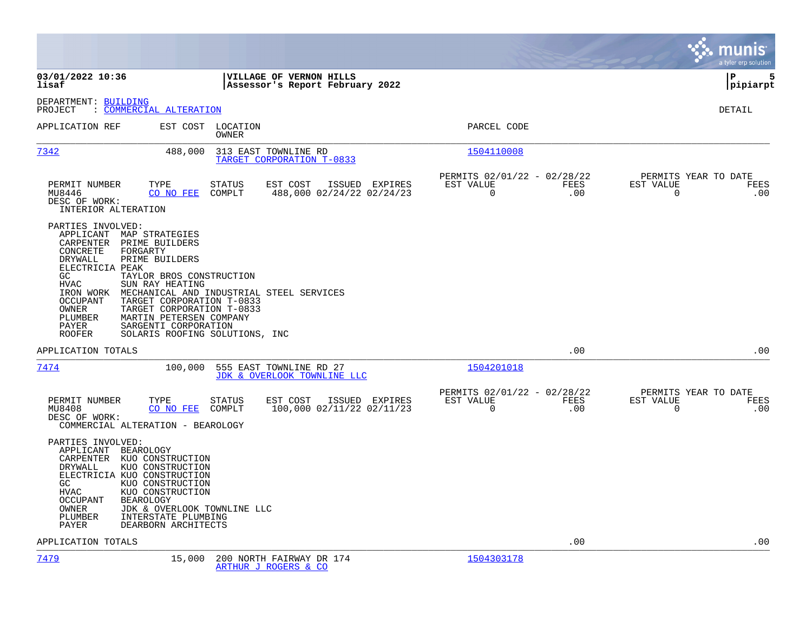|                                                                                                                                                                                                                                                                                                                                                                                                                  |                                                                             |                                                         | munis<br>a tyler erp solution                                                  |
|------------------------------------------------------------------------------------------------------------------------------------------------------------------------------------------------------------------------------------------------------------------------------------------------------------------------------------------------------------------------------------------------------------------|-----------------------------------------------------------------------------|---------------------------------------------------------|--------------------------------------------------------------------------------|
| 03/01/2022 10:36<br>lisaf                                                                                                                                                                                                                                                                                                                                                                                        | VILLAGE OF VERNON HILLS<br>Assessor's Report February 2022                  |                                                         | lР<br>5<br> pipiarpt                                                           |
| DEPARTMENT: BUILDING<br>: COMMERCIAL ALTERATION<br>PROJECT                                                                                                                                                                                                                                                                                                                                                       |                                                                             |                                                         | <b>DETAIL</b>                                                                  |
| APPLICATION REF<br>EST COST                                                                                                                                                                                                                                                                                                                                                                                      | LOCATION<br>OWNER                                                           | PARCEL CODE                                             |                                                                                |
| 7342<br>488,000                                                                                                                                                                                                                                                                                                                                                                                                  | 313 EAST TOWNLINE RD<br>TARGET CORPORATION T-0833                           | 1504110008                                              |                                                                                |
| TYPE<br>PERMIT NUMBER<br>MU8446<br>CO NO FEE<br>DESC OF WORK:<br>INTERIOR ALTERATION                                                                                                                                                                                                                                                                                                                             | EST COST<br>STATUS<br>ISSUED EXPIRES<br>COMPLT<br>488,000 02/24/22 02/24/23 | PERMITS 02/01/22 - 02/28/22<br>EST VALUE<br>$\mathbf 0$ | PERMITS YEAR TO DATE<br>FEES<br>EST VALUE<br>FEES<br>.00<br>$\mathbf 0$<br>.00 |
| PARTIES INVOLVED:<br>APPLICANT MAP STRATEGIES<br>CARPENTER PRIME BUILDERS<br>CONCRETE<br>FORGARTY<br><b>DRYWALL</b><br>PRIME BUILDERS<br>ELECTRICIA PEAK<br>GC<br>TAYLOR BROS CONSTRUCTION<br><b>HVAC</b><br>SUN RAY HEATING<br>IRON WORK<br>TARGET CORPORATION T-0833<br>OCCUPANT<br>TARGET CORPORATION T-0833<br>OWNER<br>MARTIN PETERSEN COMPANY<br>PLUMBER<br>SARGENTI CORPORATION<br>PAYER<br><b>ROOFER</b> | MECHANICAL AND INDUSTRIAL STEEL SERVICES<br>SOLARIS ROOFING SOLUTIONS, INC  |                                                         |                                                                                |
| APPLICATION TOTALS                                                                                                                                                                                                                                                                                                                                                                                               |                                                                             |                                                         | .00<br>.00                                                                     |
| 7474<br>100,000                                                                                                                                                                                                                                                                                                                                                                                                  | 555 EAST TOWNLINE RD 27<br>JDK & OVERLOOK TOWNLINE LLC                      | 1504201018                                              |                                                                                |
| PERMIT NUMBER<br>TYPE<br>CO NO FEE<br>MU8408<br>DESC OF WORK:<br>COMMERCIAL ALTERATION - BEAROLOGY                                                                                                                                                                                                                                                                                                               | STATUS<br>EST COST<br>ISSUED EXPIRES<br>COMPLT<br>100,000 02/11/22 02/11/23 | PERMITS 02/01/22 - 02/28/22<br>EST VALUE<br>$\mathbf 0$ | PERMITS YEAR TO DATE<br>FEES<br>EST VALUE<br>FEES<br>.00<br>$\mathbf 0$<br>.00 |
| PARTIES INVOLVED:<br>APPLICANT BEAROLOGY<br>CARPENTER KUO CONSTRUCTION<br><b>DRYWALL</b><br>KUO CONSTRUCTION<br>ELECTRICIA KUO CONSTRUCTION<br>GC<br>KUO CONSTRUCTION<br>HVAC<br>KUO CONSTRUCTION<br><b>OCCUPANT</b><br><b>BEAROLOGY</b><br>OWNER<br>JDK & OVERLOOK TOWNLINE LLC<br>PLUMBER<br>INTERSTATE PLUMBING<br>DEARBORN ARCHITECTS<br>PAYER                                                               |                                                                             |                                                         |                                                                                |
| APPLICATION TOTALS                                                                                                                                                                                                                                                                                                                                                                                               |                                                                             |                                                         | .00<br>.00                                                                     |
| 7479<br>15,000                                                                                                                                                                                                                                                                                                                                                                                                   | 200 NORTH FAIRWAY DR 174<br>ARTHUR J ROGERS & CO                            | 1504303178                                              |                                                                                |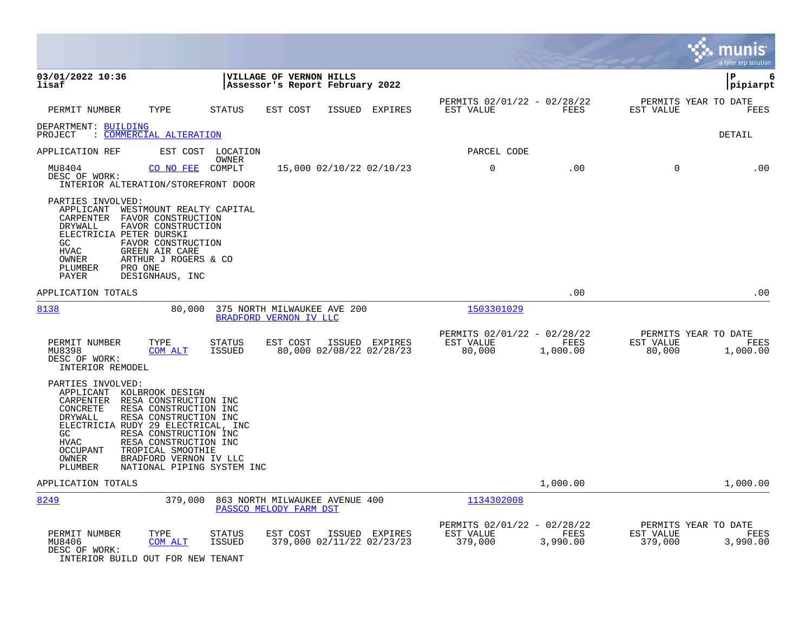|                                                                                                                                                                                                                                                       |                                                                                                                                                                                   |                                                            |                |                                                     |                  |                                              | munis<br>a tyler erp solution |
|-------------------------------------------------------------------------------------------------------------------------------------------------------------------------------------------------------------------------------------------------------|-----------------------------------------------------------------------------------------------------------------------------------------------------------------------------------|------------------------------------------------------------|----------------|-----------------------------------------------------|------------------|----------------------------------------------|-------------------------------|
| 03/01/2022 10:36<br>lisaf                                                                                                                                                                                                                             |                                                                                                                                                                                   | VILLAGE OF VERNON HILLS<br>Assessor's Report February 2022 |                |                                                     |                  |                                              | 6<br>∣P<br> pipiarpt          |
| TYPE<br>PERMIT NUMBER                                                                                                                                                                                                                                 | STATUS                                                                                                                                                                            | EST COST<br>ISSUED                                         | EXPIRES        | PERMITS 02/01/22 - 02/28/22<br>EST VALUE            | FEES             | PERMITS YEAR TO DATE<br>EST VALUE            | FEES                          |
| DEPARTMENT: BUILDING<br>: COMMERCIAL ALTERATION<br>PROJECT                                                                                                                                                                                            |                                                                                                                                                                                   |                                                            |                |                                                     |                  |                                              | <b>DETAIL</b>                 |
| APPLICATION REF                                                                                                                                                                                                                                       | EST COST LOCATION                                                                                                                                                                 |                                                            |                | PARCEL CODE                                         |                  |                                              |                               |
| MU8404<br>DESC OF WORK:<br>INTERIOR ALTERATION/STOREFRONT DOOR                                                                                                                                                                                        | OWNER<br>COMPLT<br>CO NO FEE                                                                                                                                                      | 15,000 02/10/22 02/10/23                                   |                | $\mathbf 0$                                         | .00              | $\mathbf 0$                                  | .00                           |
| PARTIES INVOLVED:<br>APPLICANT<br>CARPENTER<br>FAVOR CONSTRUCTION<br>DRYWALL<br>FAVOR CONSTRUCTION<br>ELECTRICIA PETER DURSKI<br>FAVOR CONSTRUCTION<br>GC<br>HVAC<br>GREEN AIR CARE<br>OWNER<br>PLUMBER<br>PRO ONE<br><b>PAYER</b><br>DESIGNHAUS, INC | WESTMOUNT REALTY CAPITAL<br>ARTHUR J ROGERS & CO                                                                                                                                  |                                                            |                |                                                     |                  |                                              |                               |
| APPLICATION TOTALS                                                                                                                                                                                                                                    |                                                                                                                                                                                   |                                                            |                |                                                     | .00              |                                              | .00                           |
| 8138                                                                                                                                                                                                                                                  | 80,000                                                                                                                                                                            | 375 NORTH MILWAUKEE AVE 200<br>BRADFORD VERNON IV LLC      |                | 1503301029                                          |                  |                                              |                               |
| PERMIT NUMBER<br>TYPE<br>MU8398<br>COM ALT<br>DESC OF WORK:<br>INTERIOR REMODEL                                                                                                                                                                       | <b>STATUS</b><br>ISSUED                                                                                                                                                           | EST COST<br>80,000 02/08/22 02/28/23                       | ISSUED EXPIRES | PERMITS 02/01/22 - 02/28/22<br>EST VALUE<br>80,000  | FEES<br>1,000.00 | PERMITS YEAR TO DATE<br>EST VALUE<br>80,000  | FEES<br>1,000.00              |
| PARTIES INVOLVED:<br>APPLICANT<br>KOLBROOK DESIGN<br>CARPENTER<br>CONCRETE<br>DRYWALL<br>ELECTRICIA RUDY 29 ELECTRICAL, INC<br>GC<br><b>HVAC</b><br>TROPICAL SMOOTHIE<br>OCCUPANT<br>OWNER<br>PLUMBER                                                 | RESA CONSTRUCTION INC<br>RESA CONSTRUCTION INC<br>RESA CONSTRUCTION INC<br>RESA CONSTRUCTION INC<br>RESA CONSTRUCTION INC<br>BRADFORD VERNON IV LLC<br>NATIONAL PIPING SYSTEM INC |                                                            |                |                                                     |                  |                                              |                               |
| APPLICATION TOTALS                                                                                                                                                                                                                                    |                                                                                                                                                                                   |                                                            |                |                                                     | 1,000.00         |                                              | 1,000.00                      |
| 8249                                                                                                                                                                                                                                                  | 379,000                                                                                                                                                                           | 863 NORTH MILWAUKEE AVENUE 400<br>PASSCO MELODY FARM DST   |                | 1134302008                                          |                  |                                              |                               |
| PERMIT NUMBER<br>TYPE<br>MU8406<br>COM ALT<br>DESC OF WORK:                                                                                                                                                                                           | STATUS<br><b>ISSUED</b>                                                                                                                                                           | EST COST<br>379,000 02/11/22 02/23/23                      | ISSUED EXPIRES | PERMITS 02/01/22 - 02/28/22<br>EST VALUE<br>379,000 | FEES<br>3,990.00 | PERMITS YEAR TO DATE<br>EST VALUE<br>379,000 | FEES<br>3,990.00              |

 $\mathcal{L}$ 

INTERIOR BUILD OUT FOR NEW TENANT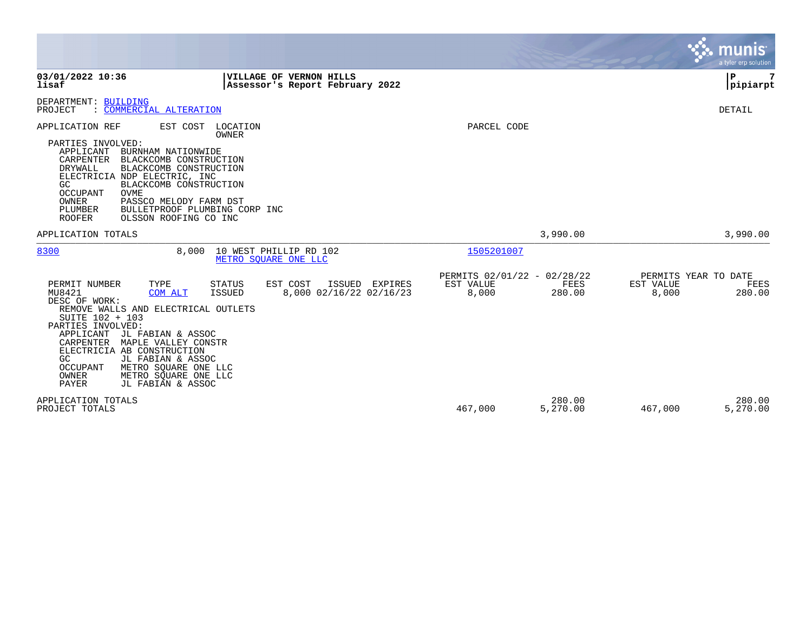|                                                                                                                                                                                                                                                                                                                                                                                                          |                                                                   |                                                   |                       | munis<br>a tyler erp solution                                |
|----------------------------------------------------------------------------------------------------------------------------------------------------------------------------------------------------------------------------------------------------------------------------------------------------------------------------------------------------------------------------------------------------------|-------------------------------------------------------------------|---------------------------------------------------|-----------------------|--------------------------------------------------------------|
| 03/01/2022 10:36<br>lisaf                                                                                                                                                                                                                                                                                                                                                                                | <b>VILLAGE OF VERNON HILLS</b><br>Assessor's Report February 2022 |                                                   |                       | ∣P<br>7<br> pipiarpt                                         |
| DEPARTMENT: BUILDING<br>PROJECT<br>: COMMERCIAL ALTERATION                                                                                                                                                                                                                                                                                                                                               |                                                                   |                                                   |                       | DETAIL                                                       |
| APPLICATION REF<br>EST COST<br>PARTIES INVOLVED:<br>APPLICANT<br>BURNHAM NATIONWIDE<br>CARPENTER<br>BLACKCOMB CONSTRUCTION<br><b>DRYWALL</b><br>BLACKCOMB CONSTRUCTION<br>ELECTRICIA NDP ELECTRIC, INC<br>GC<br>BLACKCOMB CONSTRUCTION<br><b>OVME</b><br><b>OCCUPANT</b><br><b>OWNER</b><br>PASSCO MELODY FARM DST<br>PLUMBER<br>BULLETPROOF PLUMBING CORP INC<br><b>ROOFER</b><br>OLSSON ROOFING CO INC | LOCATION<br><b>OWNER</b>                                          | PARCEL CODE                                       |                       |                                                              |
| APPLICATION TOTALS                                                                                                                                                                                                                                                                                                                                                                                       |                                                                   |                                                   | 3,990.00              | 3,990.00                                                     |
| 8300<br>8,000                                                                                                                                                                                                                                                                                                                                                                                            | 10 WEST PHILLIP RD 102<br>METRO SOUARE ONE LLC                    | 1505201007                                        |                       |                                                              |
| PERMIT NUMBER<br>TYPE<br>STATUS<br>MU8421<br>COM ALT<br>ISSUED<br>DESC OF WORK:<br>REMOVE WALLS AND ELECTRICAL OUTLETS<br>SUITE 102 + 103<br>PARTIES INVOLVED:<br>APPLICANT JL FABIAN & ASSOC<br>CARPENTER MAPLE VALLEY CONSTR<br>ELECTRICIA AB CONSTRUCTION<br>GC<br>JL FABIAN & ASSOC<br>METRO SQUARE ONE LLC<br>OCCUPANT<br>OWNER<br>METRO SQUARE ONE LLC<br><b>PAYER</b><br>JL FABIAN & ASSOC        | EST COST<br>ISSUED EXPIRES<br>8,000 02/16/22 02/16/23             | PERMITS 02/01/22 - 02/28/22<br>EST VALUE<br>8,000 | <b>FEES</b><br>280.00 | PERMITS YEAR TO DATE<br>EST VALUE<br>FEES<br>8,000<br>280.00 |
| APPLICATION TOTALS<br>PROJECT TOTALS                                                                                                                                                                                                                                                                                                                                                                     |                                                                   | 467,000                                           | 280.00<br>5,270.00    | 280.00<br>5,270.00<br>467,000                                |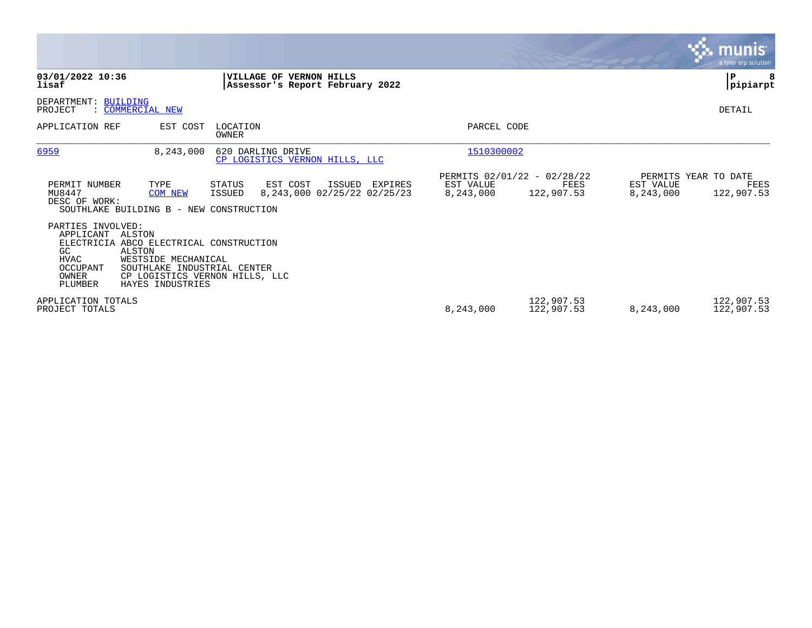|                                                                               |                                                                                                                                                                         |                         |                                                            |         |                        |                                                   |                        | munis<br>a tyler erp solution              |
|-------------------------------------------------------------------------------|-------------------------------------------------------------------------------------------------------------------------------------------------------------------------|-------------------------|------------------------------------------------------------|---------|------------------------|---------------------------------------------------|------------------------|--------------------------------------------|
| 03/01/2022 10:36<br>lisaf                                                     |                                                                                                                                                                         |                         | VILLAGE OF VERNON HILLS<br>Assessor's Report February 2022 |         |                        |                                                   |                        | P<br> pipiarpt                             |
| DEPARTMENT: BUILDING<br>PROJECT                                               | : COMMERCIAL NEW                                                                                                                                                        |                         |                                                            |         |                        |                                                   |                        | DETAIL                                     |
| APPLICATION REF                                                               | EST COST                                                                                                                                                                | LOCATION<br>OWNER       |                                                            |         | PARCEL CODE            |                                                   |                        |                                            |
| 6959                                                                          | 8,243,000                                                                                                                                                               | 620 DARLING DRIVE       | CP LOGISTICS VERNON HILLS, LLC                             |         | 1510300002             |                                                   |                        |                                            |
| PERMIT NUMBER<br>MU8447<br>DESC OF WORK:                                      | TYPE<br><b>COM NEW</b><br>SOUTHLAKE BUILDING B - NEW CONSTRUCTION                                                                                                       | <b>STATUS</b><br>ISSUED | EST COST<br>ISSUED<br>8,243,000 02/25/22 02/25/23          | EXPIRES | EST VALUE<br>8,243,000 | PERMITS 02/01/22 - 02/28/22<br>FEES<br>122,907.53 | EST VALUE<br>8,243,000 | PERMITS YEAR TO DATE<br>FEES<br>122,907.53 |
| PARTIES INVOLVED:<br>APPLICANT<br>GC.<br>HVAC<br>OCCUPANT<br>OWNER<br>PLUMBER | ALSTON<br>ELECTRICIA ABCO ELECTRICAL CONSTRUCTION<br>ALSTON<br>WESTSIDE MECHANICAL<br>SOUTHLAKE INDUSTRIAL CENTER<br>CP LOGISTICS VERNON HILLS, LLC<br>HAYES INDUSTRIES |                         |                                                            |         |                        |                                                   |                        |                                            |
| APPLICATION TOTALS<br>PROJECT TOTALS                                          |                                                                                                                                                                         |                         |                                                            |         | 8,243,000              | 122,907.53<br>122,907.53                          | 8,243,000              | 122,907.53<br>122,907.53                   |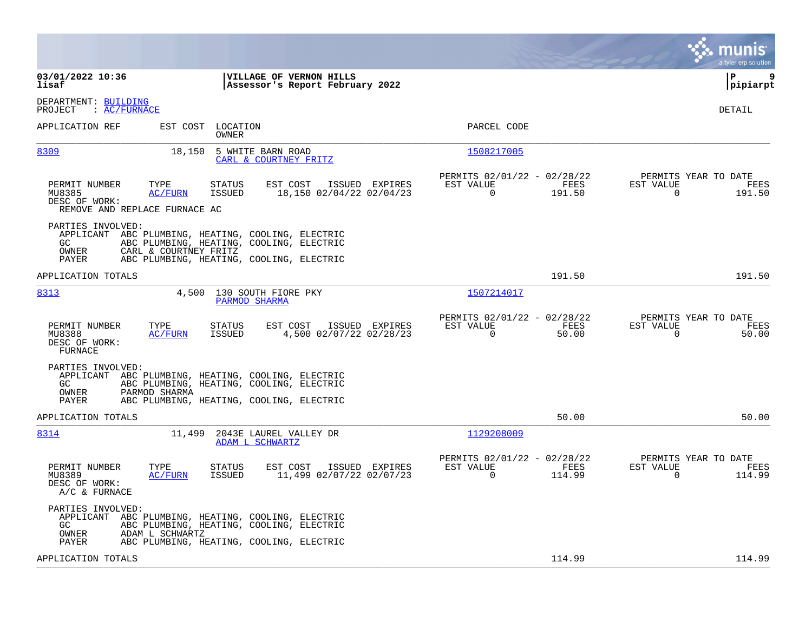|                                                                                                                                                                                                                   |                                                                          | munis<br>a tyler erp solution                                     |
|-------------------------------------------------------------------------------------------------------------------------------------------------------------------------------------------------------------------|--------------------------------------------------------------------------|-------------------------------------------------------------------|
| 03/01/2022 10:36<br><b>VILLAGE OF VERNON HILLS</b><br>lisaf<br>Assessor's Report February 2022                                                                                                                    |                                                                          | lР<br>9<br> pipiarpt                                              |
| DEPARTMENT: BUILDING<br>: AC/FURNACE<br>PROJECT                                                                                                                                                                   |                                                                          | <b>DETAIL</b>                                                     |
| APPLICATION REF<br>EST COST<br>LOCATION<br>OWNER                                                                                                                                                                  | PARCEL CODE                                                              |                                                                   |
| 8309<br>18,150<br>5 WHITE BARN ROAD<br>CARL & COURTNEY FRITZ                                                                                                                                                      | 1508217005                                                               |                                                                   |
| PERMIT NUMBER<br>TYPE<br>STATUS<br>EST COST<br>ISSUED EXPIRES<br>MU8385<br>AC/FURN<br>ISSUED<br>18,150 02/04/22 02/04/23<br>DESC OF WORK:<br>REMOVE AND REPLACE FURNACE AC                                        | PERMITS 02/01/22 - 02/28/22<br>EST VALUE<br>FEES<br>$\Omega$<br>191.50   | PERMITS YEAR TO DATE<br>EST VALUE<br>FEES<br>$\Omega$<br>191.50   |
| PARTIES INVOLVED:<br>APPLICANT ABC PLUMBING, HEATING, COOLING, ELECTRIC<br>GC.<br>ABC PLUMBING, HEATING, COOLING, ELECTRIC<br>OWNER<br>CARL & COURTNEY FRITZ<br>PAYER<br>ABC PLUMBING, HEATING, COOLING, ELECTRIC |                                                                          |                                                                   |
| APPLICATION TOTALS                                                                                                                                                                                                | 191.50                                                                   | 191.50                                                            |
| 8313<br>4,500 130 SOUTH FIORE PKY<br><b>PARMOD SHARMA</b>                                                                                                                                                         | 1507214017                                                               |                                                                   |
| PERMIT NUMBER<br>TYPE<br>STATUS<br>EST COST<br>ISSUED EXPIRES<br><b>ISSUED</b><br>4,500 02/07/22 02/28/23<br>MU8388<br><b>AC/FURN</b><br>DESC OF WORK:<br>FURNACE                                                 | PERMITS 02/01/22 - 02/28/22<br>EST VALUE<br>FEES<br>$\mathbf 0$<br>50.00 | PERMITS YEAR TO DATE<br>EST VALUE<br>FEES<br>$\mathbf 0$<br>50.00 |
| PARTIES INVOLVED:<br>APPLICANT ABC PLUMBING, HEATING, COOLING, ELECTRIC<br>GC<br>ABC PLUMBING, HEATING, COOLING, ELECTRIC<br>OWNER<br>PARMOD SHARMA<br>PAYER<br>ABC PLUMBING, HEATING, COOLING, ELECTRIC          |                                                                          |                                                                   |
| APPLICATION TOTALS                                                                                                                                                                                                | 50.00                                                                    | 50.00                                                             |
| 8314<br>11,499<br>2043E LAUREL VALLEY DR<br>ADAM L SCHWARTZ                                                                                                                                                       | 1129208009                                                               |                                                                   |
| EST COST<br>ISSUED EXPIRES<br>PERMIT NUMBER<br>TYPE<br>STATUS<br>MU8389<br>AC/FURN<br>ISSUED<br>11,499 02/07/22 02/07/23<br>DESC OF WORK:<br>$A/C$ & FURNACE                                                      | PERMITS 02/01/22 - 02/28/22<br>EST VALUE<br>FEES<br>114.99<br>0          | PERMITS YEAR TO DATE<br>EST VALUE<br>FEES<br>0<br>114.99          |
| PARTIES INVOLVED:<br>APPLICANT ABC PLUMBING, HEATING, COOLING, ELECTRIC<br>ABC PLUMBING, HEATING, COOLING, ELECTRIC<br>GC.<br>ADAM L SCHWARTZ<br>OWNER<br>PAYER<br>ABC PLUMBING, HEATING, COOLING, ELECTRIC       |                                                                          |                                                                   |
| APPLICATION TOTALS                                                                                                                                                                                                | 114.99                                                                   | 114.99                                                            |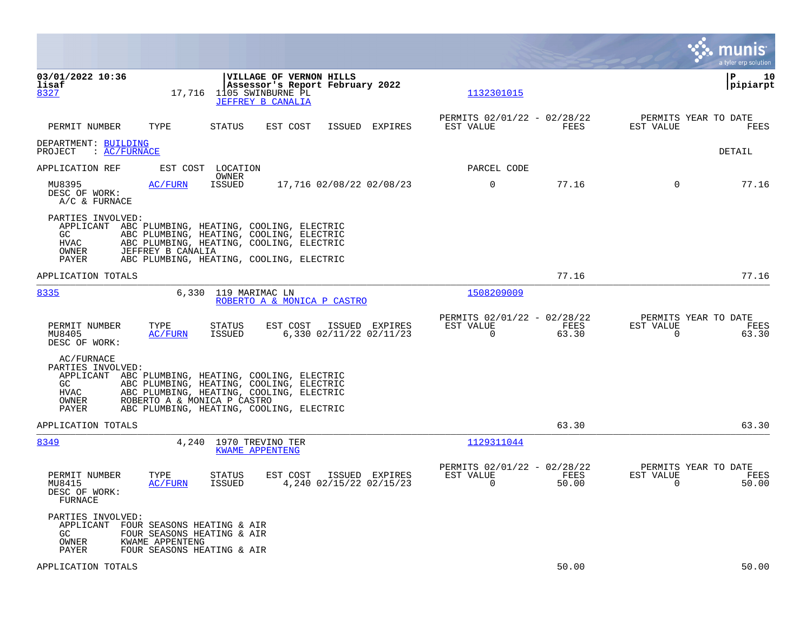|                                                                                                                                                                                                                                                                                                 |                                                                       | munis<br>a tyler erp solution                                  |
|-------------------------------------------------------------------------------------------------------------------------------------------------------------------------------------------------------------------------------------------------------------------------------------------------|-----------------------------------------------------------------------|----------------------------------------------------------------|
| 03/01/2022 10:36<br>VILLAGE OF VERNON HILLS<br>lisaf<br>Assessor's Report February 2022<br>8327<br>1105 SWINBURNE PL<br>17,716<br><b>JEFFREY B CANALIA</b>                                                                                                                                      | 1132301015                                                            | ∣P<br>10<br>pipiarpt                                           |
| TYPE<br>PERMIT NUMBER<br>STATUS<br>EST COST<br>ISSUED EXPIRES                                                                                                                                                                                                                                   | PERMITS 02/01/22 - 02/28/22<br>EST VALUE<br>FEES                      | PERMITS YEAR TO DATE<br>EST VALUE<br>FEES                      |
| DEPARTMENT: BUILDING<br>PROJECT<br>: AC/FURNACE                                                                                                                                                                                                                                                 |                                                                       | <b>DETAIL</b>                                                  |
| APPLICATION REF<br>EST COST LOCATION                                                                                                                                                                                                                                                            | PARCEL CODE                                                           |                                                                |
| OWNER<br>MU8395<br><b>AC/FURN</b><br>ISSUED<br>17,716 02/08/22 02/08/23<br>DESC OF WORK:<br>$A/C$ & FURNACE                                                                                                                                                                                     | $\mathbf 0$<br>77.16                                                  | $\mathbf 0$<br>77.16                                           |
| PARTIES INVOLVED:<br>APPLICANT ABC PLUMBING, HEATING, COOLING, ELECTRIC<br>ABC PLUMBING, HEATING, COOLING, ELECTRIC<br>GC.<br>HVAC<br>ABC PLUMBING, HEATING, COOLING, ELECTRIC<br>OWNER<br>JEFFREY B CANALIA<br>ABC PLUMBING, HEATING, COOLING, ELECTRIC<br>PAYER                               |                                                                       |                                                                |
| APPLICATION TOTALS                                                                                                                                                                                                                                                                              | 77.16                                                                 | 77.16                                                          |
| 8335<br>6,330 119 MARIMAC LN<br>ROBERTO A & MONICA P CASTRO                                                                                                                                                                                                                                     | 1508209009                                                            |                                                                |
| PERMIT NUMBER<br>TYPE<br><b>STATUS</b><br>EST COST<br>ISSUED EXPIRES<br>MU8405<br><b>AC/FURN</b><br>ISSUED<br>6,330 02/11/22 02/11/23<br>DESC OF WORK:                                                                                                                                          | PERMITS 02/01/22 - 02/28/22<br>EST VALUE<br>FEES<br>$\Omega$<br>63.30 | PERMITS YEAR TO DATE<br>EST VALUE<br>FEES<br>$\Omega$<br>63.30 |
| AC/FURNACE<br>PARTIES INVOLVED:<br>APPLICANT ABC PLUMBING, HEATING, COOLING, ELECTRIC<br>GC<br>ABC PLUMBING, HEATING, COOLING, ELECTRIC<br><b>HVAC</b><br>ABC PLUMBING, HEATING, COOLING, ELECTRIC<br>OWNER<br>ROBERTO A & MONICA P CASTRO<br>ABC PLUMBING, HEATING, COOLING, ELECTRIC<br>PAYER |                                                                       |                                                                |
| APPLICATION TOTALS                                                                                                                                                                                                                                                                              | 63.30                                                                 | 63.30                                                          |
| 8349<br>4,240<br>1970 TREVINO TER<br>KWAME APPENTENG                                                                                                                                                                                                                                            | 1129311044                                                            |                                                                |
| EST COST<br>PERMIT NUMBER<br>TYPE<br><b>STATUS</b><br>ISSUED EXPIRES<br>4,240 02/15/22 02/15/23<br>MU8415<br>AC/FURN<br><b>ISSUED</b><br>DESC OF WORK:<br>FURNACE                                                                                                                               | PERMITS 02/01/22 - 02/28/22<br>EST VALUE<br>FEES<br>$\Omega$<br>50.00 | PERMITS YEAR TO DATE<br>EST VALUE<br>FEES<br>$\Omega$<br>50.00 |
| PARTIES INVOLVED:<br>APPLICANT<br>FOUR SEASONS HEATING & AIR<br>GC<br>FOUR SEASONS HEATING & AIR<br>OWNER<br>KWAME APPENTENG<br>PAYER<br>FOUR SEASONS HEATING & AIR                                                                                                                             |                                                                       |                                                                |
| APPLICATION TOTALS                                                                                                                                                                                                                                                                              | 50.00                                                                 | 50.00                                                          |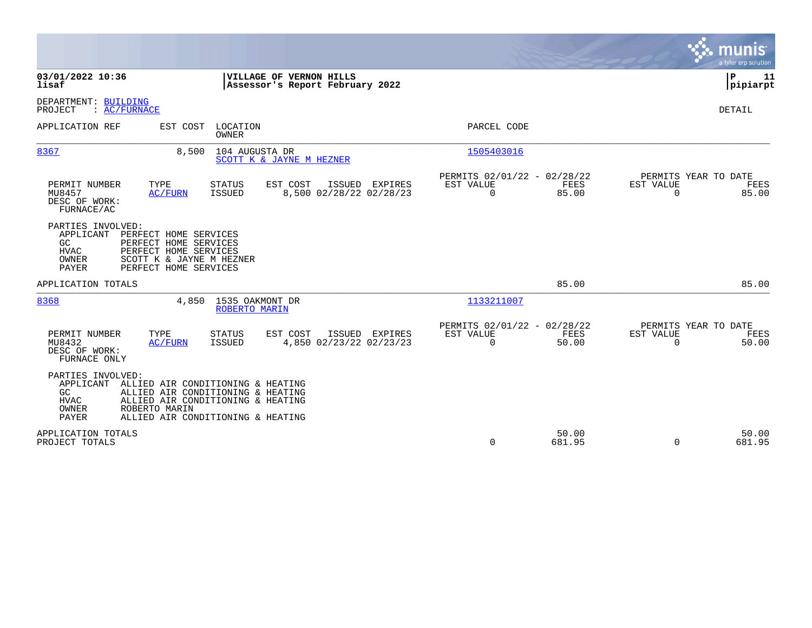|                                                                                                                                                                                                                                     | munis<br>a tyler erp solution                                                                                                           |
|-------------------------------------------------------------------------------------------------------------------------------------------------------------------------------------------------------------------------------------|-----------------------------------------------------------------------------------------------------------------------------------------|
| 03/01/2022 10:36<br>VILLAGE OF VERNON HILLS<br>lisaf<br>Assessor's Report February 2022                                                                                                                                             | P<br>11<br> pipiarpt                                                                                                                    |
| DEPARTMENT: BUILDING<br>PROJECT<br>: AC/FURNACE                                                                                                                                                                                     | <b>DETAIL</b>                                                                                                                           |
| APPLICATION REF<br>EST COST LOCATION<br>OWNER                                                                                                                                                                                       | PARCEL CODE                                                                                                                             |
| 8367<br>104 AUGUSTA DR<br>8,500<br>SCOTT K & JAYNE M HEZNER                                                                                                                                                                         | 1505403016                                                                                                                              |
| EST COST<br>TYPE<br>ISSUED EXPIRES<br>PERMIT NUMBER<br>STATUS<br>8,500 02/28/22 02/28/23<br>MU8457<br>AC/FURN<br>ISSUED<br>DESC OF WORK:<br>FURNACE/AC                                                                              | PERMITS 02/01/22 - 02/28/22<br>PERMITS YEAR TO DATE<br>FEES<br>EST VALUE<br>EST VALUE<br>FEES<br>$\Omega$<br>85.00<br>$\Omega$<br>85.00 |
| PARTIES INVOLVED:<br>APPLICANT<br>PERFECT HOME SERVICES<br>GC.<br>PERFECT HOME SERVICES<br><b>HVAC</b><br>PERFECT HOME SERVICES<br>OWNER<br>SCOTT K & JAYNE M HEZNER<br>PAYER<br>PERFECT HOME SERVICES                              |                                                                                                                                         |
| APPLICATION TOTALS                                                                                                                                                                                                                  | 85.00<br>85.00                                                                                                                          |
| 8368<br>1535 OAKMONT DR<br>4,850<br>ROBERTO MARIN                                                                                                                                                                                   | 1133211007                                                                                                                              |
| PERMIT NUMBER<br>TYPE<br><b>STATUS</b><br>EST COST<br>ISSUED EXPIRES<br>MU8432<br>4,850 02/23/22 02/23/23<br>AC/FURN<br>ISSUED<br>DESC OF WORK:<br>FURNACE ONLY                                                                     | PERMITS 02/01/22 - 02/28/22<br>PERMITS YEAR TO DATE<br>EST VALUE<br>FEES<br>EST VALUE<br>FEES<br>$\Omega$<br>$\Omega$<br>50.00<br>50.00 |
| PARTIES INVOLVED:<br>APPLICANT<br>ALLIED AIR CONDITIONING & HEATING<br>ALLIED AIR CONDITIONING & HEATING<br>GC<br>ALLIED AIR CONDITIONING & HEATING<br>HVAC<br>ROBERTO MARIN<br>OWNER<br>PAYER<br>ALLIED AIR CONDITIONING & HEATING |                                                                                                                                         |
| APPLICATION TOTALS<br>PROJECT TOTALS                                                                                                                                                                                                | 50.00<br>50.00<br>0<br>681.95<br>681.95<br>$\Omega$                                                                                     |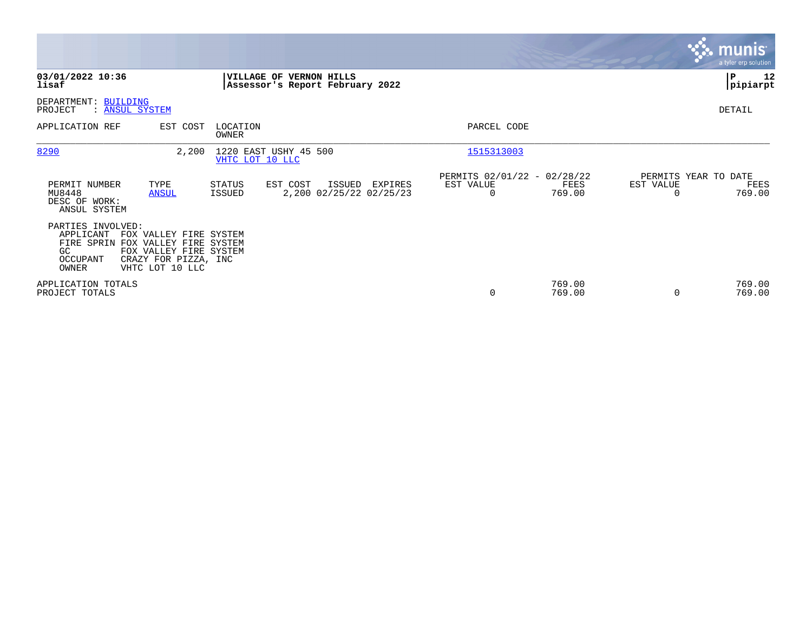|                                                                                                                                                                                                  |                                                                              |                                                                 | munis <sup>®</sup><br>a tyler erp solution                      |
|--------------------------------------------------------------------------------------------------------------------------------------------------------------------------------------------------|------------------------------------------------------------------------------|-----------------------------------------------------------------|-----------------------------------------------------------------|
| 03/01/2022 10:36<br>lisaf                                                                                                                                                                        | <b>VILLAGE OF VERNON HILLS</b><br>Assessor's Report February 2022            |                                                                 | 12<br>P<br> pipiarpt                                            |
| DEPARTMENT: BUILDING<br>PROJECT<br>: ANSUL SYSTEM                                                                                                                                                |                                                                              |                                                                 | DETAIL                                                          |
| APPLICATION REF<br>EST COST                                                                                                                                                                      | LOCATION<br><b>OWNER</b>                                                     | PARCEL CODE                                                     |                                                                 |
| 8290                                                                                                                                                                                             | 1220 EAST USHY 45 500<br>2,200<br>VHTC LOT 10 LLC                            | 1515313003                                                      |                                                                 |
| PERMIT NUMBER<br>TYPE<br>MU8448<br><b>ANSUL</b><br>DESC OF WORK:<br>ANSUL SYSTEM                                                                                                                 | STATUS<br>EST COST<br>ISSUED<br>EXPIRES<br>2,200 02/25/22 02/25/23<br>ISSUED | PERMITS 02/01/22 - 02/28/22<br>EST VALUE<br>FEES<br>769.00<br>0 | PERMITS YEAR TO DATE<br>EST VALUE<br>FEES<br>769.00<br>$\Omega$ |
| PARTIES INVOLVED:<br>APPLICANT<br>FOX VALLEY FIRE SYSTEM<br>FIRE SPRIN<br>FOX VALLEY FIRE SYSTEM<br>GC<br>FOX VALLEY FIRE SYSTEM<br>CRAZY FOR PIZZA, INC<br>OCCUPANT<br>OWNER<br>VHTC LOT 10 LLC |                                                                              |                                                                 |                                                                 |
| APPLICATION TOTALS<br>PROJECT TOTALS                                                                                                                                                             |                                                                              | 769.00<br>0<br>769.00                                           | 769.00<br>$\Omega$<br>769.00                                    |

**Contract**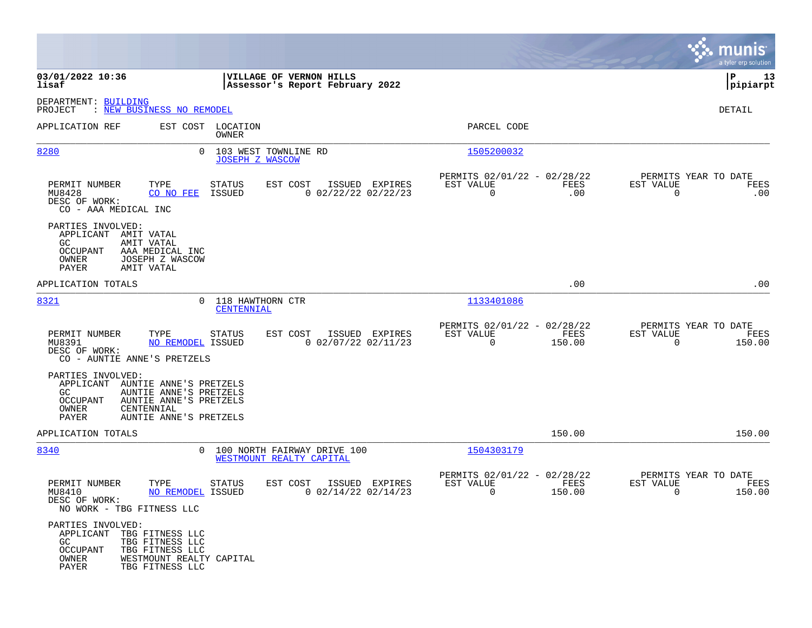|                                                                                                                                                                                       |                                                                                           |                                                                                              | munis<br>a tyler erp solution                                         |
|---------------------------------------------------------------------------------------------------------------------------------------------------------------------------------------|-------------------------------------------------------------------------------------------|----------------------------------------------------------------------------------------------|-----------------------------------------------------------------------|
| 03/01/2022 10:36<br>lisaf                                                                                                                                                             | VILLAGE OF VERNON HILLS<br>Assessor's Report February 2022                                |                                                                                              | ΙP<br>13<br> pipiarpt                                                 |
| DEPARTMENT: BUILDING<br>PROJECT<br>: <u>NEW BUSINESS NO REMODEL</u>                                                                                                                   |                                                                                           |                                                                                              | DETAIL                                                                |
| APPLICATION REF                                                                                                                                                                       | EST COST LOCATION<br>OWNER                                                                | PARCEL CODE                                                                                  |                                                                       |
| 8280                                                                                                                                                                                  | 0 103 WEST TOWNLINE RD<br><b>JOSEPH Z WASCOW</b>                                          | 1505200032                                                                                   |                                                                       |
| TYPE<br>PERMIT NUMBER<br>MU8428<br>CO NO FEE<br>DESC OF WORK:<br>CO - AAA MEDICAL INC                                                                                                 | EST COST<br>ISSUED EXPIRES<br>STATUS<br>ISSUED<br>$0$ 02/22/22 02/22/23                   | PERMITS 02/01/22 - 02/28/22<br>EST VALUE<br>FEES<br>$\overline{0}$<br>.00                    | PERMITS YEAR TO DATE<br>EST VALUE<br>FEES<br>$\Omega$<br>.00          |
| PARTIES INVOLVED:<br>APPLICANT AMIT VATAL<br>AMIT VATAL<br>GC.<br>OCCUPANT<br>AAA MEDICAL INC<br>OWNER<br>JOSEPH Z WASCOW<br>PAYER<br>AMIT VATAL                                      |                                                                                           |                                                                                              |                                                                       |
| APPLICATION TOTALS                                                                                                                                                                    |                                                                                           | .00                                                                                          | .00                                                                   |
| 8321                                                                                                                                                                                  | 0 118 HAWTHORN CTR<br>CENTENNIAL                                                          | 1133401086                                                                                   |                                                                       |
| PERMIT NUMBER<br>TYPE<br>MU8391<br>DESC OF WORK:<br>CO - AUNTIE ANNE'S PRETZELS                                                                                                       | STATUS<br>EST COST<br>ISSUED EXPIRES<br>$0$ 02/07/22 02/11/23<br><b>NO REMODEL ISSUED</b> | PERMITS 02/01/22 - 02/28/22<br>EST VALUE<br><b>EXECUTE: PEES</b><br>150.00<br>$\overline{0}$ | PERMITS YEAR TO DATE<br>EST VALUE<br>FEES<br>$\overline{0}$<br>150.00 |
| PARTIES INVOLVED:<br>APPLICANT AUNTIE ANNE'S PRETZELS<br>GC<br>AUNTIE ANNE'S PRETZELS<br>AUNTIE ANNE'S PRETZELS<br>OCCUPANT<br>OWNER<br>CENTENNIAL<br>PAYER<br>AUNTIE ANNE'S PRETZELS |                                                                                           |                                                                                              |                                                                       |
| APPLICATION TOTALS                                                                                                                                                                    |                                                                                           | 150.00                                                                                       | 150.00                                                                |
| 8340                                                                                                                                                                                  | 0 100 NORTH FAIRWAY DRIVE 100<br>WESTMOUNT REALTY CAPITAL                                 | 1504303179                                                                                   |                                                                       |
| PERMIT NUMBER<br>TYPE<br>MU8410<br>DESC OF WORK:<br>NO WORK - TBG FITNESS LLC                                                                                                         | EST COST ISSUED EXPIRES<br><b>STATUS</b><br>$0$ 02/14/22 02/14/23<br>NO REMODEL ISSUED    | PERMITS 02/01/22 - 02/28/22<br>EST VALUE<br>FEES<br>$\mathbf 0$<br>150.00                    | PERMITS YEAR TO DATE<br>EST VALUE<br>FEES<br>$\mathbf 0$<br>150.00    |
| PARTIES INVOLVED:<br>APPLICANT TBG FITNESS LLC<br>GC<br>TBG FITNESS LLC<br><b>OCCUPANT</b><br>TBG FITNESS LLC<br>WESTMOUNT REALTY CAPITAL<br>OWNER<br>PAYER<br>TBG FITNESS LLC        |                                                                                           |                                                                                              |                                                                       |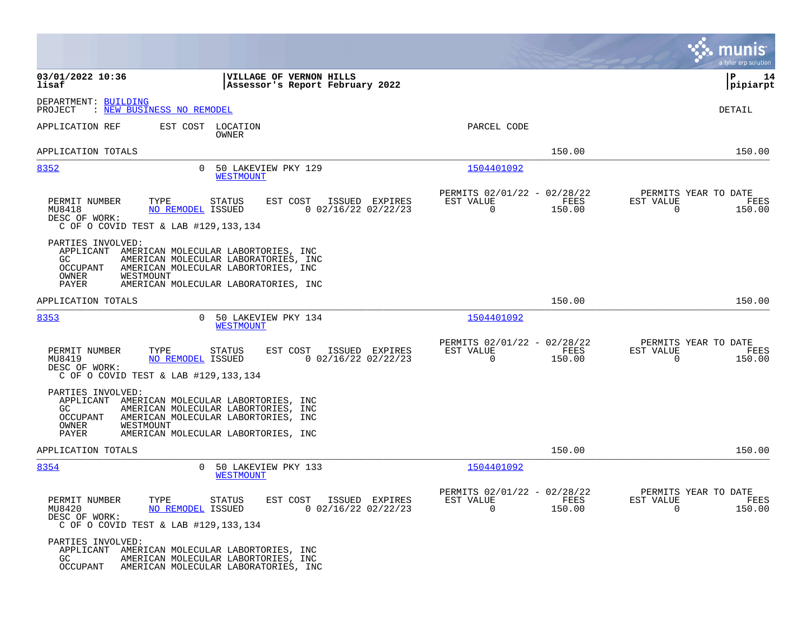|                                                                                                                 |                                                                                                                                                                      |                                                      |                | munis<br>a tyler erp solution                                   |
|-----------------------------------------------------------------------------------------------------------------|----------------------------------------------------------------------------------------------------------------------------------------------------------------------|------------------------------------------------------|----------------|-----------------------------------------------------------------|
| 03/01/2022 10:36<br>lisaf                                                                                       | VILLAGE OF VERNON HILLS<br>Assessor's Report February 2022                                                                                                           |                                                      |                | lР<br>14<br> pipiarpt                                           |
| DEPARTMENT: BUILDING<br>: NEW BUSINESS NO REMODEL<br>PROJECT                                                    |                                                                                                                                                                      |                                                      |                | DETAIL                                                          |
| APPLICATION REF                                                                                                 | EST COST LOCATION<br>OWNER                                                                                                                                           | PARCEL CODE                                          |                |                                                                 |
| APPLICATION TOTALS                                                                                              |                                                                                                                                                                      |                                                      | 150.00         | 150.00                                                          |
| 8352                                                                                                            | $\Omega$<br>50 LAKEVIEW PKY 129<br><b>WESTMOUNT</b>                                                                                                                  | 1504401092                                           |                |                                                                 |
| TYPE<br>PERMIT NUMBER<br>MU8418<br>DESC OF WORK:<br>C OF O COVID TEST & LAB $#129, 133, 134$                    | EST COST<br>STATUS<br>ISSUED EXPIRES<br>NO REMODEL ISSUED<br>$0$ 02/16/22 02/22/23                                                                                   | PERMITS 02/01/22 - 02/28/22<br>EST VALUE<br>$\Omega$ | FEES<br>150.00 | PERMITS YEAR TO DATE<br>EST VALUE<br>FEES<br>$\Omega$<br>150.00 |
| PARTIES INVOLVED:<br>GC<br>OCCUPANT<br>OWNER<br>WESTMOUNT<br>PAYER                                              | APPLICANT AMERICAN MOLECULAR LABORTORIES, INC<br>AMERICAN MOLECULAR LABORATORIES, INC<br>AMERICAN MOLECULAR LABORTORIES, INC<br>AMERICAN MOLECULAR LABORATORIES, INC |                                                      |                |                                                                 |
| APPLICATION TOTALS                                                                                              |                                                                                                                                                                      |                                                      | 150.00         | 150.00                                                          |
| 8353                                                                                                            | $\Omega$<br>50 LAKEVIEW PKY 134<br><b>WESTMOUNT</b>                                                                                                                  | 1504401092                                           |                |                                                                 |
| PERMIT NUMBER<br>TYPE<br>MU8419<br>DESC OF WORK:<br>C OF O COVID TEST & LAB #129, 133, 134                      | EST COST ISSUED EXPIRES<br>STATUS<br><b>NO REMODEL ISSUED</b><br>$0$ 02/16/22 02/22/23                                                                               | PERMITS 02/01/22 - 02/28/22<br>EST VALUE<br>$\Omega$ | FEES<br>150.00 | PERMITS YEAR TO DATE<br>EST VALUE<br>FEES<br>$\Omega$<br>150.00 |
| PARTIES INVOLVED:<br>GC<br>OCCUPANT<br>OWNER<br>WESTMOUNT<br>PAYER                                              | APPLICANT AMERICAN MOLECULAR LABORTORIES, INC<br>AMERICAN MOLECULAR LABORTORIES, INC<br>AMERICAN MOLECULAR LABORTORIES, INC<br>AMERICAN MOLECULAR LABORTORIES, INC   |                                                      |                |                                                                 |
| APPLICATION TOTALS                                                                                              |                                                                                                                                                                      |                                                      | 150.00         | 150.00                                                          |
| 8354                                                                                                            | 0<br>50 LAKEVIEW PKY 133<br><b>WESTMOUNT</b>                                                                                                                         | 1504401092                                           |                |                                                                 |
| TYPE<br>PERMIT NUMBER<br>MU8420<br>DESC OF WORK:<br>C OF O COVID TEST & LAB #129, 133, 134<br>PARTIES INVOLVED: | EST COST ISSUED EXPIRES<br>STATUS<br><b>NO REMODEL ISSUED</b><br>$0$ 02/16/22 02/22/23                                                                               | PERMITS 02/01/22 - 02/28/22<br>EST VALUE<br>$\Omega$ | FEES<br>150.00 | PERMITS YEAR TO DATE<br>EST VALUE<br>FEES<br>$\Omega$<br>150.00 |
| GC.<br>OCCUPANT                                                                                                 | APPLICANT AMERICAN MOLECULAR LABORTORIES, INC<br>AMERICAN MOLECULAR LABORTORIES, INC<br>AMERICAN MOLECULAR LABORATORIES, INC                                         |                                                      |                |                                                                 |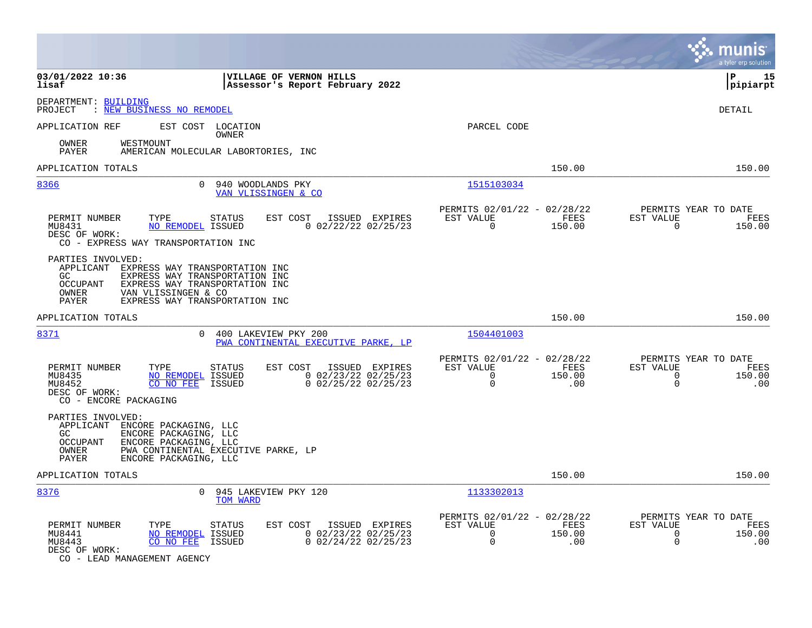|                                                                                                                                                                                                                                           |                                                                                       | munis<br>a tyler erp solution                                                            |
|-------------------------------------------------------------------------------------------------------------------------------------------------------------------------------------------------------------------------------------------|---------------------------------------------------------------------------------------|------------------------------------------------------------------------------------------|
| 03/01/2022 10:36<br>VILLAGE OF VERNON HILLS<br>lisaf<br>Assessor's Report February 2022                                                                                                                                                   |                                                                                       | P<br>15<br> pipiarpt                                                                     |
| DEPARTMENT: BUILDING<br>: NEW BUSINESS NO REMODEL<br>PROJECT                                                                                                                                                                              |                                                                                       | <b>DETAIL</b>                                                                            |
| APPLICATION REF<br>EST COST LOCATION<br>OWNER<br>OWNER<br>WESTMOUNT                                                                                                                                                                       | PARCEL CODE                                                                           |                                                                                          |
| PAYER<br>AMERICAN MOLECULAR LABORTORIES, INC                                                                                                                                                                                              |                                                                                       |                                                                                          |
| APPLICATION TOTALS                                                                                                                                                                                                                        | 150.00                                                                                | 150.00                                                                                   |
| 8366<br>940 WOODLANDS PKY<br>$\Omega$<br>VAN VLISSINGEN & CO                                                                                                                                                                              | 1515103034                                                                            |                                                                                          |
| PERMIT NUMBER<br>TYPE<br>EST COST<br>ISSUED EXPIRES<br>STATUS<br>$0$ 02/22/22 02/25/23<br>MU8431<br>NO REMODEL ISSUED<br>DESC OF WORK:<br>CO - EXPRESS WAY TRANSPORTATION INC                                                             | PERMITS 02/01/22 - 02/28/22<br>FEES<br>EST VALUE<br>$\mathbf 0$<br>150.00             | PERMITS YEAR TO DATE<br>EST VALUE<br>FEES<br>$\mathbf 0$<br>150.00                       |
| PARTIES INVOLVED:<br>APPLICANT<br>EXPRESS WAY TRANSPORTATION INC<br>EXPRESS WAY TRANSPORTATION INC<br>GC.<br><b>OCCUPANT</b><br>EXPRESS WAY TRANSPORTATION INC<br>OWNER<br>VAN VLISSINGEN & CO<br>PAYER<br>EXPRESS WAY TRANSPORTATION INC |                                                                                       |                                                                                          |
| APPLICATION TOTALS                                                                                                                                                                                                                        | 150.00                                                                                | 150.00                                                                                   |
| 8371<br>$\Omega$<br>400 LAKEVIEW PKY 200<br>PWA CONTINENTAL EXECUTIVE PARKE, LP                                                                                                                                                           | 1504401003                                                                            |                                                                                          |
| PERMIT NUMBER<br>TYPE<br><b>STATUS</b><br>EST COST<br>ISSUED EXPIRES<br>$0$ 02/23/22 02/25/23<br>MU8435<br>NO REMODEL ISSUED<br>$0$ 02/25/22 02/25/23<br>MU8452<br>CO NO FEE<br>ISSUED<br>DESC OF WORK:<br>CO - ENCORE PACKAGING          | PERMITS 02/01/22 - 02/28/22<br>FEES<br>EST VALUE<br>0<br>150.00<br>$\mathbf 0$<br>.00 | PERMITS YEAR TO DATE<br>EST VALUE<br>FEES<br>$\mathbf 0$<br>150.00<br>$\mathbf 0$<br>.00 |
| PARTIES INVOLVED:<br>APPLICANT<br>ENCORE PACKAGING, LLC<br>ENCORE PACKAGING, LLC<br>GC.<br>OCCUPANT<br>ENCORE PACKAGING, LLC<br>OWNER<br>PWA CONTINENTAL EXECUTIVE PARKE, LP<br>PAYER<br>ENCORE PACKAGING, LLC                            |                                                                                       |                                                                                          |
| APPLICATION TOTALS                                                                                                                                                                                                                        | 150.00                                                                                | 150.00                                                                                   |
| 8376<br>$\overline{0}$<br>945 LAKEVIEW PKY 120<br><b>TOM WARD</b>                                                                                                                                                                         | 1133302013                                                                            |                                                                                          |
| PERMIT NUMBER<br>TYPE<br>EST COST<br>ISSUED EXPIRES<br>STATUS<br>$0$ 02/23/22 02/25/23<br>MU8441<br>NO REMODEL ISSUED<br>$0$ 02/24/22 02/25/23<br>MU8443<br>CO NO FEE<br>ISSUED<br>DESC OF WORK:<br>CO - LEAD MANAGEMENT AGENCY           | PERMITS 02/01/22 - 02/28/22<br>EST VALUE<br>FEES<br>0<br>150.00<br>0<br>.00           | PERMITS YEAR TO DATE<br>EST VALUE<br>FEES<br>$\mathbf 0$<br>150.00<br>0<br>.00           |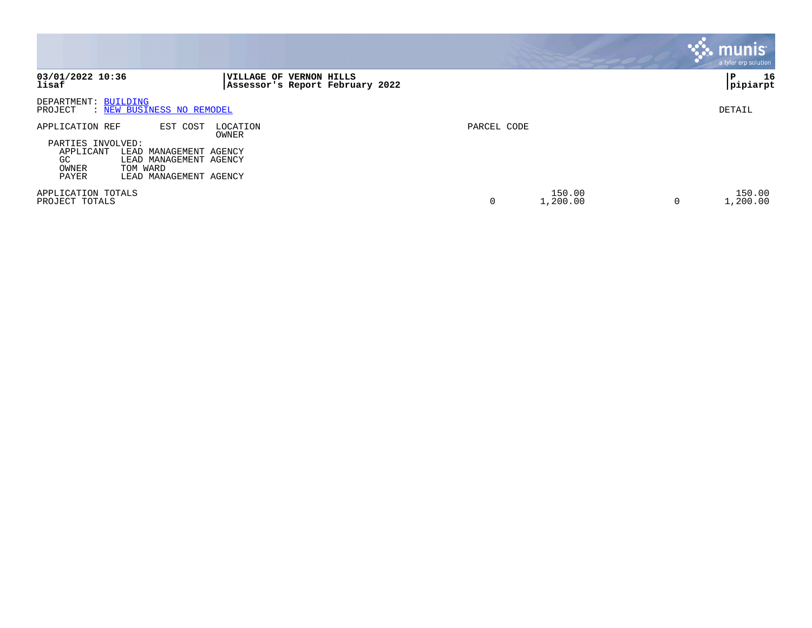|                                                                                                                                                                                  |                                                                   |             |                    | <b>munis</b><br>a tyler erp solution |
|----------------------------------------------------------------------------------------------------------------------------------------------------------------------------------|-------------------------------------------------------------------|-------------|--------------------|--------------------------------------|
| 03/01/2022 10:36<br>lisaf                                                                                                                                                        | <b>VILLAGE OF VERNON HILLS</b><br>Assessor's Report February 2022 |             |                    | 16<br>P<br> pipiarpt                 |
| DEPARTMENT: BUILDING<br>: NEW BUSINESS NO REMODEL<br>PROJECT                                                                                                                     |                                                                   |             |                    | DETAIL                               |
| APPLICATION REF<br>EST COST<br>PARTIES INVOLVED:<br>APPLICANT<br>LEAD MANAGEMENT AGENCY<br>GC.<br>LEAD MANAGEMENT AGENCY<br>OWNER<br>TOM WARD<br>PAYER<br>LEAD MANAGEMENT AGENCY | LOCATION<br>OWNER                                                 | PARCEL CODE |                    |                                      |
| APPLICATION TOTALS<br>PROJECT TOTALS                                                                                                                                             |                                                                   | 0           | 150.00<br>1,200.00 | 150.00<br>1,200.00<br>0              |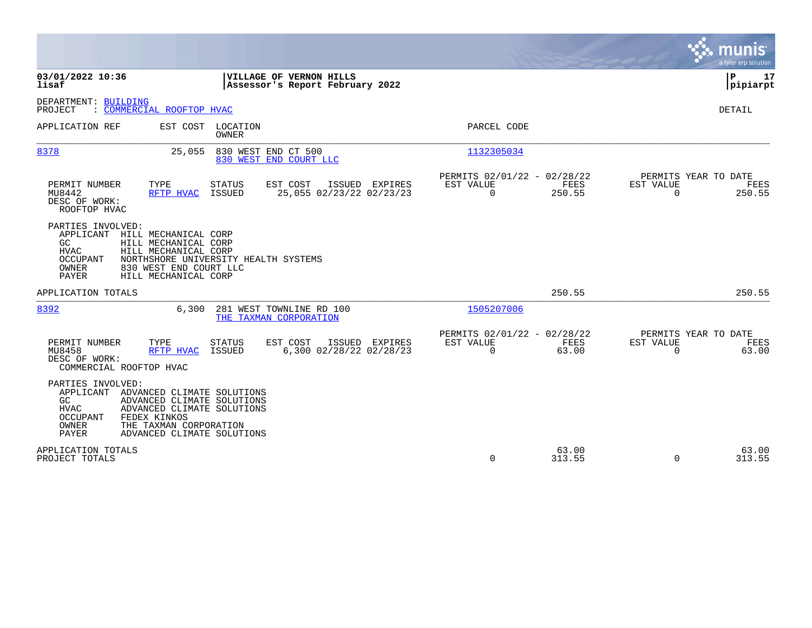|                                                                                                                                                                                                                                                     |                                                                        | munis<br>a tyler erp solution                                   |
|-----------------------------------------------------------------------------------------------------------------------------------------------------------------------------------------------------------------------------------------------------|------------------------------------------------------------------------|-----------------------------------------------------------------|
| 03/01/2022 10:36<br>VILLAGE OF VERNON HILLS<br>Assessor's Report February 2022<br>lisaf                                                                                                                                                             |                                                                        | ΙP<br>17<br> pipiarpt                                           |
| DEPARTMENT: BUILDING<br>: COMMERCIAL ROOFTOP HVAC<br>PROJECT                                                                                                                                                                                        |                                                                        | <b>DETAIL</b>                                                   |
| APPLICATION REF<br>EST COST LOCATION<br><b>OWNER</b>                                                                                                                                                                                                | PARCEL CODE                                                            |                                                                 |
| 8378<br>25,055<br>830 WEST END CT 500<br>830 WEST END COURT LLC                                                                                                                                                                                     | 1132305034                                                             |                                                                 |
| TYPE<br>EST COST<br>PERMIT NUMBER<br><b>STATUS</b><br>ISSUED EXPIRES<br>MU8442<br>25,055 02/23/22 02/23/23<br>RFTP HVAC<br>ISSUED<br>DESC OF WORK:<br>ROOFTOP HVAC                                                                                  | PERMITS 02/01/22 - 02/28/22<br>EST VALUE<br>FEES<br>$\Omega$<br>250.55 | PERMITS YEAR TO DATE<br>EST VALUE<br>FEES<br>$\Omega$<br>250.55 |
| PARTIES INVOLVED:<br>APPLICANT<br>HILL MECHANICAL CORP<br>GC<br>HILL MECHANICAL CORP<br><b>HVAC</b><br>HILL MECHANICAL CORP<br>NORTHSHORE UNIVERSITY HEALTH SYSTEMS<br>OCCUPANT<br>OWNER<br>830 WEST END COURT LLC<br>PAYER<br>HILL MECHANICAL CORP |                                                                        |                                                                 |
| APPLICATION TOTALS                                                                                                                                                                                                                                  | 250.55                                                                 | 250.55                                                          |
| 281 WEST TOWNLINE RD 100<br>8392<br>6,300<br>THE TAXMAN CORPORATION                                                                                                                                                                                 | 1505207006                                                             |                                                                 |
| PERMIT NUMBER<br>EST COST<br>ISSUED<br>EXPIRES<br>TYPE<br>STATUS<br>MU8458<br>6,300 02/28/22 02/28/23<br>RFTP HVAC<br>ISSUED<br>DESC OF WORK:<br>COMMERCIAL ROOFTOP HVAC                                                                            | PERMITS 02/01/22 - 02/28/22<br>EST VALUE<br>FEES<br>$\Omega$<br>63.00  | PERMITS YEAR TO DATE<br>EST VALUE<br>FEES<br>$\Omega$<br>63.00  |
| PARTIES INVOLVED:<br>APPLICANT ADVANCED CLIMATE SOLUTIONS<br>GC.<br>ADVANCED CLIMATE SOLUTIONS<br>HVAC<br>ADVANCED CLIMATE SOLUTIONS<br>FEDEX KINKOS<br>OCCUPANT<br>OWNER<br>THE TAXMAN CORPORATION<br>PAYER<br>ADVANCED CLIMATE SOLUTIONS          |                                                                        |                                                                 |
| APPLICATION TOTALS<br>PROJECT TOTALS                                                                                                                                                                                                                | 63.00<br>0<br>313.55                                                   | 63.00<br>313.55<br>$\Omega$                                     |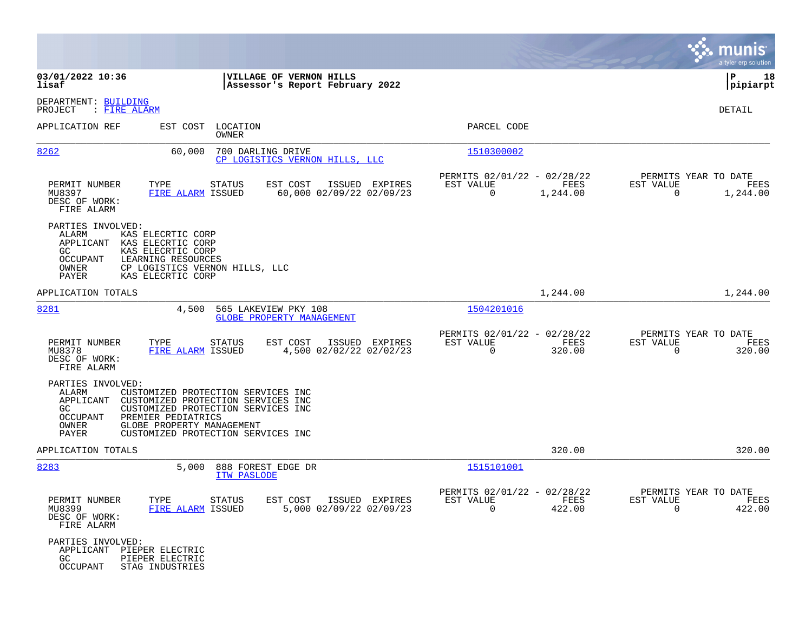|                                                                                                                                                                                       |                                                                                                                                                                                   |                                                                             | munis<br>a tyler erp solution                                     |
|---------------------------------------------------------------------------------------------------------------------------------------------------------------------------------------|-----------------------------------------------------------------------------------------------------------------------------------------------------------------------------------|-----------------------------------------------------------------------------|-------------------------------------------------------------------|
| 03/01/2022 10:36<br>lisaf                                                                                                                                                             | VILLAGE OF VERNON HILLS<br>Assessor's Report February 2022                                                                                                                        |                                                                             | ΙP<br>18<br> pipiarpt                                             |
| DEPARTMENT: BUILDING<br>: FIRE ALARM<br>PROJECT                                                                                                                                       |                                                                                                                                                                                   |                                                                             | DETAIL                                                            |
| APPLICATION REF                                                                                                                                                                       | EST COST LOCATION<br>OWNER                                                                                                                                                        | PARCEL CODE                                                                 |                                                                   |
| 8262                                                                                                                                                                                  | 60,000<br>700 DARLING DRIVE<br>CP LOGISTICS VERNON HILLS, LLC                                                                                                                     | 1510300002                                                                  |                                                                   |
| PERMIT NUMBER<br>TYPE<br>MU8397<br>DESC OF WORK:<br>FIRE ALARM                                                                                                                        | EST COST<br>ISSUED EXPIRES<br>STATUS<br>60,000 02/09/22 02/09/23<br>FIRE ALARM ISSUED                                                                                             | PERMITS 02/01/22 - 02/28/22<br>EST VALUE<br>FEES<br>$\mathbf 0$<br>1,244.00 | PERMITS YEAR TO DATE<br>EST VALUE<br>FEES<br>1,244.00<br>$\Omega$ |
| PARTIES INVOLVED:<br>ALARM<br>KAS ELECRTIC CORP<br>APPLICANT<br>KAS ELECRTIC CORP<br>KAS ELECRTIC CORP<br>GC<br>OCCUPANT<br>LEARNING RESOURCES<br>OWNER<br>KAS ELECRTIC CORP<br>PAYER | CP LOGISTICS VERNON HILLS, LLC                                                                                                                                                    |                                                                             |                                                                   |
| APPLICATION TOTALS                                                                                                                                                                    |                                                                                                                                                                                   | 1,244.00                                                                    | 1,244.00                                                          |
| 8281                                                                                                                                                                                  | 4,500<br>565 LAKEVIEW PKY 108<br>GLOBE PROPERTY MANAGEMENT                                                                                                                        | 1504201016                                                                  |                                                                   |
| PERMIT NUMBER<br>TYPE<br>MU8378<br>DESC OF WORK:<br>FIRE ALARM                                                                                                                        | EST COST<br>ISSUED EXPIRES<br>STATUS<br>4,500 02/02/22 02/02/23<br>FIRE ALARM ISSUED                                                                                              | PERMITS 02/01/22 - 02/28/22<br>EST VALUE<br>FEES<br>$\Omega$<br>320.00      | PERMITS YEAR TO DATE<br>EST VALUE<br>FEES<br>0<br>320.00          |
| PARTIES INVOLVED:<br>ALARM<br>APPLICANT<br>GC.<br><b>OCCUPANT</b><br>PREMIER PEDIATRICS<br>OWNER<br>PAYER                                                                             | CUSTOMIZED PROTECTION SERVICES INC<br>CUSTOMIZED PROTECTION SERVICES INC<br>CUSTOMIZED PROTECTION SERVICES INC<br>GLOBE PROPERTY MANAGEMENT<br>CUSTOMIZED PROTECTION SERVICES INC |                                                                             |                                                                   |
| APPLICATION TOTALS                                                                                                                                                                    |                                                                                                                                                                                   | 320.00                                                                      | 320.00                                                            |
| 8283                                                                                                                                                                                  | 5,000<br>888 FOREST EDGE DR<br>ITW PASLODE                                                                                                                                        | <u>1515101001</u>                                                           |                                                                   |
| PERMIT NUMBER<br>MU8399<br>DESC OF WORK:<br>FIRE ALARM                                                                                                                                | TYPE STATUS<br>EST COST ISSUED EXPIRES<br>FIRE ALARM ISSUED<br>5,000 02/09/22 02/09/23                                                                                            | PERMITS 02/01/22 - 02/28/22<br>EST VALUE<br>FEES<br>$\Omega$<br>422.00      | PERMITS YEAR TO DATE<br>EST VALUE<br>FEES<br>$\Omega$<br>422.00   |
| PARTIES INVOLVED:<br>APPLICANT PIEPER ELECTRIC<br>GC<br>PIEPER ELECTRIC<br>OCCUPANT<br>STAG INDUSTRIES                                                                                |                                                                                                                                                                                   |                                                                             |                                                                   |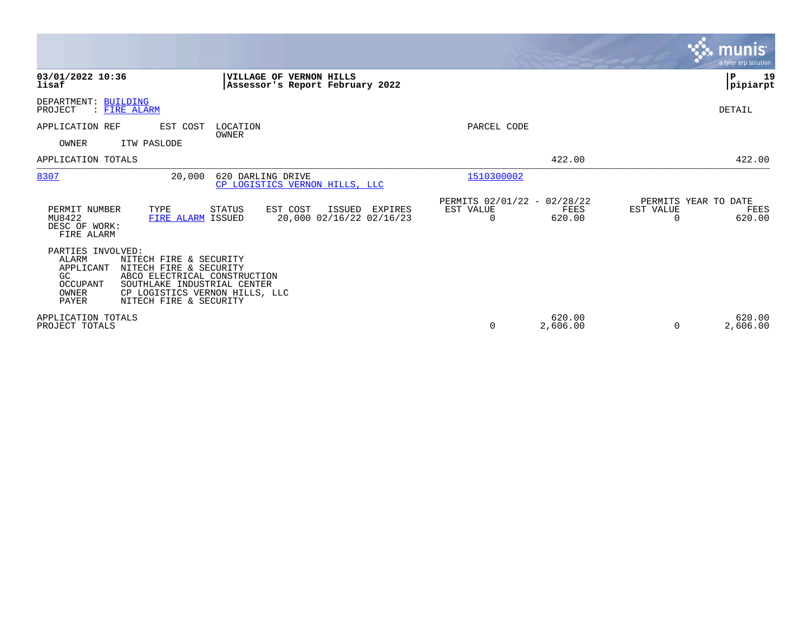|                                                                                                                                                                                                                                                             |                                               |                                         | munis<br>a tyler erp solution          |
|-------------------------------------------------------------------------------------------------------------------------------------------------------------------------------------------------------------------------------------------------------------|-----------------------------------------------|-----------------------------------------|----------------------------------------|
| 03/01/2022 10:36<br><b>VILLAGE OF VERNON HILLS</b><br>lisaf<br>Assessor's Report February 2022                                                                                                                                                              |                                               |                                         | P<br>19<br> pipiarpt                   |
| DEPARTMENT: BUILDING<br>PROJECT<br>: FIRE ALARM                                                                                                                                                                                                             |                                               |                                         | DETAIL                                 |
| APPLICATION REF<br>EST COST<br>LOCATION<br>OWNER<br>OWNER<br>ITW PASLODE                                                                                                                                                                                    | PARCEL CODE                                   |                                         |                                        |
| APPLICATION TOTALS                                                                                                                                                                                                                                          |                                               | 422.00                                  | 422.00                                 |
| 8307<br>20,000<br>620 DARLING DRIVE<br>CP LOGISTICS VERNON HILLS, LLC                                                                                                                                                                                       | 1510300002                                    |                                         |                                        |
| EST COST<br>PERMIT NUMBER<br>TYPE<br>STATUS<br>ISSUED<br>EXPIRES<br>MU8422<br>20,000 02/16/22 02/16/23<br>FIRE ALARM ISSUED<br>DESC OF WORK:<br>FIRE ALARM                                                                                                  | PERMITS 02/01/22 - 02/28/22<br>EST VALUE<br>0 | EST VALUE<br>FEES<br>620.00<br>$\Omega$ | PERMITS YEAR TO DATE<br>FEES<br>620.00 |
| PARTIES INVOLVED:<br>ALARM<br>NITECH FIRE & SECURITY<br>APPLICANT<br>NITECH FIRE & SECURITY<br>ABCO ELECTRICAL CONSTRUCTION<br>GC.<br>SOUTHLAKE INDUSTRIAL CENTER<br>OCCUPANT<br>OWNER<br>CP LOGISTICS VERNON HILLS, LLC<br>NITECH FIRE & SECURITY<br>PAYER |                                               |                                         |                                        |
| APPLICATION TOTALS<br>PROJECT TOTALS                                                                                                                                                                                                                        | 0                                             | 620.00<br>2,606.00<br>$\Omega$          | 620.00<br>2,606.00                     |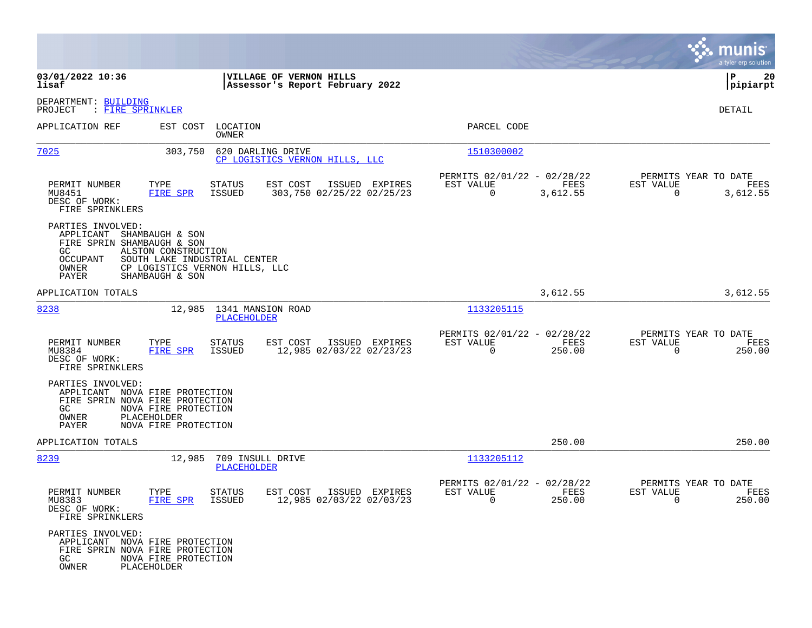|                                                                                                                                             |                                                                                       |                                                            |                                                            |                  |                                               | a tyler erp solution  |
|---------------------------------------------------------------------------------------------------------------------------------------------|---------------------------------------------------------------------------------------|------------------------------------------------------------|------------------------------------------------------------|------------------|-----------------------------------------------|-----------------------|
| 03/01/2022 10:36<br>lisaf                                                                                                                   |                                                                                       | VILLAGE OF VERNON HILLS<br>Assessor's Report February 2022 |                                                            |                  |                                               | ΙP<br>20<br> pipiarpt |
| DEPARTMENT: BUILDING<br>PROJECT<br>: <u>FIRE SPRINKLER</u>                                                                                  |                                                                                       |                                                            |                                                            |                  |                                               | DETAIL                |
| APPLICATION REF                                                                                                                             | EST COST<br>LOCATION<br>OWNER                                                         |                                                            | PARCEL CODE                                                |                  |                                               |                       |
| 7025                                                                                                                                        | 303,750                                                                               | 620 DARLING DRIVE<br>CP LOGISTICS VERNON HILLS, LLC        | 1510300002                                                 |                  |                                               |                       |
| PERMIT NUMBER<br>TYPE<br>MU8451<br>DESC OF WORK:<br>FIRE SPRINKLERS                                                                         | STATUS<br>FIRE SPR<br>ISSUED                                                          | EST COST<br>ISSUED EXPIRES<br>303,750 02/25/22 02/25/23    | PERMITS 02/01/22 - 02/28/22<br>EST VALUE<br>$\overline{0}$ | FEES<br>3,612.55 | PERMITS YEAR TO DATE<br>EST VALUE<br>0        | FEES<br>3,612.55      |
| PARTIES INVOLVED:<br>APPLICANT SHAMBAUGH & SON<br>FIRE SPRIN SHAMBAUGH & SON<br>GC.<br><b>OCCUPANT</b><br>OWNER<br>PAYER<br>SHAMBAUGH & SON | ALSTON CONSTRUCTION<br>SOUTH LAKE INDUSTRIAL CENTER<br>CP LOGISTICS VERNON HILLS, LLC |                                                            |                                                            |                  |                                               |                       |
| APPLICATION TOTALS                                                                                                                          |                                                                                       |                                                            |                                                            | 3,612.55         |                                               | 3,612.55              |
| 8238                                                                                                                                        | 12,985<br>1341 MANSION ROAD<br>PLACEHOLDER                                            |                                                            | 1133205115                                                 |                  |                                               |                       |
| PERMIT NUMBER<br>TYPE<br>MU8384<br>DESC OF WORK:<br>FIRE SPRINKLERS                                                                         | <b>STATUS</b><br>FIRE SPR<br>ISSUED                                                   | EST COST<br>ISSUED EXPIRES<br>12,985 02/03/22 02/23/23     | PERMITS 02/01/22 - 02/28/22<br>EST VALUE<br>0              | FEES<br>250.00   | PERMITS YEAR TO DATE<br>EST VALUE<br>0        | FEES<br>250.00        |
| PARTIES INVOLVED:<br>APPLICANT NOVA FIRE PROTECTION<br>FIRE SPRIN NOVA FIRE PROTECTION<br>GC.<br>OWNER<br>PLACEHOLDER<br>PAYER              | NOVA FIRE PROTECTION<br>NOVA FIRE PROTECTION                                          |                                                            |                                                            |                  |                                               |                       |
| APPLICATION TOTALS                                                                                                                          |                                                                                       |                                                            |                                                            | 250.00           |                                               | 250.00                |
| 8239                                                                                                                                        | 12,985<br>709 INSULL DRIVE<br>PLACEHOLDER                                             |                                                            | 1133205112                                                 |                  |                                               |                       |
| PERMIT NUMBER<br>MU8383<br>DESC OF WORK:<br>FIRE SPRINKLERS                                                                                 | TYPE<br>STATUS<br>FIRE SPR<br>ISSUED                                                  | EST COST ISSUED EXPIRES<br>12,985 02/03/22 02/03/23        | PERMITS 02/01/22 - 02/28/22<br>EST VALUE<br>$\Omega$       | FEES<br>250.00   | PERMITS YEAR TO DATE<br>EST VALUE<br>$\Omega$ | FEES<br>250.00        |
| PARTIES INVOLVED:<br>APPLICANT NOVA FIRE PROTECTION<br>FIRE SPRIN NOVA FIRE PROTECTION<br>GC<br>OWNER<br>PLACEHOLDER                        | NOVA FIRE PROTECTION                                                                  |                                                            |                                                            |                  |                                               |                       |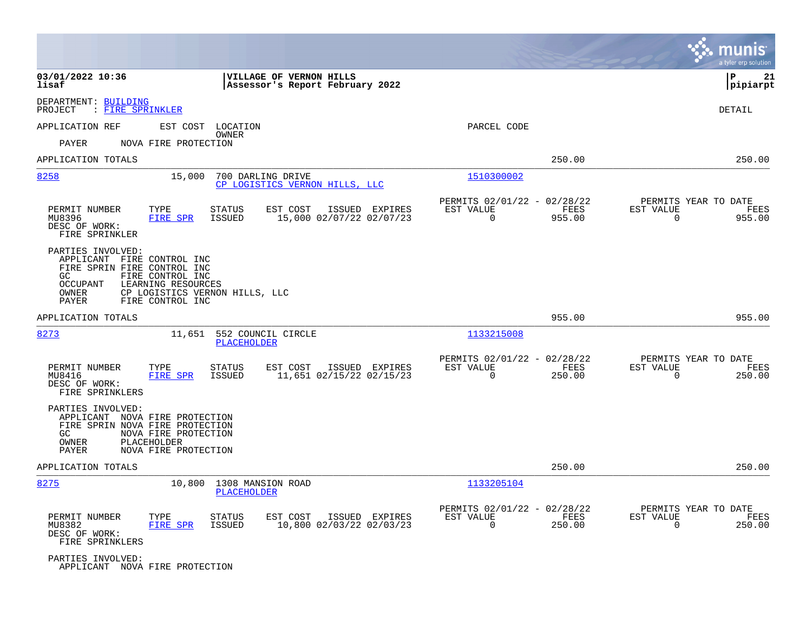|                                                                                                                                                                                         |                                                                                   |                                                                              | munis<br>a tyler erp solution                                      |
|-----------------------------------------------------------------------------------------------------------------------------------------------------------------------------------------|-----------------------------------------------------------------------------------|------------------------------------------------------------------------------|--------------------------------------------------------------------|
| 03/01/2022 10:36<br>lisaf                                                                                                                                                               | <b>VILLAGE OF VERNON HILLS</b><br>Assessor's Report February 2022                 |                                                                              | l P<br>21<br> pipiarpt                                             |
| DEPARTMENT: BUILDING<br>PROJECT<br>: FIRE SPRINKLER                                                                                                                                     |                                                                                   |                                                                              | DETAIL                                                             |
| APPLICATION REF                                                                                                                                                                         | EST COST LOCATION                                                                 | PARCEL CODE                                                                  |                                                                    |
| PAYER<br>NOVA FIRE PROTECTION                                                                                                                                                           | OWNER                                                                             |                                                                              |                                                                    |
| APPLICATION TOTALS                                                                                                                                                                      |                                                                                   | 250.00                                                                       | 250.00                                                             |
| 8258                                                                                                                                                                                    | 15,000<br>700 DARLING DRIVE<br>CP LOGISTICS VERNON HILLS, LLC                     | 1510300002                                                                   |                                                                    |
| PERMIT NUMBER<br>TYPE<br>MU8396<br>FIRE SPR<br>DESC OF WORK:<br>FIRE SPRINKLER                                                                                                          | ISSUED EXPIRES<br>STATUS<br>EST COST<br>15,000 02/07/22 02/07/23<br><b>ISSUED</b> | PERMITS 02/01/22 - 02/28/22<br>EST VALUE<br>FEES<br>$\mathbf 0$<br>955.00    | PERMITS YEAR TO DATE<br>EST VALUE<br>FEES<br>$\mathbf 0$<br>955.00 |
| PARTIES INVOLVED:<br>APPLICANT FIRE CONTROL INC<br>FIRE SPRIN FIRE CONTROL INC<br>GC<br>FIRE CONTROL INC<br><b>OCCUPANT</b><br>LEARNING RESOURCES<br>OWNER<br>PAYER<br>FIRE CONTROL INC | CP LOGISTICS VERNON HILLS, LLC                                                    |                                                                              |                                                                    |
| APPLICATION TOTALS                                                                                                                                                                      |                                                                                   | 955.00                                                                       | 955.00                                                             |
| 8273                                                                                                                                                                                    | 11,651<br>552 COUNCIL CIRCLE<br>PLACEHOLDER                                       | 1133215008                                                                   |                                                                    |
| PERMIT NUMBER<br>TYPE<br>MU8416<br>FIRE SPR<br>DESC OF WORK:<br>FIRE SPRINKLERS                                                                                                         | EST COST<br>ISSUED EXPIRES<br>STATUS<br>11,651 02/15/22 02/15/23<br><b>ISSUED</b> | PERMITS 02/01/22 - 02/28/22<br>EST VALUE<br>FEES<br>$\mathbf 0$<br>250.00    | PERMITS YEAR TO DATE<br>EST VALUE<br>FEES<br>$\mathbf 0$<br>250.00 |
| PARTIES INVOLVED:<br>APPLICANT NOVA FIRE PROTECTION<br>FIRE SPRIN NOVA FIRE PROTECTION<br>GC<br>NOVA FIRE PROTECTION<br>PLACEHOLDER<br>OWNER<br>NOVA FIRE PROTECTION<br>PAYER           |                                                                                   |                                                                              |                                                                    |
| APPLICATION TOTALS                                                                                                                                                                      |                                                                                   | 250.00                                                                       | 250.00                                                             |
| 8275                                                                                                                                                                                    | 10,800<br>1308 MANSION ROAD<br>PLACEHOLDER                                        | 1133205104                                                                   |                                                                    |
| PERMIT NUMBER<br>TYPE<br>MU8382<br>FIRE SPR<br>DESC OF WORK:<br>FIRE SPRINKLERS                                                                                                         | <b>STATUS</b><br>EST COST<br>ISSUED EXPIRES<br>10,800 02/03/22 02/03/23<br>ISSUED | PERMITS 02/01/22 -<br>02/28/22<br>EST VALUE<br>FEES<br>$\mathbf 0$<br>250.00 | PERMITS YEAR TO DATE<br>EST VALUE<br>FEES<br>250.00<br>0           |
| PARTIES INVOLVED:<br>APPLICANT NOVA FIRE PROTECTION                                                                                                                                     |                                                                                   |                                                                              |                                                                    |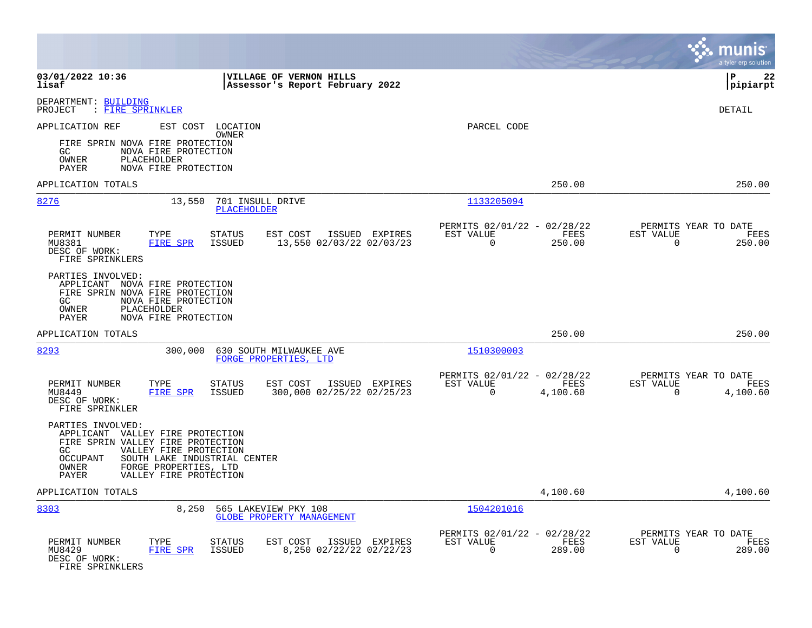|                                                                                                                                                                                                                                                     |                                                                              | munis<br>a tyler erp solution                                      |
|-----------------------------------------------------------------------------------------------------------------------------------------------------------------------------------------------------------------------------------------------------|------------------------------------------------------------------------------|--------------------------------------------------------------------|
| 03/01/2022 10:36<br>VILLAGE OF VERNON HILLS<br>lisaf<br>Assessor's Report February 2022                                                                                                                                                             |                                                                              | l P<br>22<br> pipiarpt                                             |
| DEPARTMENT: BUILDING<br>: FIRE SPRINKLER<br>PROJECT                                                                                                                                                                                                 |                                                                              | <b>DETAIL</b>                                                      |
| APPLICATION REF<br>EST COST LOCATION<br>OWNER<br>FIRE SPRIN NOVA FIRE PROTECTION<br>GC<br>NOVA FIRE PROTECTION<br>PLACEHOLDER<br>OWNER<br>NOVA FIRE PROTECTION<br>PAYER                                                                             | PARCEL CODE                                                                  |                                                                    |
| APPLICATION TOTALS                                                                                                                                                                                                                                  | 250.00                                                                       | 250.00                                                             |
| 8276<br>13,550<br>701 INSULL DRIVE<br>PLACEHOLDER                                                                                                                                                                                                   | 1133205094                                                                   |                                                                    |
| PERMIT NUMBER<br>EST COST<br>ISSUED EXPIRES<br>TYPE<br><b>STATUS</b><br>MU8381<br><b>FIRE SPR</b><br><b>ISSUED</b><br>13,550 02/03/22 02/03/23<br>DESC OF WORK:<br>FIRE SPRINKLERS                                                                  | PERMITS 02/01/22 - 02/28/22<br>EST VALUE<br>FEES<br>$\overline{0}$<br>250.00 | PERMITS YEAR TO DATE<br>EST VALUE<br>FEES<br>$\mathbf 0$<br>250.00 |
| PARTIES INVOLVED:<br>APPLICANT NOVA FIRE PROTECTION<br>FIRE SPRIN NOVA FIRE PROTECTION<br>GC<br>NOVA FIRE PROTECTION<br>PLACEHOLDER<br>OWNER<br>NOVA FIRE PROTECTION<br>PAYER                                                                       |                                                                              |                                                                    |
| APPLICATION TOTALS                                                                                                                                                                                                                                  | 250.00                                                                       | 250.00                                                             |
| 8293<br>300,000<br>630 SOUTH MILWAUKEE AVE<br>FORGE PROPERTIES, LTD                                                                                                                                                                                 | 1510300003                                                                   |                                                                    |
| PERMIT NUMBER<br>TYPE<br>EST COST<br>ISSUED EXPIRES<br><b>STATUS</b><br>300,000 02/25/22 02/25/23<br>MU8449<br>FIRE SPR<br>ISSUED<br>DESC OF WORK:<br>FIRE SPRINKLER                                                                                | PERMITS 02/01/22 - 02/28/22<br>EST VALUE<br>FEES<br>$\Omega$<br>4,100.60     | PERMITS YEAR TO DATE<br>EST VALUE<br>FEES<br>0<br>4,100.60         |
| PARTIES INVOLVED:<br>APPLICANT VALLEY FIRE PROTECTION<br>FIRE SPRIN VALLEY FIRE PROTECTION<br>VALLEY FIRE PROTECTION<br>GC.<br><b>OCCUPANT</b><br>SOUTH LAKE INDUSTRIAL CENTER<br>FORGE PROPERTIES, LTD<br>OWNER<br>PAYER<br>VALLEY FIRE PROTECTION |                                                                              |                                                                    |
| APPLICATION TOTALS                                                                                                                                                                                                                                  | 4,100.60                                                                     | 4,100.60                                                           |
| 8303<br>8,250<br>565 LAKEVIEW PKY 108<br>GLOBE PROPERTY MANAGEMENT                                                                                                                                                                                  | 1504201016                                                                   |                                                                    |
| PERMIT NUMBER<br>TYPE<br>EST COST<br>ISSUED EXPIRES<br><b>STATUS</b><br>8,250 02/22/22 02/22/23<br>MU8429<br><b>FIRE SPR</b><br><b>ISSUED</b><br>DESC OF WORK:<br>FIRE SPRINKLERS                                                                   | PERMITS 02/01/22 - 02/28/22<br>EST VALUE<br>FEES<br>$\mathbf 0$<br>289.00    | PERMITS YEAR TO DATE<br>EST VALUE<br>FEES<br>289.00<br>0           |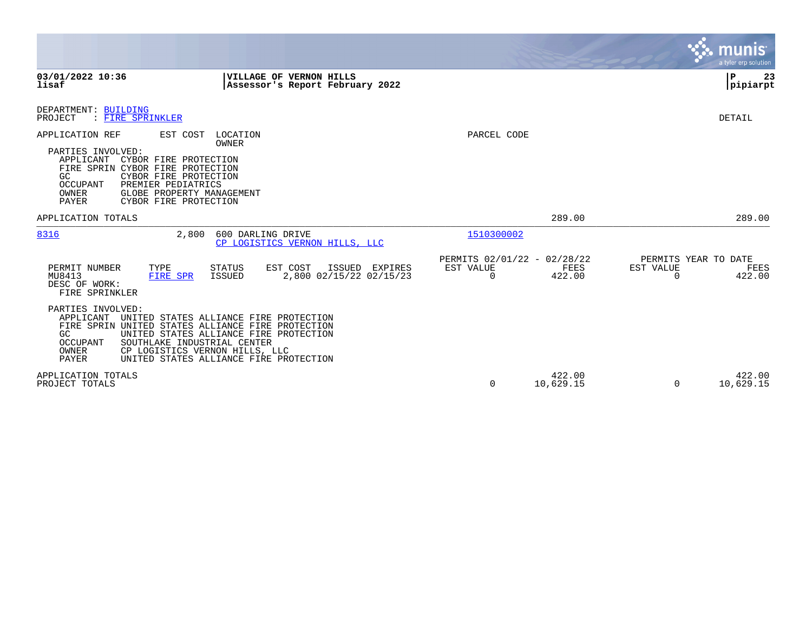|                                                                                                                                                                                                                                                                     |                                                                                                                            |                                                                |                                      | a tyler erp solution                   |
|---------------------------------------------------------------------------------------------------------------------------------------------------------------------------------------------------------------------------------------------------------------------|----------------------------------------------------------------------------------------------------------------------------|----------------------------------------------------------------|--------------------------------------|----------------------------------------|
| 03/01/2022 10:36<br>lisaf                                                                                                                                                                                                                                           | VILLAGE OF VERNON HILLS<br>Assessor's Report February 2022                                                                 |                                                                |                                      | P<br>23<br>pipiarpt                    |
| DEPARTMENT: BUILDING<br>: FIRE SPRINKLER<br>PROJECT                                                                                                                                                                                                                 |                                                                                                                            |                                                                |                                      | <b>DETAIL</b>                          |
| APPLICATION REF<br>EST COST<br>PARTIES INVOLVED:<br>APPLICANT<br>CYBOR FIRE PROTECTION<br>FIRE SPRIN CYBOR FIRE PROTECTION<br>GC<br>CYBOR FIRE PROTECTION<br>OCCUPANT<br>PREMIER PEDIATRICS<br>GLOBE PROPERTY MANAGEMENT<br>OWNER<br>PAYER<br>CYBOR FIRE PROTECTION | LOCATION<br>OWNER                                                                                                          | PARCEL CODE                                                    |                                      |                                        |
| APPLICATION TOTALS                                                                                                                                                                                                                                                  |                                                                                                                            | 289.00                                                         |                                      | 289.00                                 |
| 8316<br>2,800                                                                                                                                                                                                                                                       | 600 DARLING DRIVE<br>CP LOGISTICS VERNON HILLS, LLC                                                                        | 1510300002                                                     |                                      |                                        |
| PERMIT NUMBER<br>TYPE<br>MU8413<br>FIRE SPR<br>DESC OF WORK:<br>FIRE SPRINKLER                                                                                                                                                                                      | EST COST<br>STATUS<br>ISSUED<br>EXPIRES<br>2,800 02/15/22 02/15/23<br><b>ISSUED</b>                                        | PERMITS 02/01/22 - 02/28/22<br>EST VALUE<br>$\Omega$<br>422.00 | <b>FEES</b><br>EST VALUE<br>$\Omega$ | PERMITS YEAR TO DATE<br>FEES<br>422.00 |
| PARTIES INVOLVED:<br>APPLICANT<br>FIRE SPRIN UNITED STATES ALLIANCE FIRE PROTECTION<br>GC<br>SOUTHLAKE INDUSTRIAL CENTER<br>OCCUPANT<br>OWNER<br>CP LOGISTICS VERNON HILLS, LLC<br>PAYER                                                                            | UNITED STATES ALLIANCE FIRE PROTECTION<br>UNITED STATES ALLIANCE FIRE PROTECTION<br>UNITED STATES ALLIANCE FIRE PROTECTION |                                                                |                                      |                                        |
| APPLICATION TOTALS<br>PROJECT TOTALS                                                                                                                                                                                                                                |                                                                                                                            | 422.00<br>10,629.15<br>0                                       | 0                                    | 422.00<br>10,629.15                    |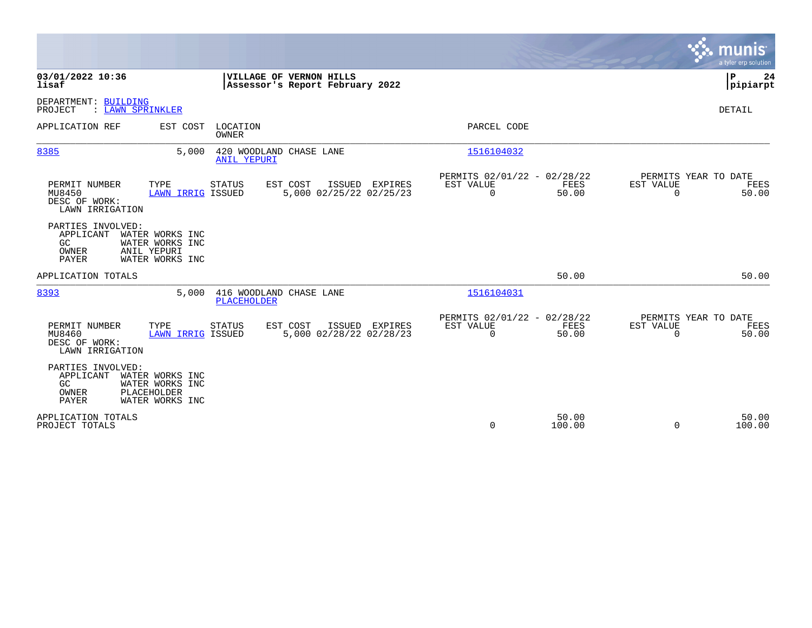|                                                               |                                                                      |                                               |                                                            |                |                                                         |                 |                          | munis<br>a tyler erp solution         |
|---------------------------------------------------------------|----------------------------------------------------------------------|-----------------------------------------------|------------------------------------------------------------|----------------|---------------------------------------------------------|-----------------|--------------------------|---------------------------------------|
| 03/01/2022 10:36<br>lisaf                                     |                                                                      |                                               | VILLAGE OF VERNON HILLS<br>Assessor's Report February 2022 |                |                                                         |                 |                          | P<br>24<br> pipiarpt                  |
| DEPARTMENT: BUILDING<br>PROJECT<br>: LAWN SPRINKLER           |                                                                      |                                               |                                                            |                |                                                         |                 |                          | DETAIL                                |
| APPLICATION REF                                               | EST COST                                                             | LOCATION<br><b>OWNER</b>                      |                                                            |                | PARCEL CODE                                             |                 |                          |                                       |
| 8385                                                          | 5,000                                                                | 420 WOODLAND CHASE LANE<br><b>ANIL YEPURI</b> |                                                            |                | 1516104032                                              |                 |                          |                                       |
| PERMIT NUMBER<br>MU8450<br>DESC OF WORK:<br>LAWN IRRIGATION   | TYPE<br><b>LAWN IRRIG ISSUED</b>                                     | <b>STATUS</b>                                 | EST COST<br>5,000 02/25/22 02/25/23                        | ISSUED EXPIRES | PERMITS 02/01/22 - 02/28/22<br>EST VALUE<br>$\mathbf 0$ | FEES<br>50.00   | EST VALUE<br>$\Omega$    | PERMITS YEAR TO DATE<br>FEES<br>50.00 |
| PARTIES INVOLVED:<br>APPLICANT<br>GC<br>OWNER<br>PAYER        | WATER WORKS INC<br>WATER WORKS INC<br>ANIL YEPURI<br>WATER WORKS INC |                                               |                                                            |                |                                                         |                 |                          |                                       |
| APPLICATION TOTALS                                            |                                                                      |                                               |                                                            |                |                                                         | 50.00           |                          | 50.00                                 |
| 8393                                                          | 5,000                                                                | 416 WOODLAND CHASE LANE<br><b>PLACEHOLDER</b> |                                                            |                | 1516104031                                              |                 |                          |                                       |
| PERMIT NUMBER<br>MU8460<br>DESC OF WORK:<br>LAWN IRRIGATION   | TYPE<br><b>LAWN IRRIG ISSUED</b>                                     | STATUS                                        | EST COST<br>ISSUED<br>5,000 02/28/22 02/28/23              | EXPIRES        | PERMITS 02/01/22 - 02/28/22<br>EST VALUE<br>0           | FEES<br>50.00   | EST VALUE<br>$\mathbf 0$ | PERMITS YEAR TO DATE<br>FEES<br>50.00 |
| PARTIES INVOLVED:<br>APPLICANT<br>GC<br>OWNER<br><b>PAYER</b> | WATER WORKS INC<br>WATER WORKS INC<br>PLACEHOLDER<br>WATER WORKS INC |                                               |                                                            |                |                                                         |                 |                          |                                       |
| APPLICATION TOTALS<br>PROJECT TOTALS                          |                                                                      |                                               |                                                            |                | 0                                                       | 50.00<br>100.00 | 0                        | 50.00<br>100.00                       |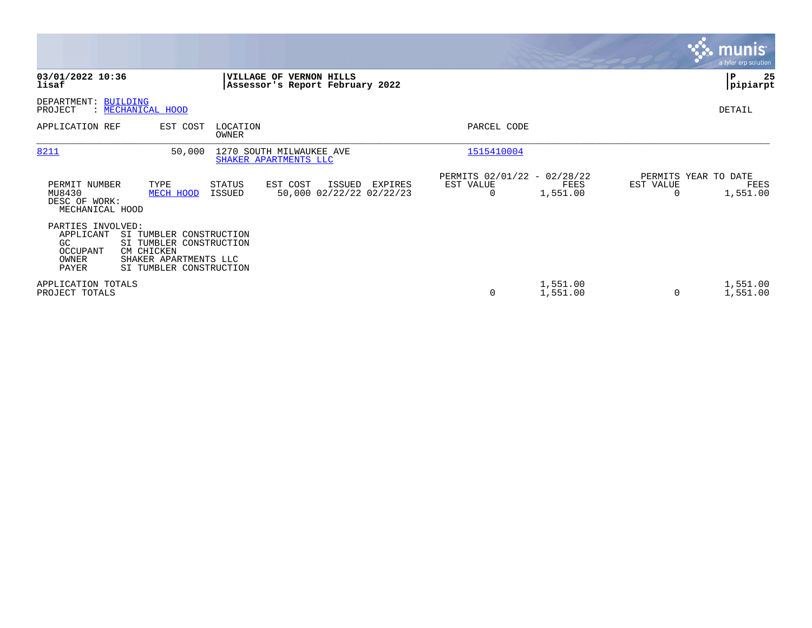|                                                                    |                                                                                                                      |                   |                                                            |         |                |                                                 |                                               | <b>munis</b><br>a tyler erp solution |
|--------------------------------------------------------------------|----------------------------------------------------------------------------------------------------------------------|-------------------|------------------------------------------------------------|---------|----------------|-------------------------------------------------|-----------------------------------------------|--------------------------------------|
| 03/01/2022 10:36<br>lisaf                                          |                                                                                                                      |                   | VILLAGE OF VERNON HILLS<br>Assessor's Report February 2022 |         |                |                                                 |                                               | 25<br>P<br> pipiarpt                 |
| DEPARTMENT: BUILDING<br>PROJECT                                    | : MECHANICAL HOOD                                                                                                    |                   |                                                            |         |                |                                                 |                                               | DETAIL                               |
| APPLICATION REF                                                    | EST COST                                                                                                             | LOCATION<br>OWNER |                                                            |         | PARCEL CODE    |                                                 |                                               |                                      |
| 8211                                                               | 50,000                                                                                                               |                   | 1270 SOUTH MILWAUKEE AVE<br>SHAKER APARTMENTS LLC          |         | 1515410004     |                                                 |                                               |                                      |
| PERMIT NUMBER<br>MU8430<br>DESC OF WORK:<br>MECHANICAL HOOD        | TYPE<br>MECH HOOD                                                                                                    | STATUS<br>ISSUED  | EST COST<br>ISSUED<br>50,000 02/22/22 02/22/23             | EXPIRES | EST VALUE<br>0 | PERMITS 02/01/22 - 02/28/22<br>FEES<br>1,551.00 | PERMITS YEAR TO DATE<br>EST VALUE<br>$\Omega$ | FEES<br>1,551.00                     |
| PARTIES INVOLVED:<br>APPLICANT<br>GC<br>OCCUPANT<br>OWNER<br>PAYER | SI TUMBLER CONSTRUCTION<br>SI TUMBLER CONSTRUCTION<br>CM CHICKEN<br>SHAKER APARTMENTS LLC<br>SI TUMBLER CONSTRUCTION |                   |                                                            |         |                |                                                 |                                               |                                      |
| APPLICATION TOTALS<br>PROJECT TOTALS                               |                                                                                                                      |                   |                                                            |         | 0              | 1,551.00<br>1,551.00                            | $\Omega$                                      | 1,551.00<br>1,551.00                 |

 $\mathcal{L}^{\text{max}}$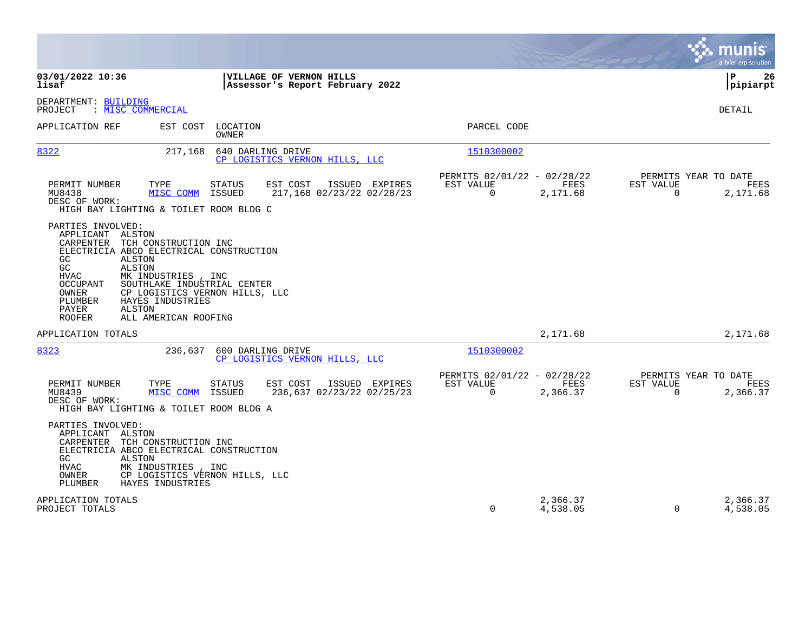|                                                                                                                                                                                                                                                                                                                                                                                 |                                                                                    |                                                         |                      |                                               | munis<br>a tyler erp solution |
|---------------------------------------------------------------------------------------------------------------------------------------------------------------------------------------------------------------------------------------------------------------------------------------------------------------------------------------------------------------------------------|------------------------------------------------------------------------------------|---------------------------------------------------------|----------------------|-----------------------------------------------|-------------------------------|
| 03/01/2022 10:36<br>lisaf                                                                                                                                                                                                                                                                                                                                                       | VILLAGE OF VERNON HILLS<br>Assessor's Report February 2022                         |                                                         |                      |                                               | ΙP<br>26<br>pipiarpt          |
| DEPARTMENT: BUILDING<br>PROJECT<br>: MISC COMMERCIAL                                                                                                                                                                                                                                                                                                                            |                                                                                    |                                                         |                      |                                               | DETAIL                        |
| APPLICATION REF<br>EST COST                                                                                                                                                                                                                                                                                                                                                     | LOCATION<br>OWNER                                                                  | PARCEL CODE                                             |                      |                                               |                               |
| 8322<br>217,168                                                                                                                                                                                                                                                                                                                                                                 | 640 DARLING DRIVE<br>CP LOGISTICS VERNON HILLS, LLC                                | 1510300002                                              |                      |                                               |                               |
| PERMIT NUMBER<br>TYPE<br>MU8438<br>MISC COMM<br>DESC OF WORK:<br>HIGH BAY LIGHTING & TOILET ROOM BLDG C                                                                                                                                                                                                                                                                         | EST COST<br><b>STATUS</b><br>ISSUED EXPIRES<br>ISSUED<br>217,168 02/23/22 02/28/23 | PERMITS 02/01/22 - 02/28/22<br>EST VALUE<br>$\Omega$    | FEES<br>2,171.68     | PERMITS YEAR TO DATE<br>EST VALUE<br>$\Omega$ | FEES<br>2,171.68              |
| PARTIES INVOLVED:<br>APPLICANT ALSTON<br>CARPENTER TCH CONSTRUCTION INC<br>ELECTRICIA ABCO ELECTRICAL CONSTRUCTION<br>GC<br><b>ALSTON</b><br>GC<br>ALSTON<br><b>HVAC</b><br>MK INDUSTRIES, INC<br>OCCUPANT<br>SOUTHLAKE INDUSTRIAL CENTER<br>OWNER<br>CP LOGISTICS VERNON HILLS, LLC<br>PLUMBER<br>HAYES INDUSTRIES<br>PAYER<br>ALSTON<br><b>ROOFER</b><br>ALL AMERICAN ROOFING |                                                                                    |                                                         |                      |                                               |                               |
| APPLICATION TOTALS                                                                                                                                                                                                                                                                                                                                                              |                                                                                    |                                                         | 2,171.68             |                                               | 2,171.68                      |
| 8323<br>236,637                                                                                                                                                                                                                                                                                                                                                                 | 600 DARLING DRIVE<br>CP LOGISTICS VERNON HILLS, LLC                                | 1510300002                                              |                      |                                               |                               |
| PERMIT NUMBER<br>TYPE<br>MU8439<br>MISC COMM<br>DESC OF WORK:<br>HIGH BAY LIGHTING & TOILET ROOM BLDG A                                                                                                                                                                                                                                                                         | EST COST<br>STATUS<br>ISSUED EXPIRES<br>236,637 02/23/22 02/25/23<br>ISSUED        | PERMITS 02/01/22 - 02/28/22<br>EST VALUE<br>$\mathbf 0$ | FEES<br>2,366.37     | PERMITS YEAR TO DATE<br>EST VALUE<br>0        | FEES<br>2,366.37              |
| PARTIES INVOLVED:<br>APPLICANT ALSTON<br>CARPENTER TCH CONSTRUCTION INC<br>ELECTRICIA ABCO ELECTRICAL CONSTRUCTION<br>GC<br><b>ALSTON</b><br>HVAC<br>MK INDUSTRIES, INC<br>OWNER<br>CP LOGISTICS VERNON HILLS, LLC<br>PLUMBER<br>HAYES INDUSTRIES                                                                                                                               |                                                                                    |                                                         |                      |                                               |                               |
| APPLICATION TOTALS<br>PROJECT TOTALS                                                                                                                                                                                                                                                                                                                                            |                                                                                    | $\Omega$                                                | 2,366.37<br>4,538.05 | $\Omega$                                      | 2,366.37<br>4,538.05          |

**Contract**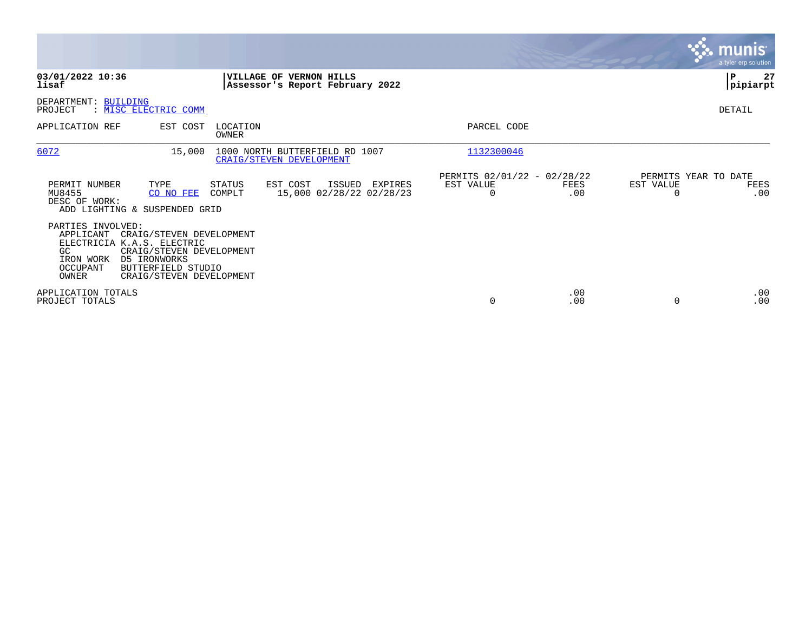|                                                                                                                                                                                                                                 |                                                                                      |                                                       | <u>munis'</u><br>a tyler erp solution                               |
|---------------------------------------------------------------------------------------------------------------------------------------------------------------------------------------------------------------------------------|--------------------------------------------------------------------------------------|-------------------------------------------------------|---------------------------------------------------------------------|
| 03/01/2022 10:36<br>lisaf                                                                                                                                                                                                       | <b>VILLAGE OF</b><br><b>VERNON HILLS</b><br>Assessor's Report February 2022          |                                                       | P<br>27<br> pipiarpt                                                |
| DEPARTMENT: BUILDING<br>PROJECT<br>: MISC ELECTRIC COMM                                                                                                                                                                         |                                                                                      |                                                       | DETAIL                                                              |
| APPLICATION REF<br>EST COST                                                                                                                                                                                                     | LOCATION<br>OWNER                                                                    | PARCEL CODE                                           |                                                                     |
| 6072<br>15,000                                                                                                                                                                                                                  | 1000 NORTH BUTTERFIELD RD 1007<br>CRAIG/STEVEN DEVELOPMENT                           | 1132300046                                            |                                                                     |
| PERMIT NUMBER<br>TYPE<br>MU8455<br>CO NO FEE<br>DESC OF WORK:<br>ADD LIGHTING & SUSPENDED GRID                                                                                                                                  | <b>STATUS</b><br>EST COST<br>ISSUED<br>EXPIRES<br>15,000 02/28/22 02/28/23<br>COMPLT | PERMITS 02/01/22 - 02/28/22<br>EST VALUE<br>FEES<br>0 | PERMITS YEAR TO DATE<br>EST VALUE<br>FEES<br>.00<br>.00<br>$\Omega$ |
| PARTIES INVOLVED:<br>APPLICANT<br>CRAIG/STEVEN DEVELOPMENT<br>ELECTRICIA K.A.S. ELECTRIC<br>GC.<br>CRAIG/STEVEN DEVELOPMENT<br>IRON WORK<br>D5 IRONWORKS<br>OCCUPANT<br>BUTTERFIELD STUDIO<br>OWNER<br>CRAIG/STEVEN DEVELOPMENT |                                                                                      |                                                       |                                                                     |
| APPLICATION TOTALS<br>PROJECT TOTALS                                                                                                                                                                                            |                                                                                      | 0                                                     | .00<br>.00<br>.00<br>.00<br>$\Omega$                                |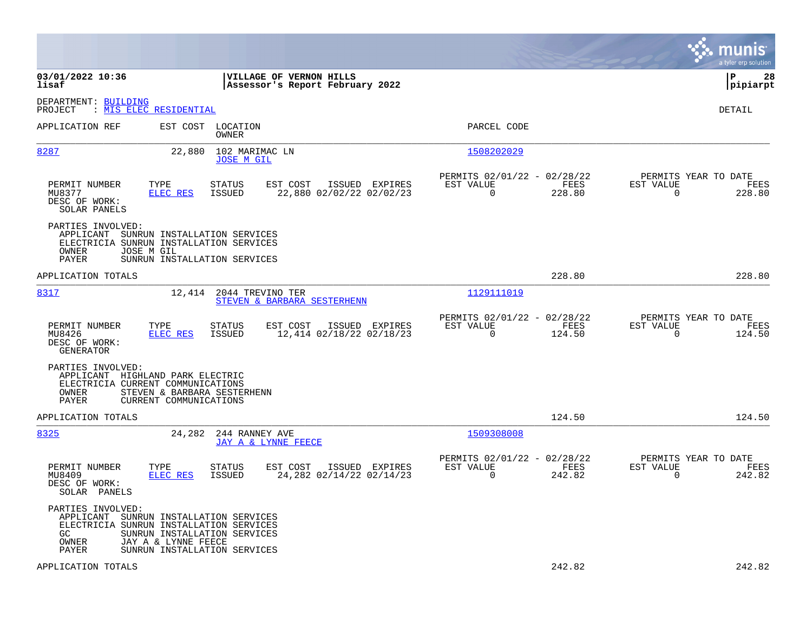|                                                                                                              |                                                                                                                                                                |                                         |                                               | munis<br>a tyler erp solution                                      |
|--------------------------------------------------------------------------------------------------------------|----------------------------------------------------------------------------------------------------------------------------------------------------------------|-----------------------------------------|-----------------------------------------------|--------------------------------------------------------------------|
| 03/01/2022 10:36<br>lisaf                                                                                    | VILLAGE OF VERNON HILLS<br>Assessor's Report February 2022                                                                                                     |                                         |                                               | 28<br>l P<br> pipiarpt                                             |
| DEPARTMENT: BUILDING<br>: MIS ELEC RESIDENTIAL<br>PROJECT                                                    |                                                                                                                                                                |                                         |                                               | <b>DETAIL</b>                                                      |
| APPLICATION REF                                                                                              | EST COST LOCATION<br><b>OWNER</b>                                                                                                                              | PARCEL CODE                             |                                               |                                                                    |
| 8287                                                                                                         | 102 MARIMAC LN<br>22,880<br><b>JOSE M GIL</b>                                                                                                                  | 1508202029                              |                                               |                                                                    |
| PERMIT NUMBER<br>MU8377<br>DESC OF WORK:<br>SOLAR PANELS                                                     | TYPE<br>EST COST<br>STATUS<br>22,880 02/02/22 02/02/23<br><b>ELEC RES</b><br>ISSUED                                                                            | EST VALUE<br>ISSUED EXPIRES<br>0        | PERMITS 02/01/22 - 02/28/22<br>FEES<br>228.80 | PERMITS YEAR TO DATE<br>EST VALUE<br>FEES<br>228.80<br>0           |
| PARTIES INVOLVED:<br>OWNER<br>JOSE M GIL<br>PAYER                                                            | APPLICANT SUNRUN INSTALLATION SERVICES<br>ELECTRICIA SUNRUN INSTALLATION SERVICES<br>SUNRUN INSTALLATION SERVICES                                              |                                         |                                               |                                                                    |
| APPLICATION TOTALS                                                                                           |                                                                                                                                                                |                                         | 228.80                                        | 228.80                                                             |
| 8317                                                                                                         | 12,414 2044 TREVINO TER<br>STEVEN & BARBARA SESTERHENN                                                                                                         | 1129111019                              |                                               |                                                                    |
| PERMIT NUMBER<br>MU8426<br>DESC OF WORK:<br><b>GENERATOR</b>                                                 | TYPE<br><b>STATUS</b><br>EST COST<br>ELEC RES<br>12,414 02/18/22 02/18/23<br>ISSUED                                                                            | ISSUED EXPIRES<br>EST VALUE<br>$\Omega$ | PERMITS 02/01/22 - 02/28/22<br>FEES<br>124.50 | PERMITS YEAR TO DATE<br>EST VALUE<br>FEES<br>$\mathbf 0$<br>124.50 |
| PARTIES INVOLVED:<br>APPLICANT HIGHLAND PARK ELECTRIC<br>ELECTRICIA CURRENT COMMUNICATIONS<br>OWNER<br>PAYER | STEVEN & BARBARA SESTERHENN<br>CURRENT COMMUNICATIONS                                                                                                          |                                         |                                               |                                                                    |
| APPLICATION TOTALS                                                                                           |                                                                                                                                                                |                                         | 124.50                                        | 124.50                                                             |
| 8325                                                                                                         | 24,282<br>244 RANNEY AVE<br>JAY A & LYNNE FEECE                                                                                                                | 1509308008                              |                                               |                                                                    |
| PERMIT NUMBER<br>MU8409<br>DESC OF WORK:<br>SOLAR PANELS                                                     | TYPE<br><b>STATUS</b><br>EST COST<br>ELEC RES<br>ISSUED<br>24,282 02/14/22 02/14/23                                                                            | EST VALUE<br>ISSUED EXPIRES<br>$\Omega$ | PERMITS 02/01/22 - 02/28/22<br>FEES<br>242.82 | PERMITS YEAR TO DATE<br>EST VALUE<br>FEES<br>$\mathbf 0$<br>242.82 |
| PARTIES INVOLVED:<br>APPLICANT<br>GC.<br>OWNER<br>PAYER                                                      | SUNRUN INSTALLATION SERVICES<br>ELECTRICIA SUNRUN INSTALLATION SERVICES<br>SUNRUN INSTALLATION SERVICES<br>JAY A & LYNNE FEECE<br>SUNRUN INSTALLATION SERVICES |                                         |                                               |                                                                    |
| APPLICATION TOTALS                                                                                           |                                                                                                                                                                |                                         | 242.82                                        | 242.82                                                             |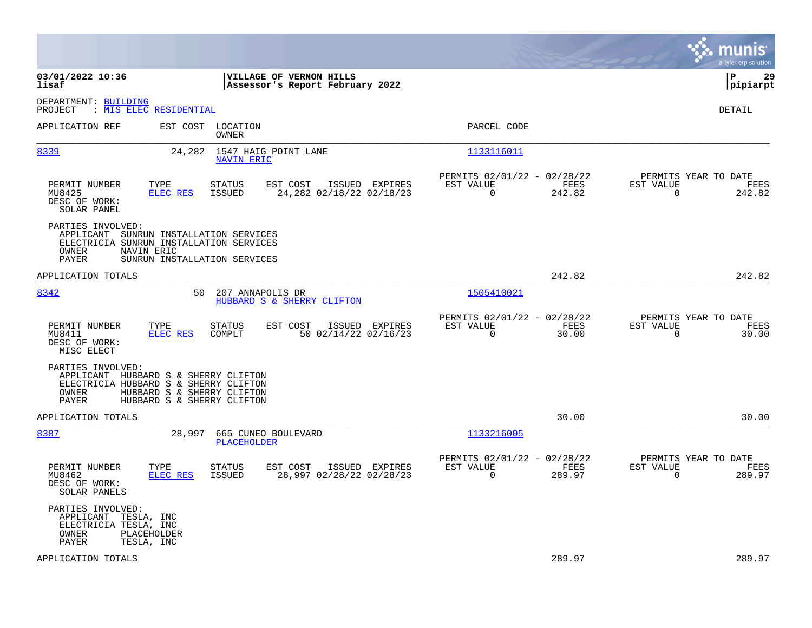|                                                                                                                                                                                  |                                                                             | a tyler erp solution                                               |
|----------------------------------------------------------------------------------------------------------------------------------------------------------------------------------|-----------------------------------------------------------------------------|--------------------------------------------------------------------|
| 03/01/2022 10:36<br>VILLAGE OF VERNON HILLS<br>lisaf<br>Assessor's Report February 2022                                                                                          |                                                                             | lР<br>29<br> pipiarpt                                              |
| DEPARTMENT: BUILDING<br>: MIS ELEC RESIDENTIAL<br>PROJECT                                                                                                                        |                                                                             | DETAIL                                                             |
| APPLICATION REF<br>EST COST LOCATION<br><b>OWNER</b>                                                                                                                             | PARCEL CODE                                                                 |                                                                    |
| 8339<br>24,282 1547 HAIG POINT LANE<br>NAVIN ERIC                                                                                                                                | 1133116011                                                                  |                                                                    |
| PERMIT NUMBER<br>TYPE<br><b>STATUS</b><br>EST COST<br>ISSUED EXPIRES<br>MU8425<br>ELEC RES<br>ISSUED<br>24,282 02/18/22 02/18/23<br>DESC OF WORK:<br>SOLAR PANEL                 | PERMITS 02/01/22 - 02/28/22<br>EST VALUE<br>FEES<br>$\mathbf 0$<br>242.82   | PERMITS YEAR TO DATE<br>EST VALUE<br>FEES<br>$\mathbf 0$<br>242.82 |
| PARTIES INVOLVED:<br>APPLICANT SUNRUN INSTALLATION SERVICES<br>ELECTRICIA SUNRUN INSTALLATION SERVICES<br>OWNER<br>NAVIN ERIC<br><b>PAYER</b><br>SUNRUN INSTALLATION SERVICES    |                                                                             |                                                                    |
| APPLICATION TOTALS                                                                                                                                                               | 242.82                                                                      | 242.82                                                             |
| 8342<br>50<br>207 ANNAPOLIS DR<br>HUBBARD S & SHERRY CLIFTON                                                                                                                     | 1505410021                                                                  |                                                                    |
| PERMIT NUMBER<br>TYPE<br>STATUS<br>EST COST<br>ISSUED EXPIRES<br>50 02/14/22 02/16/23<br>MU8411<br>ELEC RES<br>COMPLT<br>DESC OF WORK:<br>MISC ELECT                             | PERMITS 02/01/22 - 02/28/22<br>EST VALUE<br>FEES<br>$\overline{0}$<br>30.00 | PERMITS YEAR TO DATE<br>EST VALUE<br>FEES<br>$\mathbf 0$<br>30.00  |
| PARTIES INVOLVED:<br>APPLICANT HUBBARD S & SHERRY CLIFTON<br>ELECTRICIA HUBBARD S & SHERRY CLIFTON<br>OWNER<br>HUBBARD S & SHERRY CLIFTON<br>HUBBARD S & SHERRY CLIFTON<br>PAYER |                                                                             |                                                                    |
| APPLICATION TOTALS                                                                                                                                                               | 30.00                                                                       | 30.00                                                              |
| 8387<br>28,997<br>665 CUNEO BOULEVARD<br><b>PLACEHOLDER</b>                                                                                                                      | 1133216005                                                                  |                                                                    |
| PERMIT NUMBER<br>TYPE<br><b>STATUS</b><br>EST COST ISSUED EXPIRES<br>ELEC RES<br>28,997 02/28/22 02/28/23<br>MU8462<br>ISSUED<br>DESC OF WORK:<br>SOLAR PANELS                   | PERMITS 02/01/22 - 02/28/22<br>EST VALUE<br>FEES<br>$\Omega$<br>289.97      | PERMITS YEAR TO DATE<br>EST VALUE<br>FEES<br>$\Omega$<br>289.97    |
| PARTIES INVOLVED:<br>APPLICANT TESLA, INC<br>ELECTRICIA TESLA, INC<br>PLACEHOLDER<br>OWNER<br><b>PAYER</b><br>TESLA, INC                                                         |                                                                             |                                                                    |
| APPLICATION TOTALS                                                                                                                                                               | 289.97                                                                      | 289.97                                                             |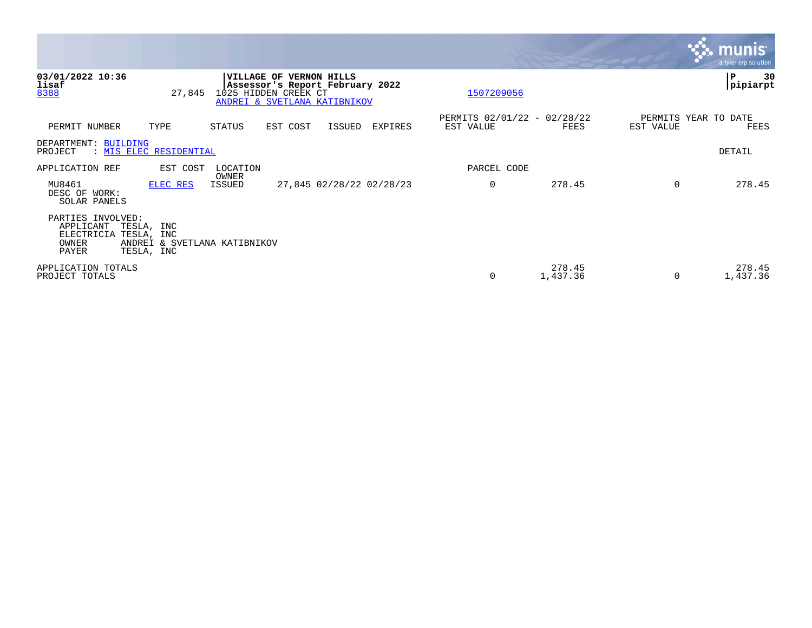|                                                                |                                                                        |                 |                                                                                                                    |        |                          |                                          |                    |           | <b>munis</b><br>a tyler erp solution |
|----------------------------------------------------------------|------------------------------------------------------------------------|-----------------|--------------------------------------------------------------------------------------------------------------------|--------|--------------------------|------------------------------------------|--------------------|-----------|--------------------------------------|
| 03/01/2022 10:36<br>lisaf<br>8388                              | 27,845                                                                 |                 | VILLAGE OF VERNON HILLS<br>Assessor's Report February 2022<br>1025 HIDDEN CREEK CT<br>ANDREI & SVETLANA KATIBNIKOV |        |                          | 1507209056                               |                    |           | $\mathbf{P}$<br>30<br> pipiarpt      |
| PERMIT NUMBER                                                  | TYPE                                                                   | STATUS          | EST COST                                                                                                           | ISSUED | <b>EXPIRES</b>           | PERMITS 02/01/22 - 02/28/22<br>EST VALUE | FEES               | EST VALUE | PERMITS YEAR TO DATE<br>FEES         |
| DEPARTMENT: BUILDING<br>PROJECT                                | : MIS ELEC RESIDENTIAL                                                 |                 |                                                                                                                    |        |                          |                                          |                    |           | DETAIL                               |
| APPLICATION REF                                                | EST COST                                                               | LOCATION        |                                                                                                                    |        |                          | PARCEL CODE                              |                    |           |                                      |
| MU8461<br>DESC OF WORK:<br>SOLAR PANELS                        | ELEC RES                                                               | OWNER<br>ISSUED |                                                                                                                    |        | 27,845 02/28/22 02/28/23 | 0                                        | 278.45             | $\Omega$  | 278.45                               |
| PARTIES INVOLVED:<br>APPLICANT<br>ELECTRICIA<br>OWNER<br>PAYER | TESLA, INC<br>TESLA, INC<br>ANDREI & SVETLANA KATIBNIKOV<br>TESLA, INC |                 |                                                                                                                    |        |                          |                                          |                    |           |                                      |
| APPLICATION TOTALS<br>PROJECT TOTALS                           |                                                                        |                 |                                                                                                                    |        |                          | $\mathbf 0$                              | 278.45<br>1,437.36 | $\Omega$  | 278.45<br>1,437.36                   |

**Tara**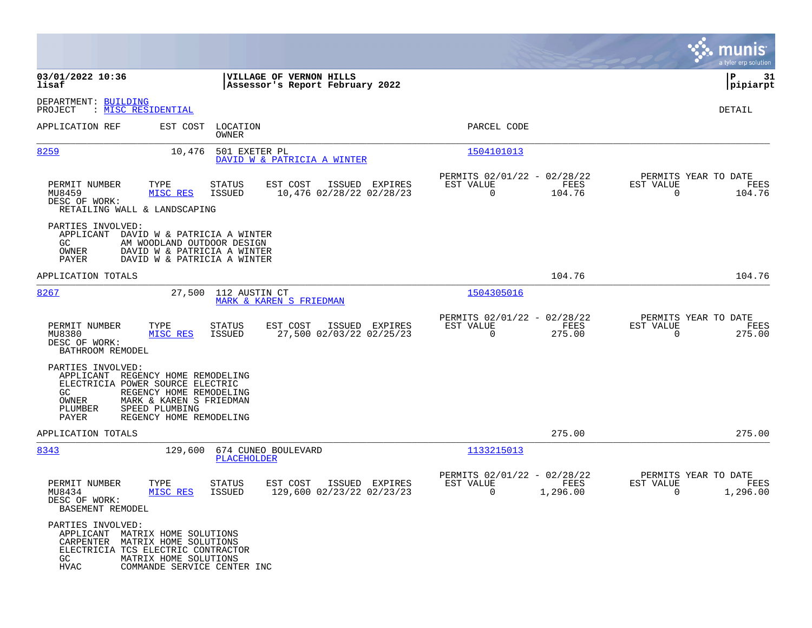|                                                                                                                                                                                                                                  |                                                                                           |                                                                           | munis<br>a tyler erp solution                                      |
|----------------------------------------------------------------------------------------------------------------------------------------------------------------------------------------------------------------------------------|-------------------------------------------------------------------------------------------|---------------------------------------------------------------------------|--------------------------------------------------------------------|
| 03/01/2022 10:36<br>lisaf                                                                                                                                                                                                        | VILLAGE OF VERNON HILLS<br>Assessor's Report February 2022                                |                                                                           | P<br>31<br> pipiarpt                                               |
| DEPARTMENT: BUILDING<br>: MISC RESIDENTIAL<br>PROJECT                                                                                                                                                                            |                                                                                           |                                                                           | DETAIL                                                             |
| APPLICATION REF<br>EST COST                                                                                                                                                                                                      | LOCATION<br>OWNER                                                                         | PARCEL CODE                                                               |                                                                    |
| 8259<br>10,476                                                                                                                                                                                                                   | 501 EXETER PL<br>DAVID W & PATRICIA A WINTER                                              | 1504101013                                                                |                                                                    |
| PERMIT NUMBER<br>TYPE<br>MU8459<br>MISC RES<br>DESC OF WORK:<br>RETAILING WALL & LANDSCAPING                                                                                                                                     | EST COST<br>ISSUED EXPIRES<br>STATUS<br>10,476 02/28/22 02/28/23<br>ISSUED                | PERMITS 02/01/22 - 02/28/22<br>EST VALUE<br>FEES<br>$\mathbf 0$<br>104.76 | PERMITS YEAR TO DATE<br>EST VALUE<br>FEES<br>$\Omega$<br>104.76    |
| PARTIES INVOLVED:<br>APPLICANT DAVID W & PATRICIA A WINTER<br>AM WOODLAND OUTDOOR DESIGN<br>GC<br>OWNER<br>DAVID W & PATRICIA A WINTER<br>PAYER<br>DAVID W & PATRICIA A WINTER                                                   |                                                                                           |                                                                           |                                                                    |
| APPLICATION TOTALS                                                                                                                                                                                                               |                                                                                           | 104.76                                                                    | 104.76                                                             |
| 8267                                                                                                                                                                                                                             | 27,500 112 AUSTIN CT<br>MARK & KAREN S FRIEDMAN                                           | 1504305016                                                                |                                                                    |
| PERMIT NUMBER<br>TYPE<br>MU8380<br>MISC RES<br>DESC OF WORK:<br>BATHROOM REMODEL                                                                                                                                                 | EST COST<br>ISSUED EXPIRES<br>STATUS<br>ISSUED<br>27,500 02/03/22 02/25/23                | PERMITS 02/01/22 - 02/28/22<br>EST VALUE<br>FEES<br>0<br>275.00           | PERMITS YEAR TO DATE<br>EST VALUE<br>FEES<br>$\mathbf 0$<br>275.00 |
| PARTIES INVOLVED:<br>APPLICANT REGENCY HOME REMODELING<br>ELECTRICIA POWER SOURCE ELECTRIC<br>GC<br>REGENCY HOME REMODELING<br>MARK & KAREN S FRIEDMAN<br>OWNER<br>PLUMBER<br>SPEED PLUMBING<br>PAYER<br>REGENCY HOME REMODELING |                                                                                           |                                                                           |                                                                    |
| APPLICATION TOTALS                                                                                                                                                                                                               |                                                                                           | 275.00                                                                    | 275.00                                                             |
| 8343<br>129,600                                                                                                                                                                                                                  | 674 CUNEO BOULEVARD<br>PLACEHOLDER                                                        | 1133215013                                                                |                                                                    |
| PERMIT NUMBER<br>TYPE<br>MU8434<br>MISC RES<br>DESC OF WORK:<br>BASEMENT REMODEL                                                                                                                                                 | ISSUED EXPIRES<br><b>STATUS</b><br>EST COST<br>129,600 02/23/22 02/23/23<br><b>ISSUED</b> | PERMITS 02/01/22 - 02/28/22<br>EST VALUE<br><b>FEES</b><br>0<br>1,296.00  | PERMITS YEAR TO DATE<br>EST VALUE<br>FEES<br>0<br>1,296.00         |
| PARTIES INVOLVED:<br>APPLICANT MATRIX HOME SOLUTIONS<br>CARPENTER MATRIX HOME SOLUTIONS<br>ELECTRICIA TCS ELECTRIC CONTRACTOR<br>MATRIX HOME SOLUTIONS<br>GC<br><b>HVAC</b><br>COMMANDE SERVICE CENTER INC                       |                                                                                           |                                                                           |                                                                    |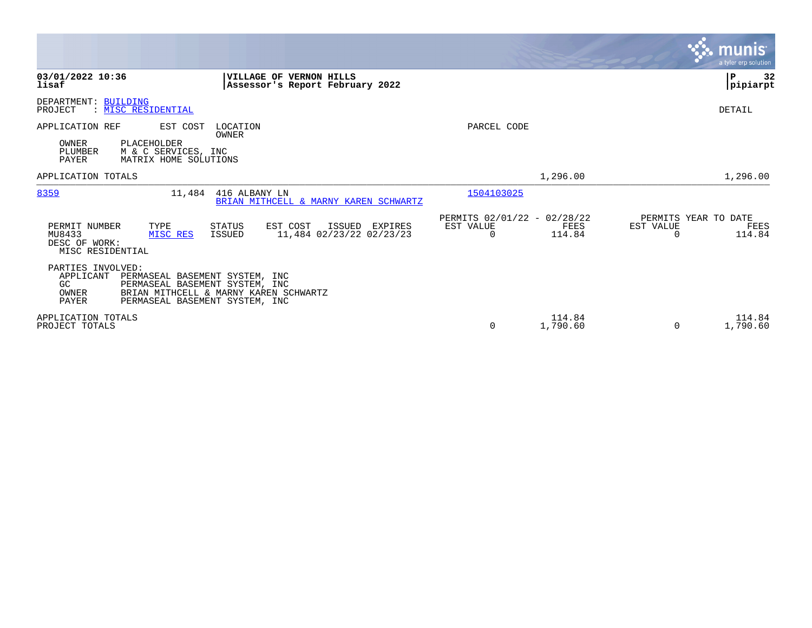|                                                                      |                                                                                                                                             |                                               |                    | <u>munis </u><br>a tyler erp solution                           |    |
|----------------------------------------------------------------------|---------------------------------------------------------------------------------------------------------------------------------------------|-----------------------------------------------|--------------------|-----------------------------------------------------------------|----|
| 03/01/2022 10:36<br>lisaf                                            | VILLAGE OF VERNON HILLS<br>Assessor's Report February 2022                                                                                  |                                               |                    | ∣P<br> pipiarpt                                                 | 32 |
| DEPARTMENT: BUILDING<br>PROJECT<br>: MISC RESIDENTIAL                |                                                                                                                                             |                                               |                    | DETAIL                                                          |    |
| APPLICATION REF<br>OWNER<br>PLACEHOLDER<br>PLUMBER<br>PAYER          | EST COST<br>LOCATION<br>OWNER<br>M & C SERVICES, INC<br>MATRIX HOME SOLUTIONS                                                               | PARCEL CODE                                   |                    |                                                                 |    |
| APPLICATION TOTALS                                                   |                                                                                                                                             |                                               | 1,296.00           | 1,296.00                                                        |    |
| 8359                                                                 | 11,484<br>416 ALBANY LN<br>BRIAN MITHCELL & MARNY KAREN SCHWARTZ                                                                            | 1504103025                                    |                    |                                                                 |    |
| PERMIT NUMBER<br>TYPE<br>MU8433<br>DESC OF WORK:<br>MISC RESIDENTIAL | <b>STATUS</b><br>EST COST<br>ISSUED<br>EXPIRES<br>11,484 02/23/22 02/23/23<br>ISSUED<br>MISC RES                                            | PERMITS 02/01/22 - 02/28/22<br>EST VALUE<br>0 | FEES<br>114.84     | PERMITS YEAR TO DATE<br>EST VALUE<br>FEES<br>114.84<br>$\Omega$ |    |
| PARTIES INVOLVED:<br>APPLICANT<br>GC.<br>OWNER<br>PAYER              | PERMASEAL BASEMENT SYSTEM, INC<br>PERMASEAL BASEMENT SYSTEM, INC<br>BRIAN MITHCELL & MARNY KAREN SCHWARTZ<br>PERMASEAL BASEMENT SYSTEM, INC |                                               |                    |                                                                 |    |
| APPLICATION TOTALS<br>PROJECT TOTALS                                 |                                                                                                                                             | 0                                             | 114.84<br>1,790.60 | 114.84<br>1,790.60<br>$\Omega$                                  |    |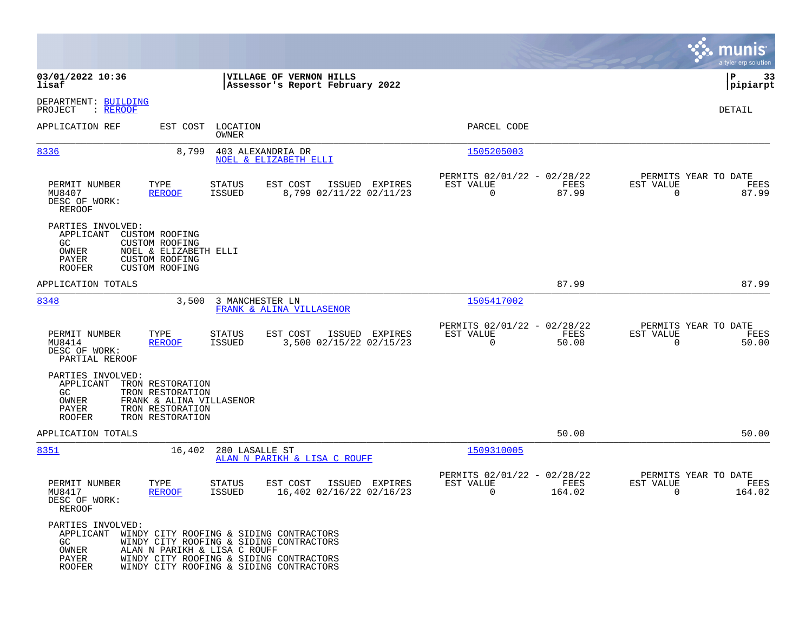|                                                                                                                                                                              |                                                                                                                                                                                                          |                                                                                         | munis<br>a tyler erp solution                                      |
|------------------------------------------------------------------------------------------------------------------------------------------------------------------------------|----------------------------------------------------------------------------------------------------------------------------------------------------------------------------------------------------------|-----------------------------------------------------------------------------------------|--------------------------------------------------------------------|
| 03/01/2022 10:36<br>lisaf                                                                                                                                                    | VILLAGE OF VERNON HILLS<br>Assessor's Report February 2022                                                                                                                                               |                                                                                         | ΙP<br>33<br> pipiarpt                                              |
| DEPARTMENT: BUILDING<br>: REROOF<br>PROJECT                                                                                                                                  |                                                                                                                                                                                                          |                                                                                         | DETAIL                                                             |
| APPLICATION REF                                                                                                                                                              | EST COST<br>LOCATION<br><b>OWNER</b>                                                                                                                                                                     | PARCEL CODE                                                                             |                                                                    |
| 8336                                                                                                                                                                         | 8,799<br>403 ALEXANDRIA DR<br>NOEL & ELIZABETH ELLI                                                                                                                                                      | 1505205003                                                                              |                                                                    |
| TYPE<br>PERMIT NUMBER<br>MU8407<br>REROOF<br>DESC OF WORK:<br>REROOF                                                                                                         | STATUS<br>EST COST<br>ISSUED EXPIRES<br>8,799 02/11/22 02/11/23<br>ISSUED                                                                                                                                | PERMITS 02/01/22 - 02/28/22<br>EST VALUE<br>FEES<br>$\mathbf 0$<br>87.99                | PERMITS YEAR TO DATE<br>EST VALUE<br>FEES<br>$\mathbf 0$<br>87.99  |
| PARTIES INVOLVED:<br>APPLICANT<br><b>CUSTOM ROOFING</b><br>GC.<br><b>CUSTOM ROOFING</b><br>OWNER<br>PAYER<br><b>CUSTOM ROOFING</b><br><b>ROOFER</b><br><b>CUSTOM ROOFING</b> | NOEL & ELIZABETH ELLI                                                                                                                                                                                    |                                                                                         |                                                                    |
| APPLICATION TOTALS                                                                                                                                                           |                                                                                                                                                                                                          | 87.99                                                                                   | 87.99                                                              |
| 8348                                                                                                                                                                         | 3,500<br>3 MANCHESTER LN<br>FRANK & ALINA VILLASENOR                                                                                                                                                     | 1505417002                                                                              |                                                                    |
| PERMIT NUMBER<br>TYPE<br>MU8414<br><b>REROOF</b><br>DESC OF WORK:<br>PARTIAL REROOF                                                                                          | <b>STATUS</b><br>EST COST<br>ISSUED<br><b>ISSUED</b><br>3,500 02/15/22 02/15/23                                                                                                                          | PERMITS 02/01/22 - 02/28/22<br><b>EXPIRES</b><br>EST VALUE<br>FEES<br>$\Omega$<br>50.00 | PERMITS YEAR TO DATE<br>EST VALUE<br>FEES<br>50.00<br>$\Omega$     |
| PARTIES INVOLVED:<br>TRON RESTORATION<br>APPLICANT<br>GC.<br>TRON RESTORATION<br>OWNER<br>TRON RESTORATION<br>PAYER<br><b>ROOFER</b><br>TRON RESTORATION                     | FRANK & ALINA VILLASENOR                                                                                                                                                                                 |                                                                                         |                                                                    |
| APPLICATION TOTALS                                                                                                                                                           |                                                                                                                                                                                                          | 50.00                                                                                   | 50.00                                                              |
| 8351                                                                                                                                                                         | 16,402<br>280 LASALLE ST<br>ALAN N PARIKH & LISA C ROUFF                                                                                                                                                 | 1509310005                                                                              |                                                                    |
| PERMIT NUMBER<br>TYPE<br>MU8417<br><b>REROOF</b><br>DESC OF WORK:<br><b>REROOF</b>                                                                                           | <b>STATUS</b><br>EST COST<br>ISSUED EXPIRES<br>16,402 02/16/22 02/16/23<br><b>ISSUED</b>                                                                                                                 | PERMITS 02/01/22 -<br>02/28/22<br>EST VALUE<br>FEES<br>$\Omega$<br>164.02               | PERMITS YEAR TO DATE<br>EST VALUE<br>FEES<br>$\mathbf 0$<br>164.02 |
| PARTIES INVOLVED:<br>APPLICANT<br>GC<br>OWNER<br>PAYER<br><b>ROOFER</b>                                                                                                      | WINDY CITY ROOFING & SIDING CONTRACTORS<br>WINDY CITY ROOFING & SIDING CONTRACTORS<br>ALAN N PARIKH & LISA C ROUFF<br>WINDY CITY ROOFING & SIDING CONTRACTORS<br>WINDY CITY ROOFING & SIDING CONTRACTORS |                                                                                         |                                                                    |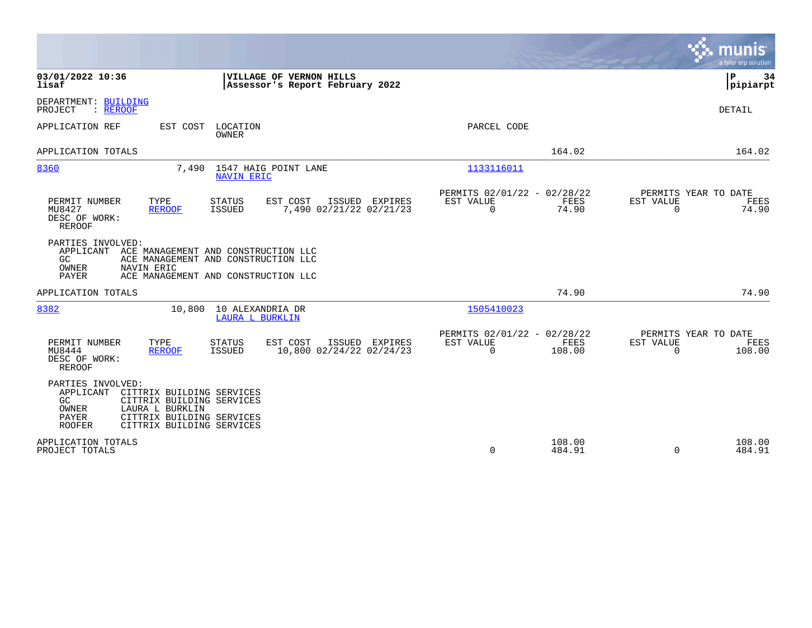|                                                                                                                                                                                                                        |                                                                           | a tyler erp solution                                               |
|------------------------------------------------------------------------------------------------------------------------------------------------------------------------------------------------------------------------|---------------------------------------------------------------------------|--------------------------------------------------------------------|
| 03/01/2022 10:36<br>VILLAGE OF VERNON HILLS<br>lisaf<br>Assessor's Report February 2022                                                                                                                                |                                                                           | ΙP<br>34<br> pipiarpt                                              |
| DEPARTMENT: BUILDING<br>: REROOF<br>PROJECT                                                                                                                                                                            |                                                                           | DETAIL                                                             |
| APPLICATION REF<br>LOCATION<br>EST COST<br>OWNER                                                                                                                                                                       | PARCEL CODE                                                               |                                                                    |
| APPLICATION TOTALS                                                                                                                                                                                                     | 164.02                                                                    | 164.02                                                             |
| 8360<br>7,490 1547 HAIG POINT LANE<br>NAVIN ERIC                                                                                                                                                                       | 1133116011                                                                |                                                                    |
| PERMIT NUMBER<br>TYPE<br>STATUS<br>EST COST<br>ISSUED EXPIRES<br>7,490 02/21/22 02/21/23<br>MU8427<br><b>REROOF</b><br><b>ISSUED</b><br>DESC OF WORK:<br><b>REROOF</b>                                                 | PERMITS 02/01/22 - 02/28/22<br>EST VALUE<br>FEES<br>74.90<br>$\Omega$     | PERMITS YEAR TO DATE<br>EST VALUE<br>FEES<br>$\Omega$<br>74.90     |
| PARTIES INVOLVED:<br>APPLICANT<br>ACE MANAGEMENT AND CONSTRUCTION LLC<br>GC.<br>ACE MANAGEMENT AND CONSTRUCTION LLC<br>OWNER<br>NAVIN ERIC<br>ACE MANAGEMENT AND CONSTRUCTION LLC<br>PAYER                             |                                                                           |                                                                    |
| APPLICATION TOTALS                                                                                                                                                                                                     | 74.90                                                                     | 74.90                                                              |
| 8382<br>10,800<br>10 ALEXANDRIA DR<br>LAURA L BURKLIN                                                                                                                                                                  | 1505410023                                                                |                                                                    |
| PERMIT NUMBER<br>TYPE<br>STATUS<br>EST COST<br>ISSUED EXPIRES<br>10,800 02/24/22 02/24/23<br>MU8444<br><b>ISSUED</b><br>REROOF<br>DESC OF WORK:<br><b>REROOF</b>                                                       | PERMITS 02/01/22 - 02/28/22<br>EST VALUE<br>FEES<br>$\mathbf 0$<br>108.00 | PERMITS YEAR TO DATE<br>EST VALUE<br>FEES<br>$\mathbf 0$<br>108.00 |
| PARTIES INVOLVED:<br>APPLICANT<br>CITTRIX BUILDING SERVICES<br>GC.<br>CITTRIX BUILDING SERVICES<br>OWNER<br>LAURA L BURKLIN<br><b>PAYER</b><br>CITTRIX BUILDING SERVICES<br><b>ROOFER</b><br>CITTRIX BUILDING SERVICES |                                                                           |                                                                    |
| APPLICATION TOTALS<br>PROJECT TOTALS                                                                                                                                                                                   | 108.00<br>$\mathbf 0$<br>484.91                                           | 108.00<br>$\Omega$<br>484.91                                       |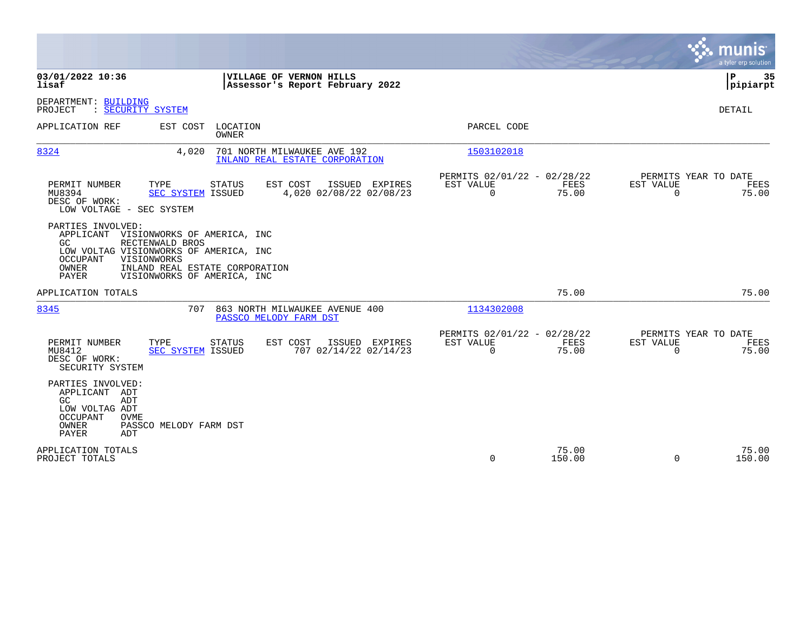|                                                                                                                                                                                                                                                           | munis<br>a tyler erp solution                                                                                                           |
|-----------------------------------------------------------------------------------------------------------------------------------------------------------------------------------------------------------------------------------------------------------|-----------------------------------------------------------------------------------------------------------------------------------------|
| 03/01/2022 10:36<br>VILLAGE OF VERNON HILLS<br>Assessor's Report February 2022<br>lisaf                                                                                                                                                                   | ÞΡ<br>35<br> pipiarpt                                                                                                                   |
| DEPARTMENT: BUILDING<br>: SECURITY SYSTEM<br>PROJECT                                                                                                                                                                                                      | DETAIL                                                                                                                                  |
| APPLICATION REF<br>EST COST<br>LOCATION<br><b>OWNER</b>                                                                                                                                                                                                   | PARCEL CODE                                                                                                                             |
| 8324<br>4,020<br>701 NORTH MILWAUKEE AVE 192<br>INLAND REAL ESTATE CORPORATION                                                                                                                                                                            | 1503102018                                                                                                                              |
| TYPE<br>EST COST<br>PERMIT NUMBER<br>STATUS<br>ISSUED EXPIRES<br>4,020 02/08/22 02/08/23<br>MU8394<br>SEC SYSTEM ISSUED<br>DESC OF WORK:<br>LOW VOLTAGE - SEC SYSTEM                                                                                      | PERMITS 02/01/22 - 02/28/22<br>PERMITS YEAR TO DATE<br>EST VALUE<br>FEES<br>EST VALUE<br>FEES<br>$\Omega$<br>75.00<br>$\Omega$<br>75.00 |
| PARTIES INVOLVED:<br>APPLICANT VISIONWORKS OF AMERICA, INC<br>GC<br>RECTENWALD BROS<br>LOW VOLTAG VISIONWORKS OF AMERICA, INC<br><b>OCCUPANT</b><br>VISIONWORKS<br>OWNER<br>INLAND REAL ESTATE CORPORATION<br><b>PAYER</b><br>VISIONWORKS OF AMERICA, INC |                                                                                                                                         |
| APPLICATION TOTALS                                                                                                                                                                                                                                        | 75.00<br>75.00                                                                                                                          |
| 8345<br>707<br>863 NORTH MILWAUKEE AVENUE 400<br>PASSCO MELODY FARM DST                                                                                                                                                                                   | 1134302008                                                                                                                              |
| PERMIT NUMBER<br>EST COST<br>TYPE<br><b>STATUS</b><br>ISSUED EXPIRES<br>SEC SYSTEM ISSUED<br>707 02/14/22 02/14/23<br>MU8412<br>DESC OF WORK:<br>SECURITY SYSTEM                                                                                          | PERMITS 02/01/22 - 02/28/22<br>PERMITS YEAR TO DATE<br>EST VALUE<br>FEES<br>EST VALUE<br>FEES<br>$\Omega$<br>75.00<br>75.00<br>$\Omega$ |
| PARTIES INVOLVED:<br>APPLICANT ADT<br>GC<br>ADT<br>LOW VOLTAG ADT<br><b>OCCUPANT</b><br><b>OVME</b><br><b>OWNER</b><br>PASSCO MELODY FARM DST<br>PAYER<br>ADT                                                                                             |                                                                                                                                         |
| APPLICATION TOTALS<br>PROJECT TOTALS                                                                                                                                                                                                                      | 75.00<br>75.00<br>$\Omega$<br>150.00<br>150.00<br>$\Omega$                                                                              |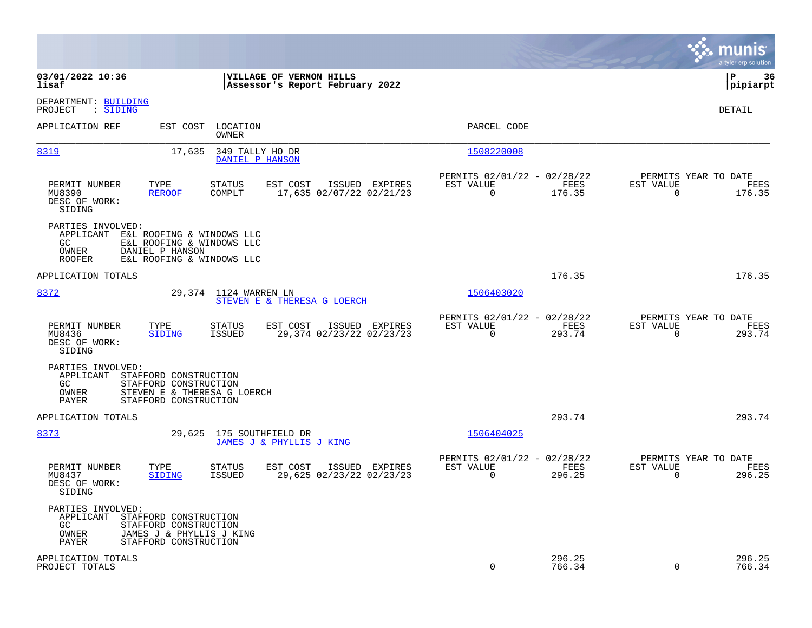|                                                                 |                                                                                                        |                                    |                                                            |                                            |                                                         |                  |                                                  | munis<br>a tyler erp solution |
|-----------------------------------------------------------------|--------------------------------------------------------------------------------------------------------|------------------------------------|------------------------------------------------------------|--------------------------------------------|---------------------------------------------------------|------------------|--------------------------------------------------|-------------------------------|
| 03/01/2022 10:36<br>lisaf                                       |                                                                                                        |                                    | VILLAGE OF VERNON HILLS<br>Assessor's Report February 2022 |                                            |                                                         |                  |                                                  | l P<br>36<br> pipiarpt        |
| DEPARTMENT: BUILDING<br>PROJECT<br>: SIDING                     |                                                                                                        |                                    |                                                            |                                            |                                                         |                  |                                                  | DETAIL                        |
| APPLICATION REF                                                 | EST COST                                                                                               | LOCATION<br>OWNER                  |                                                            |                                            | PARCEL CODE                                             |                  |                                                  |                               |
| 8319                                                            | 17,635                                                                                                 | 349 TALLY HO DR<br>DANIEL P HANSON |                                                            |                                            | 1508220008                                              |                  |                                                  |                               |
| PERMIT NUMBER<br>MU8390<br>DESC OF WORK:<br>SIDING              | TYPE<br><b>REROOF</b>                                                                                  | STATUS<br>COMPLT                   | EST COST                                                   | ISSUED EXPIRES<br>17,635 02/07/22 02/21/23 | PERMITS 02/01/22 - 02/28/22<br>EST VALUE<br>$\Omega$    | FEES<br>176.35   | PERMITS YEAR TO DATE<br>EST VALUE<br>$\Omega$    | FEES<br>176.35                |
| PARTIES INVOLVED:<br>APPLICANT<br>GC.<br>OWNER<br><b>ROOFER</b> | E&L ROOFING & WINDOWS LLC<br>E&L ROOFING & WINDOWS LLC<br>DANIEL P HANSON<br>E&L ROOFING & WINDOWS LLC |                                    |                                                            |                                            |                                                         |                  |                                                  |                               |
| APPLICATION TOTALS                                              |                                                                                                        |                                    |                                                            |                                            |                                                         | 176.35           |                                                  | 176.35                        |
| 8372                                                            |                                                                                                        | 29,374 1124 WARREN LN              | STEVEN E & THERESA G LOERCH                                |                                            | 1506403020                                              |                  |                                                  |                               |
| PERMIT NUMBER<br>MU8436<br>DESC OF WORK:<br>SIDING              | TYPE<br><b>SIDING</b>                                                                                  | STATUS<br>ISSUED                   | EST COST                                                   | ISSUED EXPIRES<br>29,374 02/23/22 02/23/23 | PERMITS 02/01/22 - 02/28/22<br>EST VALUE<br>$\mathbf 0$ | FEES<br>293.74   | PERMITS YEAR TO DATE<br>EST VALUE<br>$\mathbf 0$ | FEES<br>293.74                |
| PARTIES INVOLVED:<br>APPLICANT<br>GC.<br>OWNER<br>PAYER         | STAFFORD CONSTRUCTION<br>STAFFORD CONSTRUCTION<br>STEVEN E & THERESA G LOERCH<br>STAFFORD CONSTRUCTION |                                    |                                                            |                                            |                                                         |                  |                                                  |                               |
| APPLICATION TOTALS                                              |                                                                                                        |                                    |                                                            |                                            |                                                         | 293.74           |                                                  | 293.74                        |
| 8373                                                            | 29,625                                                                                                 | 175 SOUTHFIELD DR                  | JAMES J & PHYLLIS J KING                                   |                                            | 1506404025                                              |                  |                                                  |                               |
| PERMIT NUMBER<br>MU8437<br>DESC OF WORK:<br>SIDING              | TYPE<br><b>SIDING</b>                                                                                  | STATUS<br>ISSUED                   | EST COST                                                   | ISSUED EXPIRES<br>29,625 02/23/22 02/23/23 | PERMITS 02/01/22 - 02/28/22<br>EST VALUE<br>$\mathbf 0$ | FEES<br>296.25   | PERMITS YEAR TO DATE<br>EST VALUE<br>$\mathbf 0$ | FEES<br>296.25                |
| PARTIES INVOLVED:<br>APPLICANT<br>GC<br>OWNER<br>PAYER          | STAFFORD CONSTRUCTION<br>STAFFORD CONSTRUCTION<br>JAMES J & PHYLLIS J KING<br>STAFFORD CONSTRUCTION    |                                    |                                                            |                                            |                                                         |                  |                                                  |                               |
| APPLICATION TOTALS<br>PROJECT TOTALS                            |                                                                                                        |                                    |                                                            |                                            | 0                                                       | 296.25<br>766.34 | 0                                                | 296.25<br>766.34              |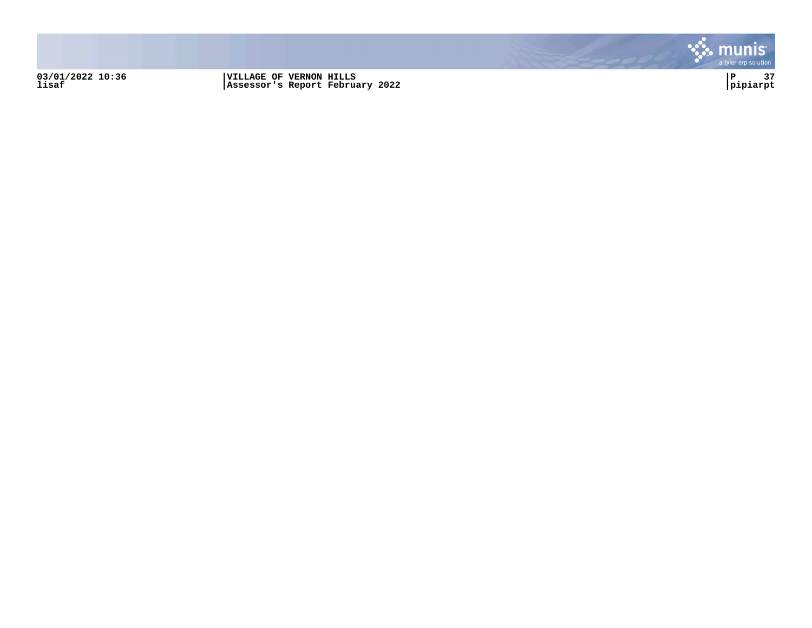**03/01/2022 10:36 |VILLAGE OF VERNON HILLS |P 37 lisaf |Assessor's Report February 2022 |pipiarpt**

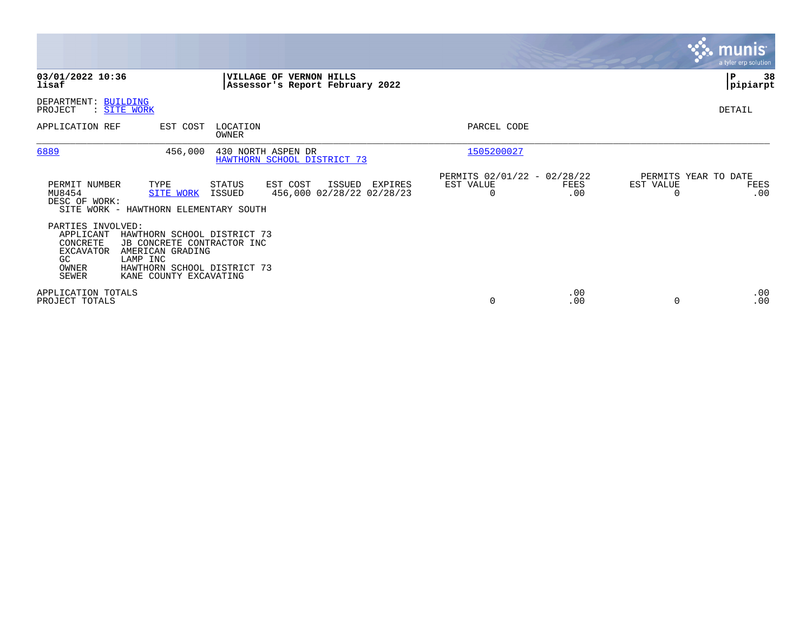|                                                                                                                                                                                                                                               |                                                                                | <b>munis</b><br>a tyler erp solution             |
|-----------------------------------------------------------------------------------------------------------------------------------------------------------------------------------------------------------------------------------------------|--------------------------------------------------------------------------------|--------------------------------------------------|
| 03/01/2022 10:36<br>VILLAGE OF VERNON HILLS<br>lisaf<br>Assessor's Report February 2022                                                                                                                                                       |                                                                                | 38<br>P<br> pipiarpt                             |
| DEPARTMENT: BUILDING<br>PROJECT<br>: SITE WORK                                                                                                                                                                                                |                                                                                | DETAIL                                           |
| APPLICATION REF<br>EST COST<br>LOCATION<br><b>OWNER</b>                                                                                                                                                                                       | PARCEL CODE                                                                    |                                                  |
| 6889<br>430 NORTH ASPEN DR<br>456,000<br>HAWTHORN SCHOOL DISTRICT 73                                                                                                                                                                          | 1505200027                                                                     |                                                  |
| PERMIT NUMBER<br>TYPE<br><b>STATUS</b><br>EST COST<br>ISSUED<br>456,000 02/28/22 02/28/23<br>MU8454<br><b>SITE WORK</b><br>ISSUED<br>DESC OF WORK:<br>SITE WORK - HAWTHORN ELEMENTARY SOUTH                                                   | PERMITS 02/01/22 - 02/28/22<br>EXPIRES<br>EST VALUE<br>FEES<br>$\Omega$<br>.00 | PERMITS YEAR TO DATE<br>EST VALUE<br>FEES<br>.00 |
| PARTIES INVOLVED:<br>APPLICANT<br>HAWTHORN SCHOOL DISTRICT 73<br>CONCRETE<br>JB CONCRETE CONTRACTOR INC<br>EXCAVATOR<br>AMERICAN GRADING<br>LAMP INC<br>GC.<br>OWNER<br>HAWTHORN SCHOOL DISTRICT 73<br><b>SEWER</b><br>KANE COUNTY EXCAVATING |                                                                                |                                                  |
| APPLICATION TOTALS<br>PROJECT TOTALS                                                                                                                                                                                                          | .00<br>$\mathbf 0$<br>.00                                                      | $.00 \,$<br>.00<br>$\Omega$                      |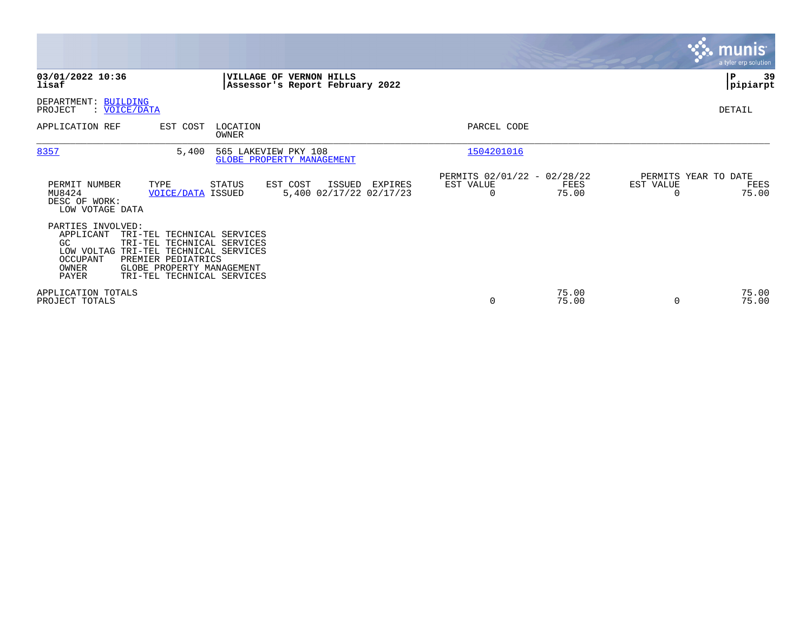|                                                                                                                                                                                                                                                                 |                                                                                                |                                                                       | <b>munis</b><br>a tyler erp solution               |
|-----------------------------------------------------------------------------------------------------------------------------------------------------------------------------------------------------------------------------------------------------------------|------------------------------------------------------------------------------------------------|-----------------------------------------------------------------------|----------------------------------------------------|
| 03/01/2022 10:36<br>lisaf                                                                                                                                                                                                                                       | VILLAGE OF VERNON HILLS<br>Assessor's Report February 2022                                     |                                                                       | -39<br>P<br> pipiarpt                              |
| DEPARTMENT: BUILDING<br>: VOICE/DATA<br>PROJECT                                                                                                                                                                                                                 |                                                                                                |                                                                       | DETAIL                                             |
| APPLICATION REF<br>EST COST                                                                                                                                                                                                                                     | LOCATION<br>OWNER                                                                              | PARCEL CODE                                                           |                                                    |
| 8357<br>5,400                                                                                                                                                                                                                                                   | 565 LAKEVIEW PKY 108<br>GLOBE PROPERTY MANAGEMENT                                              | 1504201016                                                            |                                                    |
| PERMIT NUMBER<br>TYPE<br>MU8424<br>DESC OF WORK:<br>LOW VOTAGE DATA                                                                                                                                                                                             | EST COST<br>ISSUED<br>STATUS<br>EXPIRES<br>5,400 02/17/22 02/17/23<br><b>VOICE/DATA ISSUED</b> | PERMITS 02/01/22 - 02/28/22<br>EST VALUE<br>FEES<br>$\Omega$<br>75.00 | PERMITS YEAR TO DATE<br>EST VALUE<br>FEES<br>75.00 |
| PARTIES INVOLVED:<br>TRI-TEL TECHNICAL SERVICES<br>APPLICANT<br>GC<br>TRI-TEL TECHNICAL SERVICES<br>LOW VOLTAG TRI-TEL TECHNICAL SERVICES<br>PREMIER PEDIATRICS<br>OCCUPANT<br>OWNER<br>GLOBE PROPERTY MANAGEMENT<br><b>PAYER</b><br>TRI-TEL TECHNICAL SERVICES |                                                                                                |                                                                       |                                                    |
| APPLICATION TOTALS<br>PROJECT TOTALS                                                                                                                                                                                                                            |                                                                                                | 75.00<br>0<br>75.00                                                   | 75.00<br>75.00<br>$\Omega$                         |

**Contract**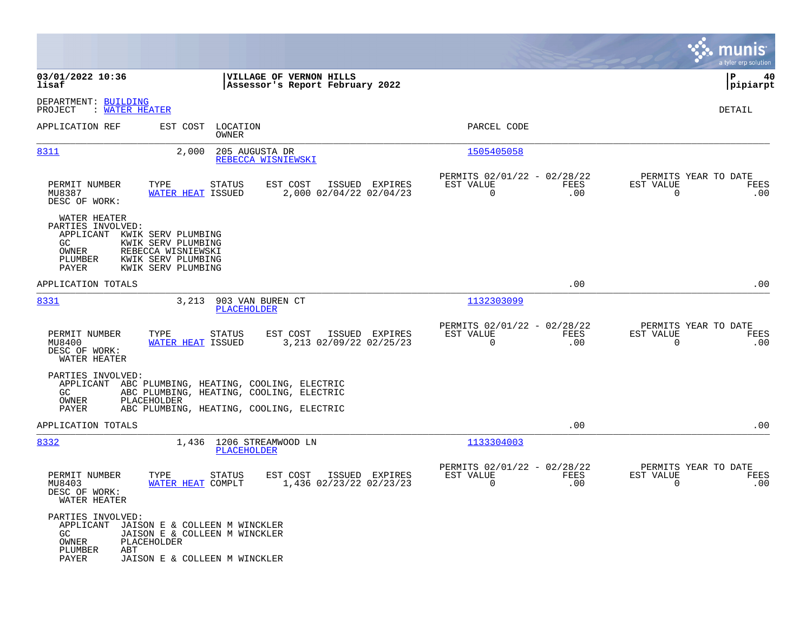|                                                                                                                                                                                                         |                                                                        | a tyler erp solution                                            |
|---------------------------------------------------------------------------------------------------------------------------------------------------------------------------------------------------------|------------------------------------------------------------------------|-----------------------------------------------------------------|
| 03/01/2022 10:36<br>VILLAGE OF VERNON HILLS<br>lisaf<br>Assessor's Report February 2022                                                                                                                 |                                                                        | ΙP<br>40<br> pipiarpt                                           |
| DEPARTMENT: BUILDING<br>: WATER HEATER<br>PROJECT                                                                                                                                                       |                                                                        | DETAIL                                                          |
| APPLICATION REF<br>EST COST<br>LOCATION<br>OWNER                                                                                                                                                        | PARCEL CODE                                                            |                                                                 |
| 205 AUGUSTA DR<br>8311<br>2,000<br>REBECCA WISNIEWSKI                                                                                                                                                   | 1505405058                                                             |                                                                 |
| PERMIT NUMBER<br>TYPE<br>ISSUED EXPIRES<br>STATUS<br>EST COST<br>MU8387<br>WATER HEAT ISSUED<br>2,000 02/04/22 02/04/23<br>DESC OF WORK:                                                                | PERMITS 02/01/22 - 02/28/22<br>EST VALUE<br>FEES<br>$\mathbf 0$<br>.00 | PERMITS YEAR TO DATE<br>EST VALUE<br>FEES<br>$\mathbf 0$<br>.00 |
| WATER HEATER<br>PARTIES INVOLVED:<br>APPLICANT<br>KWIK SERV PLUMBING<br>GC.<br>KWIK SERV PLUMBING<br>OWNER<br>REBECCA WISNIEWSKI<br>PLUMBER<br>KWIK SERV PLUMBING<br>KWIK SERV PLUMBING<br>PAYER        |                                                                        |                                                                 |
| APPLICATION TOTALS                                                                                                                                                                                      | .00                                                                    | .00                                                             |
| 8331<br>3,213<br>903 VAN BUREN CT<br>PLACEHOLDER                                                                                                                                                        | 1132303099                                                             |                                                                 |
| PERMIT NUMBER<br>EST COST<br>ISSUED EXPIRES<br>TYPE<br>STATUS<br>MU8400<br>WATER HEAT ISSUED<br>3,213 02/09/22 02/25/23<br>DESC OF WORK:<br>WATER HEATER                                                | PERMITS 02/01/22 - 02/28/22<br>EST VALUE<br>FEES<br>0<br>.00           | PERMITS YEAR TO DATE<br>EST VALUE<br>FEES<br>$\mathbf 0$<br>.00 |
| PARTIES INVOLVED:<br>APPLICANT ABC PLUMBING, HEATING, COOLING, ELECTRIC<br>GC.<br>ABC PLUMBING, HEATING, COOLING, ELECTRIC<br>OWNER<br>PLACEHOLDER<br>PAYER<br>ABC PLUMBING, HEATING, COOLING, ELECTRIC |                                                                        |                                                                 |
| APPLICATION TOTALS                                                                                                                                                                                      | .00                                                                    | .00                                                             |
| 1,436 1206 STREAMWOOD LN<br>8332<br>PLACEHOLDER                                                                                                                                                         | 1133304003                                                             |                                                                 |
| PERMIT NUMBER<br>EST COST<br>ISSUED EXPIRES<br>TYPE<br><b>STATUS</b><br>WATER HEAT COMPLT<br>1,436 02/23/22 02/23/23<br>MU8403<br>DESC OF WORK:<br>WATER HEATER                                         | PERMITS 02/01/22 - 02/28/22<br>EST VALUE<br>FEES<br>0<br>.00           | PERMITS YEAR TO DATE<br>EST VALUE<br>FEES<br>$\mathbf 0$<br>.00 |
| PARTIES INVOLVED:<br>APPLICANT<br>JAISON E & COLLEEN M WINCKLER<br>GC<br>JAISON E & COLLEEN M WINCKLER<br>OWNER<br>PLACEHOLDER<br>PLUMBER<br>ABT<br>PAYER<br>JAISON E & COLLEEN M WINCKLER              |                                                                        |                                                                 |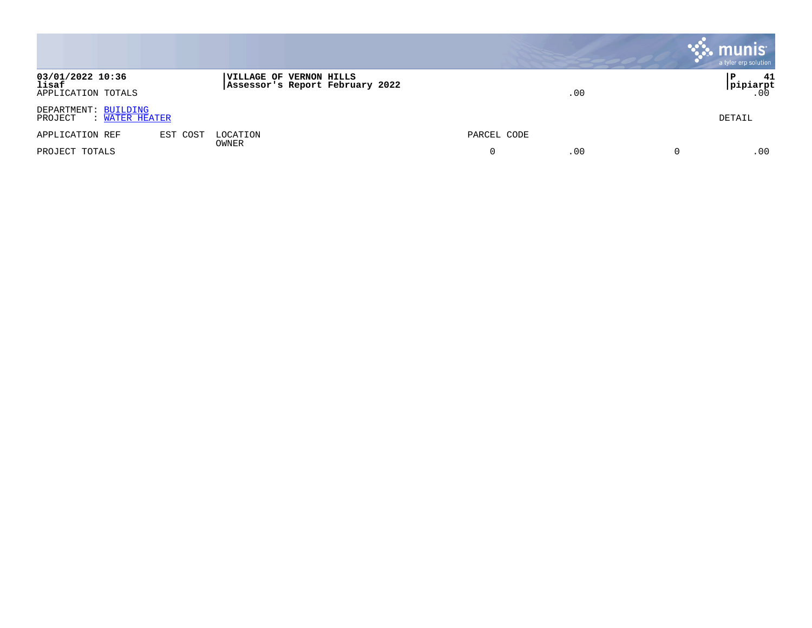|                                                   |                                                                   |             |     | $\mathbf{\ddot{.}}$ munis<br>a tyler erp solution |
|---------------------------------------------------|-------------------------------------------------------------------|-------------|-----|---------------------------------------------------|
| 03/01/2022 10:36<br>lisaf<br>APPLICATION TOTALS   | <b>VILLAGE OF VERNON HILLS</b><br>Assessor's Report February 2022 |             | .00 | 41<br>l P<br> pipiarpt<br>$.0\overline{0}$        |
| DEPARTMENT: BUILDING<br>: WATER HEATER<br>PROJECT |                                                                   |             |     | DETAIL                                            |
| EST COST<br>APPLICATION REF                       | LOCATION<br>OWNER                                                 | PARCEL CODE |     |                                                   |
| PROJECT TOTALS                                    |                                                                   | 0           | .00 | .00                                               |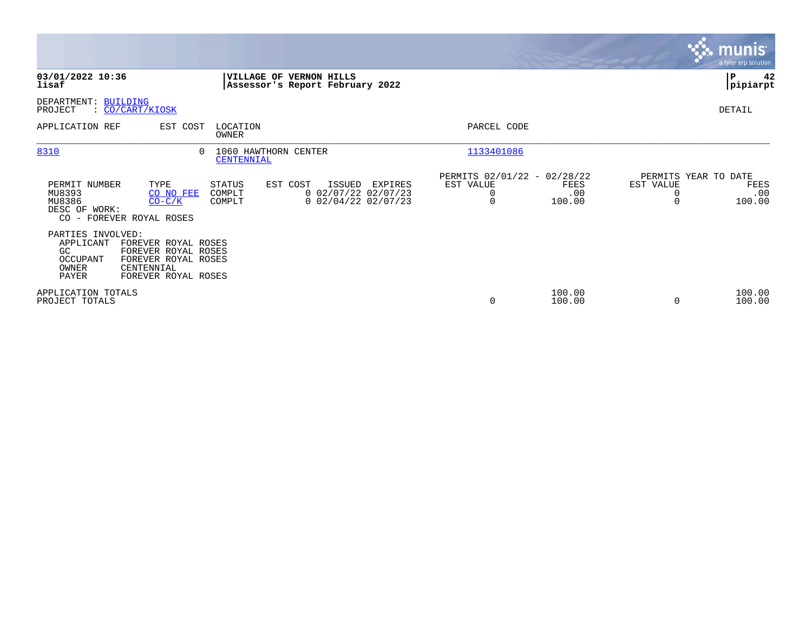|                                                                           |                                                                                                        |                                           |                                                                      |         |                                                              |                       |                       | <b>munis</b><br>a tyler erp solution          |
|---------------------------------------------------------------------------|--------------------------------------------------------------------------------------------------------|-------------------------------------------|----------------------------------------------------------------------|---------|--------------------------------------------------------------|-----------------------|-----------------------|-----------------------------------------------|
| 03/01/2022 10:36<br>lisaf                                                 |                                                                                                        |                                           | VILLAGE OF VERNON HILLS<br>Assessor's Report February 2022           |         |                                                              |                       |                       | P<br>42<br> pipiarpt                          |
| DEPARTMENT: BUILDING<br>PROJECT                                           | : CO/CART/KIOSK                                                                                        |                                           |                                                                      |         |                                                              |                       |                       | DETAIL                                        |
| APPLICATION REF                                                           | EST COST                                                                                               | LOCATION<br>OWNER                         |                                                                      |         | PARCEL CODE                                                  |                       |                       |                                               |
| 8310                                                                      | 0                                                                                                      | 1060 HAWTHORN CENTER<br><b>CENTENNIAL</b> |                                                                      |         | 1133401086                                                   |                       |                       |                                               |
| PERMIT NUMBER<br>MU8393<br>MU8386<br>DESC OF WORK:                        | TYPE<br>CO NO FEE<br>$CO-C/K$<br>CO - FOREVER ROYAL ROSES                                              | STATUS<br>COMPLT<br>COMPLT                | EST COST<br>ISSUED<br>$0$ 02/07/22 02/07/23<br>$0$ 02/04/22 02/07/23 | EXPIRES | PERMITS 02/01/22 - 02/28/22<br>EST VALUE<br>0<br>$\mathbf 0$ | FEES<br>.00<br>100.00 | EST VALUE<br>$\Omega$ | PERMITS YEAR TO DATE<br>FEES<br>.00<br>100.00 |
| PARTIES INVOLVED:<br>APPLICANT<br>GC<br>OCCUPANT<br>OWNER<br><b>PAYER</b> | FOREVER ROYAL ROSES<br>FOREVER ROYAL ROSES<br>FOREVER ROYAL ROSES<br>CENTENNIAL<br>FOREVER ROYAL ROSES |                                           |                                                                      |         |                                                              |                       |                       |                                               |
| APPLICATION TOTALS<br>PROJECT TOTALS                                      |                                                                                                        |                                           |                                                                      |         | 0                                                            | 100.00<br>100.00      | 0                     | 100.00<br>100.00                              |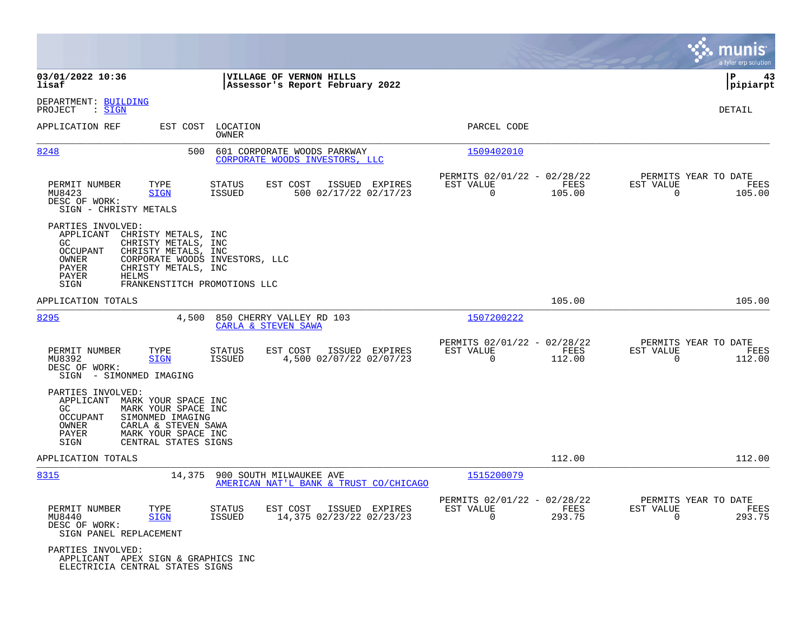|                                                                                                                                                                                                                                  |                                                                                         |                                                                 | munis<br>a tyler erp solution                                      |
|----------------------------------------------------------------------------------------------------------------------------------------------------------------------------------------------------------------------------------|-----------------------------------------------------------------------------------------|-----------------------------------------------------------------|--------------------------------------------------------------------|
| 03/01/2022 10:36<br>lisaf                                                                                                                                                                                                        | VILLAGE OF VERNON HILLS<br>Assessor's Report February 2022                              |                                                                 | l P<br>43<br> pipiarpt                                             |
| DEPARTMENT: BUILDING<br>: SIGN<br>PROJECT                                                                                                                                                                                        |                                                                                         |                                                                 | DETAIL                                                             |
| APPLICATION REF<br>EST COST                                                                                                                                                                                                      | LOCATION<br>OWNER                                                                       | PARCEL CODE                                                     |                                                                    |
| 8248<br>500                                                                                                                                                                                                                      | 601 CORPORATE WOODS PARKWAY<br>CORPORATE WOODS INVESTORS, LLC                           | 1509402010                                                      |                                                                    |
| TYPE<br>PERMIT NUMBER<br>MU8423<br><b>SIGN</b><br>DESC OF WORK:<br>SIGN - CHRISTY METALS                                                                                                                                         | EST COST<br>ISSUED EXPIRES<br>STATUS<br>ISSUED<br>500 02/17/22 02/17/23                 | PERMITS 02/01/22 - 02/28/22<br>EST VALUE<br>FEES<br>0<br>105.00 | PERMITS YEAR TO DATE<br>EST VALUE<br>FEES<br>0<br>105.00           |
| PARTIES INVOLVED:<br>APPLICANT<br>CHRISTY METALS, INC<br>GC<br>CHRISTY METALS, INC<br><b>OCCUPANT</b><br>CHRISTY METALS, INC<br>OWNER<br>CORPORATE WOODS INVESTORS, LLC<br>PAYER<br>CHRISTY METALS, INC<br>PAYER<br><b>HELMS</b> |                                                                                         |                                                                 |                                                                    |
| SIGN<br>FRANKENSTITCH PROMOTIONS LLC                                                                                                                                                                                             |                                                                                         |                                                                 |                                                                    |
| APPLICATION TOTALS                                                                                                                                                                                                               |                                                                                         | 105.00                                                          | 105.00                                                             |
| 8295<br>4,500                                                                                                                                                                                                                    | 850 CHERRY VALLEY RD 103<br>CARLA & STEVEN SAWA                                         | 1507200222                                                      |                                                                    |
| PERMIT NUMBER<br>TYPE<br>MU8392<br><b>SIGN</b><br>DESC OF WORK:<br>SIGN - SIMONMED IMAGING                                                                                                                                       | <b>STATUS</b><br>EST COST<br>ISSUED EXPIRES<br>4,500 02/07/22 02/07/23<br><b>ISSUED</b> | PERMITS 02/01/22 - 02/28/22<br>FEES<br>EST VALUE<br>0<br>112.00 | PERMITS YEAR TO DATE<br>EST VALUE<br>FEES<br>$\mathbf 0$<br>112.00 |
| PARTIES INVOLVED:<br>APPLICANT<br>MARK YOUR SPACE INC<br>MARK YOUR SPACE INC<br>GC.<br><b>OCCUPANT</b><br>SIMONMED IMAGING<br>OWNER<br>CARLA & STEVEN SAWA<br>MARK YOUR SPACE INC<br>PAYER<br>SIGN<br>CENTRAL STATES SIGNS       |                                                                                         |                                                                 |                                                                    |
| APPLICATION TOTALS                                                                                                                                                                                                               |                                                                                         | 112.00                                                          | 112.00                                                             |
| 8315<br>14,375                                                                                                                                                                                                                   | 900 SOUTH MILWAUKEE AVE<br>AMERICAN NAT'L BANK & TRUST CO/CHICAGO                       | 1515200079                                                      |                                                                    |
| PERMIT NUMBER<br>TYPE<br>MU8440<br><b>SIGN</b><br>DESC OF WORK:<br>SIGN PANEL REPLACEMENT                                                                                                                                        | <b>STATUS</b><br>EST COST<br>ISSUED EXPIRES<br>14,375 02/23/22 02/23/23<br>ISSUED       | PERMITS 02/01/22 - 02/28/22<br>EST VALUE<br>FEES<br>0<br>293.75 | PERMITS YEAR TO DATE<br>EST VALUE<br>FEES<br>$\mathbf 0$<br>293.75 |
| PARTIES INVOLVED:<br>APPLICANT APEX SIGN & GRAPHICS INC<br>ELECTRICIA CENTRAL STATES SIGNS                                                                                                                                       |                                                                                         |                                                                 |                                                                    |